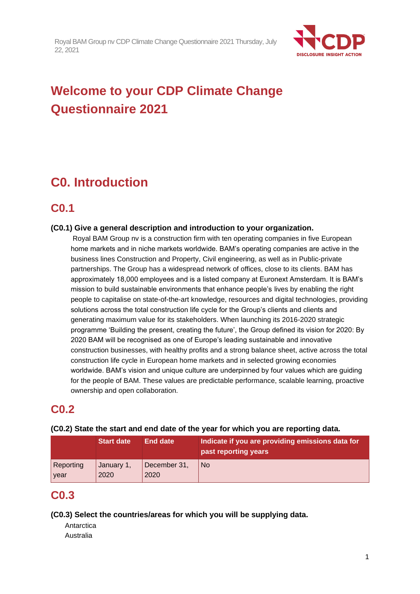

# **Welcome to your CDP Climate Change Questionnaire 2021**

# **C0. Introduction**

### **C0.1**

### **(C0.1) Give a general description and introduction to your organization.**

Royal BAM Group nv is a construction firm with ten operating companies in five European home markets and in niche markets worldwide. BAM's operating companies are active in the business lines Construction and Property, Civil engineering, as well as in Public-private partnerships. The Group has a widespread network of offices, close to its clients. BAM has approximately 18,000 employees and is a listed company at Euronext Amsterdam. It is BAM's mission to build sustainable environments that enhance people's lives by enabling the right people to capitalise on state-of-the-art knowledge, resources and digital technologies, providing solutions across the total construction life cycle for the Group's clients and clients and generating maximum value for its stakeholders. When launching its 2016-2020 strategic programme 'Building the present, creating the future', the Group defined its vision for 2020: By 2020 BAM will be recognised as one of Europe's leading sustainable and innovative construction businesses, with healthy profits and a strong balance sheet, active across the total construction life cycle in European home markets and in selected growing economies worldwide. BAM's vision and unique culture are underpinned by four values which are guiding for the people of BAM. These values are predictable performance, scalable learning, proactive ownership and open collaboration.

### **C0.2**

|           | <b>Start date</b> | End date     | Indicate if you are providing emissions data for<br>past reporting years |
|-----------|-------------------|--------------|--------------------------------------------------------------------------|
| Reporting | January 1,        | December 31, | l No                                                                     |
| year      | 2020              | 2020         |                                                                          |

#### **(C0.2) State the start and end date of the year for which you are reporting data.**

### **C0.3**

**(C0.3) Select the countries/areas for which you will be supplying data.**

Antarctica Australia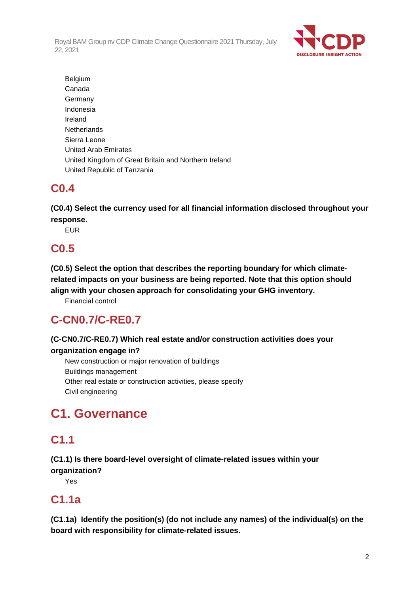

Belgium Canada **Germany** Indonesia Ireland **Netherlands** Sierra Leone United Arab Emirates United Kingdom of Great Britain and Northern Ireland United Republic of Tanzania

# **C0.4**

**(C0.4) Select the currency used for all financial information disclosed throughout your response.**

EUR

# **C0.5**

**(C0.5) Select the option that describes the reporting boundary for which climaterelated impacts on your business are being reported. Note that this option should align with your chosen approach for consolidating your GHG inventory.**

Financial control

# **C-CN0.7/C-RE0.7**

### **(C-CN0.7/C-RE0.7) Which real estate and/or construction activities does your organization engage in?**

New construction or major renovation of buildings Buildings management Other real estate or construction activities, please specify Civil engineering

# **C1. Governance**

# **C1.1**

**(C1.1) Is there board-level oversight of climate-related issues within your organization?**

Yes

# **C1.1a**

**(C1.1a) Identify the position(s) (do not include any names) of the individual(s) on the board with responsibility for climate-related issues.**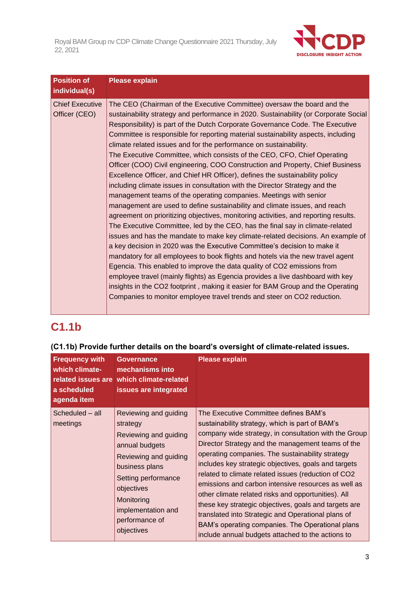

| <b>Position of</b><br>individual(s)     | <b>Please explain</b>                                                                                                                                                                                                                                                                                                                                                                                                                                                                                                                                                                                                                                                                                                                                                                                                                                                                                                                                                                                                                                                                                                                                                                                                                                                                                                                                                                                                                                                                                                                                                                                                                           |
|-----------------------------------------|-------------------------------------------------------------------------------------------------------------------------------------------------------------------------------------------------------------------------------------------------------------------------------------------------------------------------------------------------------------------------------------------------------------------------------------------------------------------------------------------------------------------------------------------------------------------------------------------------------------------------------------------------------------------------------------------------------------------------------------------------------------------------------------------------------------------------------------------------------------------------------------------------------------------------------------------------------------------------------------------------------------------------------------------------------------------------------------------------------------------------------------------------------------------------------------------------------------------------------------------------------------------------------------------------------------------------------------------------------------------------------------------------------------------------------------------------------------------------------------------------------------------------------------------------------------------------------------------------------------------------------------------------|
| <b>Chief Executive</b><br>Officer (CEO) | The CEO (Chairman of the Executive Committee) oversaw the board and the<br>sustainability strategy and performance in 2020. Sustainability (or Corporate Social<br>Responsibility) is part of the Dutch Corporate Governance Code. The Executive<br>Committee is responsible for reporting material sustainability aspects, including<br>climate related issues and for the performance on sustainability.<br>The Executive Committee, which consists of the CEO, CFO, Chief Operating<br>Officer (COO) Civil engineering, COO Construction and Property, Chief Business<br>Excellence Officer, and Chief HR Officer), defines the sustainability policy<br>including climate issues in consultation with the Director Strategy and the<br>management teams of the operating companies. Meetings with senior<br>management are used to define sustainability and climate issues, and reach<br>agreement on prioritizing objectives, monitoring activities, and reporting results.<br>The Executive Committee, led by the CEO, has the final say in climate-related<br>issues and has the mandate to make key climate-related decisions. An example of<br>a key decision in 2020 was the Executive Committee's decision to make it<br>mandatory for all employees to book flights and hotels via the new travel agent<br>Egencia. This enabled to improve the data quality of CO2 emissions from<br>employee travel (mainly flights) as Egencia provides a live dashboard with key<br>insights in the CO2 footprint, making it easier for BAM Group and the Operating<br>Companies to monitor employee travel trends and steer on CO2 reduction. |

# **C1.1b**

### **(C1.1b) Provide further details on the board's oversight of climate-related issues.**

| <b>Frequency with</b><br>which climate-<br>a scheduled<br>agenda item | <b>Governance</b><br>mechanisms into<br>related issues are which climate-related<br>issues are integrated                                                                                                                        | <b>Please explain</b>                                                                                                                                                                                                                                                                                                                                                                                                                                                                                                                                                                                                                                                                                           |
|-----------------------------------------------------------------------|----------------------------------------------------------------------------------------------------------------------------------------------------------------------------------------------------------------------------------|-----------------------------------------------------------------------------------------------------------------------------------------------------------------------------------------------------------------------------------------------------------------------------------------------------------------------------------------------------------------------------------------------------------------------------------------------------------------------------------------------------------------------------------------------------------------------------------------------------------------------------------------------------------------------------------------------------------------|
| Scheduled - all<br>meetings                                           | Reviewing and guiding<br>strategy<br>Reviewing and guiding<br>annual budgets<br>Reviewing and guiding<br>business plans<br>Setting performance<br>objectives<br>Monitoring<br>implementation and<br>performance of<br>objectives | The Executive Committee defines BAM's<br>sustainability strategy, which is part of BAM's<br>company wide strategy, in consultation with the Group<br>Director Strategy and the management teams of the<br>operating companies. The sustainability strategy<br>includes key strategic objectives, goals and targets<br>related to climate related issues (reduction of CO2<br>emissions and carbon intensive resources as well as<br>other climate related risks and opportunities). All<br>these key strategic objectives, goals and targets are<br>translated into Strategic and Operational plans of<br>BAM's operating companies. The Operational plans<br>include annual budgets attached to the actions to |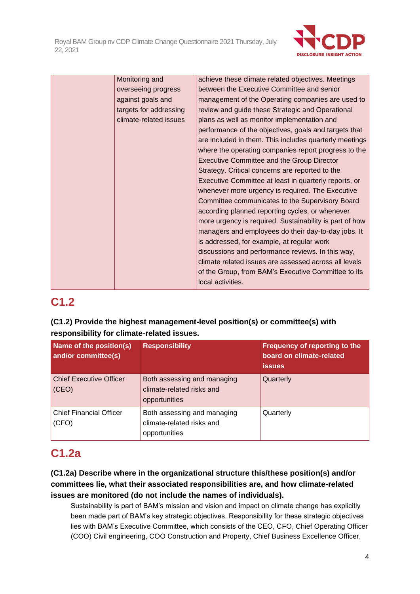

| Monitoring and         | achieve these climate related objectives. Meetings      |
|------------------------|---------------------------------------------------------|
| overseeing progress    | between the Executive Committee and senior              |
| against goals and      | management of the Operating companies are used to       |
| targets for addressing | review and guide these Strategic and Operational        |
| climate-related issues | plans as well as monitor implementation and             |
|                        | performance of the objectives, goals and targets that   |
|                        | are included in them. This includes quarterly meetings  |
|                        | where the operating companies report progress to the    |
|                        | <b>Executive Committee and the Group Director</b>       |
|                        | Strategy. Critical concerns are reported to the         |
|                        | Executive Committee at least in quarterly reports, or   |
|                        | whenever more urgency is required. The Executive        |
|                        | Committee communicates to the Supervisory Board         |
|                        | according planned reporting cycles, or whenever         |
|                        | more urgency is required. Sustainability is part of how |
|                        | managers and employees do their day-to-day jobs. It     |
|                        | is addressed, for example, at regular work              |
|                        | discussions and performance reviews. In this way,       |
|                        | climate related issues are assessed across all levels   |
|                        | of the Group, from BAM's Executive Committee to its     |
|                        | local activities.                                       |

# **C1.2**

### **(C1.2) Provide the highest management-level position(s) or committee(s) with responsibility for climate-related issues.**

| Name of the position(s)<br>and/or committee(s) | <b>Responsibility</b>                                                     | Frequency of reporting to the<br>board on climate-related<br><b>issues</b> |
|------------------------------------------------|---------------------------------------------------------------------------|----------------------------------------------------------------------------|
| <b>Chief Executive Officer</b><br>(CEO)        | Both assessing and managing<br>climate-related risks and<br>opportunities | Quarterly                                                                  |
| <b>Chief Financial Officer</b><br>(CFO)        | Both assessing and managing<br>climate-related risks and<br>opportunities | Quarterly                                                                  |

# **C1.2a**

### **(C1.2a) Describe where in the organizational structure this/these position(s) and/or committees lie, what their associated responsibilities are, and how climate-related issues are monitored (do not include the names of individuals).**

Sustainability is part of BAM's mission and vision and impact on climate change has explicitly been made part of BAM's key strategic objectives. Responsibility for these strategic objectives lies with BAM's Executive Committee, which consists of the CEO, CFO, Chief Operating Officer (COO) Civil engineering, COO Construction and Property, Chief Business Excellence Officer,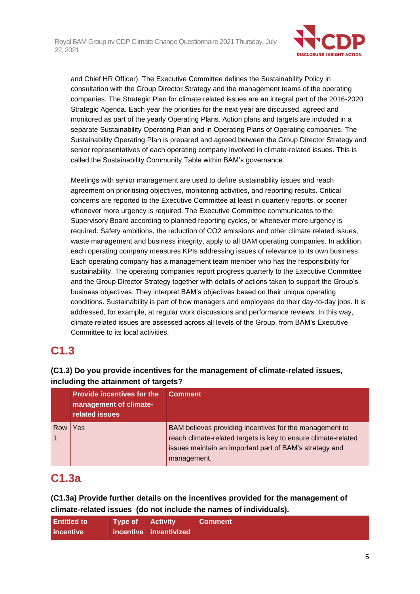

and Chief HR Officer). The Executive Committee defines the Sustainability Policy in consultation with the Group Director Strategy and the management teams of the operating companies. The Strategic Plan for climate related issues are an integral part of the 2016-2020 Strategic Agenda. Each year the priorities for the next year are discussed, agreed and monitored as part of the yearly Operating Plans. Action plans and targets are included in a separate Sustainability Operating Plan and in Operating Plans of Operating companies. The Sustainability Operating Plan is prepared and agreed between the Group Director Strategy and senior representatives of each operating company involved in climate-related issues. This is called the Sustainability Community Table within BAM's governance.

Meetings with senior management are used to define sustainability issues and reach agreement on prioritising objectives, monitoring activities, and reporting results. Critical concerns are reported to the Executive Committee at least in quarterly reports, or sooner whenever more urgency is required. The Executive Committee communicates to the Supervisory Board according to planned reporting cycles, or whenever more urgency is required. Safety ambitions, the reduction of CO2 emissions and other climate related issues, waste management and business integrity, apply to all BAM operating companies. In addition, each operating company measures KPIs addressing issues of relevance to its own business. Each operating company has a management team member who has the responsibility for sustainability. The operating companies report progress quarterly to the Executive Committee and the Group Director Strategy together with details of actions taken to support the Group's business objectives. They interpret BAM's objectives based on their unique operating conditions. Sustainability is part of how managers and employees do their day-to-day jobs. It is addressed, for example, at regular work discussions and performance reviews. In this way, climate related issues are assessed across all levels of the Group, from BAM's Executive Committee to its local activities.

# **C1.3**

### **(C1.3) Do you provide incentives for the management of climate-related issues, including the attainment of targets?**

|     | <b>Provide incentives for the</b><br>management of climate-<br>related issues | <b>Comment</b>                                                                                                            |
|-----|-------------------------------------------------------------------------------|---------------------------------------------------------------------------------------------------------------------------|
| Row | Yes                                                                           | BAM believes providing incentives for the management to<br>reach climate-related targets is key to ensure climate-related |
|     |                                                                               | issues maintain an important part of BAM's strategy and<br>management.                                                    |

# **C1.3a**

**(C1.3a) Provide further details on the incentives provided for the management of climate-related issues (do not include the names of individuals).**

| <b>Entitled to</b> | <b>Type of Activity</b> |                        | <b>Comment</b> |
|--------------------|-------------------------|------------------------|----------------|
| incentive          |                         | incentive inventivized |                |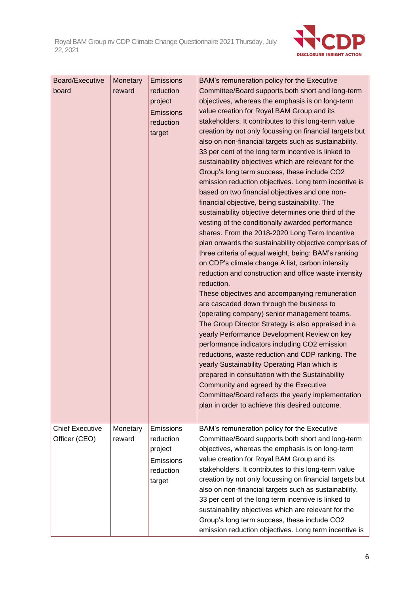

| Board/Executive        | Monetary | <b>Emissions</b> | BAM's remuneration policy for the Executive                                                             |
|------------------------|----------|------------------|---------------------------------------------------------------------------------------------------------|
| board                  | reward   | reduction        | Committee/Board supports both short and long-term                                                       |
|                        |          | project          | objectives, whereas the emphasis is on long-term                                                        |
|                        |          | Emissions        | value creation for Royal BAM Group and its                                                              |
|                        |          | reduction        | stakeholders. It contributes to this long-term value                                                    |
|                        |          | target           | creation by not only focussing on financial targets but                                                 |
|                        |          |                  | also on non-financial targets such as sustainability.                                                   |
|                        |          |                  | 33 per cent of the long term incentive is linked to                                                     |
|                        |          |                  | sustainability objectives which are relevant for the                                                    |
|                        |          |                  | Group's long term success, these include CO2                                                            |
|                        |          |                  | emission reduction objectives. Long term incentive is<br>based on two financial objectives and one non- |
|                        |          |                  | financial objective, being sustainability. The                                                          |
|                        |          |                  | sustainability objective determines one third of the                                                    |
|                        |          |                  | vesting of the conditionally awarded performance                                                        |
|                        |          |                  | shares. From the 2018-2020 Long Term Incentive                                                          |
|                        |          |                  | plan onwards the sustainability objective comprises of                                                  |
|                        |          |                  | three criteria of equal weight, being: BAM's ranking                                                    |
|                        |          |                  | on CDP's climate change A list, carbon intensity                                                        |
|                        |          |                  | reduction and construction and office waste intensity                                                   |
|                        |          |                  | reduction.                                                                                              |
|                        |          |                  | These objectives and accompanying remuneration                                                          |
|                        |          |                  | are cascaded down through the business to                                                               |
|                        |          |                  | (operating company) senior management teams.                                                            |
|                        |          |                  | The Group Director Strategy is also appraised in a                                                      |
|                        |          |                  | yearly Performance Development Review on key                                                            |
|                        |          |                  | performance indicators including CO2 emission                                                           |
|                        |          |                  | reductions, waste reduction and CDP ranking. The                                                        |
|                        |          |                  | yearly Sustainability Operating Plan which is<br>prepared in consultation with the Sustainability       |
|                        |          |                  | Community and agreed by the Executive                                                                   |
|                        |          |                  | Committee/Board reflects the yearly implementation                                                      |
|                        |          |                  | plan in order to achieve this desired outcome.                                                          |
|                        |          |                  |                                                                                                         |
| <b>Chief Executive</b> | Monetary | Emissions        | BAM's remuneration policy for the Executive                                                             |
| Officer (CEO)          | reward   | reduction        | Committee/Board supports both short and long-term                                                       |
|                        |          | project          | objectives, whereas the emphasis is on long-term                                                        |
|                        |          | Emissions        | value creation for Royal BAM Group and its                                                              |
|                        |          | reduction        | stakeholders. It contributes to this long-term value                                                    |
|                        |          | target           | creation by not only focussing on financial targets but                                                 |
|                        |          |                  | also on non-financial targets such as sustainability.                                                   |
|                        |          |                  | 33 per cent of the long term incentive is linked to                                                     |
|                        |          |                  | sustainability objectives which are relevant for the                                                    |
|                        |          |                  | Group's long term success, these include CO2                                                            |
|                        |          |                  | emission reduction objectives. Long term incentive is                                                   |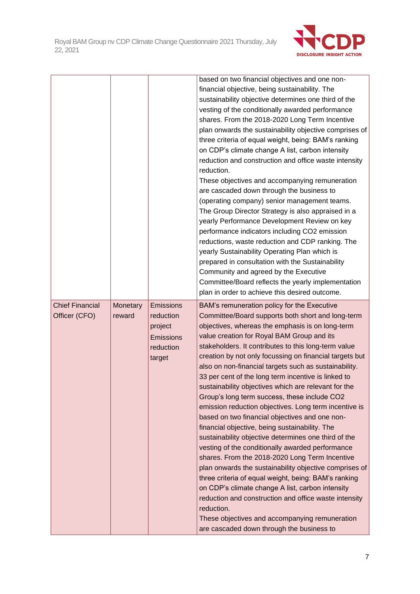

|                                         |                    |                                                                              | based on two financial objectives and one non-<br>financial objective, being sustainability. The<br>sustainability objective determines one third of the<br>vesting of the conditionally awarded performance<br>shares. From the 2018-2020 Long Term Incentive<br>plan onwards the sustainability objective comprises of<br>three criteria of equal weight, being: BAM's ranking<br>on CDP's climate change A list, carbon intensity<br>reduction and construction and office waste intensity<br>reduction.<br>These objectives and accompanying remuneration<br>are cascaded down through the business to<br>(operating company) senior management teams.<br>The Group Director Strategy is also appraised in a<br>yearly Performance Development Review on key<br>performance indicators including CO2 emission<br>reductions, waste reduction and CDP ranking. The<br>yearly Sustainability Operating Plan which is<br>prepared in consultation with the Sustainability<br>Community and agreed by the Executive<br>Committee/Board reflects the yearly implementation                                                                                                                                                                                              |
|-----------------------------------------|--------------------|------------------------------------------------------------------------------|------------------------------------------------------------------------------------------------------------------------------------------------------------------------------------------------------------------------------------------------------------------------------------------------------------------------------------------------------------------------------------------------------------------------------------------------------------------------------------------------------------------------------------------------------------------------------------------------------------------------------------------------------------------------------------------------------------------------------------------------------------------------------------------------------------------------------------------------------------------------------------------------------------------------------------------------------------------------------------------------------------------------------------------------------------------------------------------------------------------------------------------------------------------------------------------------------------------------------------------------------------------------|
| <b>Chief Financial</b><br>Officer (CFO) | Monetary<br>reward | Emissions<br>reduction<br>project<br><b>Emissions</b><br>reduction<br>target | plan in order to achieve this desired outcome.<br>BAM's remuneration policy for the Executive<br>Committee/Board supports both short and long-term<br>objectives, whereas the emphasis is on long-term<br>value creation for Royal BAM Group and its<br>stakeholders. It contributes to this long-term value<br>creation by not only focussing on financial targets but<br>also on non-financial targets such as sustainability.<br>33 per cent of the long term incentive is linked to<br>sustainability objectives which are relevant for the<br>Group's long term success, these include CO2<br>emission reduction objectives. Long term incentive is<br>based on two financial objectives and one non-<br>financial objective, being sustainability. The<br>sustainability objective determines one third of the<br>vesting of the conditionally awarded performance<br>shares. From the 2018-2020 Long Term Incentive<br>plan onwards the sustainability objective comprises of<br>three criteria of equal weight, being: BAM's ranking<br>on CDP's climate change A list, carbon intensity<br>reduction and construction and office waste intensity<br>reduction.<br>These objectives and accompanying remuneration<br>are cascaded down through the business to |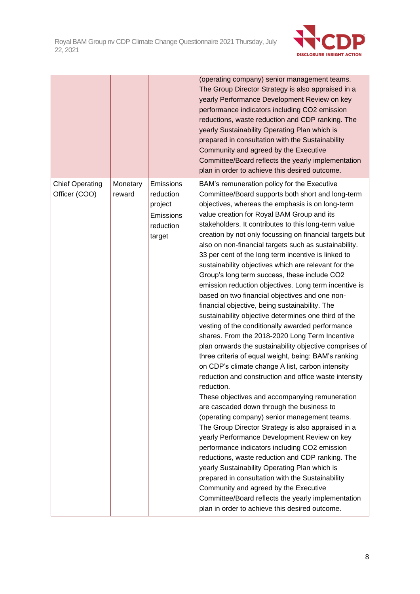

|               |        |                                                          | (operating company) senior management teams.<br>The Group Director Strategy is also appraised in a<br>yearly Performance Development Review on key<br>performance indicators including CO2 emission<br>reductions, waste reduction and CDP ranking. The<br>yearly Sustainability Operating Plan which is<br>prepared in consultation with the Sustainability<br>Community and agreed by the Executive<br>Committee/Board reflects the yearly implementation<br>plan in order to achieve this desired outcome.                                                                                                                                                                                                                                                                                                                                                                                                                                                                                                                                                                                                                                                                                                                                                                                                                                                                                                                    |
|---------------|--------|----------------------------------------------------------|----------------------------------------------------------------------------------------------------------------------------------------------------------------------------------------------------------------------------------------------------------------------------------------------------------------------------------------------------------------------------------------------------------------------------------------------------------------------------------------------------------------------------------------------------------------------------------------------------------------------------------------------------------------------------------------------------------------------------------------------------------------------------------------------------------------------------------------------------------------------------------------------------------------------------------------------------------------------------------------------------------------------------------------------------------------------------------------------------------------------------------------------------------------------------------------------------------------------------------------------------------------------------------------------------------------------------------------------------------------------------------------------------------------------------------|
| Officer (COO) | reward | reduction<br>project<br>Emissions<br>reduction<br>target | Committee/Board supports both short and long-term<br>objectives, whereas the emphasis is on long-term<br>value creation for Royal BAM Group and its<br>stakeholders. It contributes to this long-term value<br>creation by not only focussing on financial targets but<br>also on non-financial targets such as sustainability.<br>33 per cent of the long term incentive is linked to<br>sustainability objectives which are relevant for the<br>Group's long term success, these include CO2<br>emission reduction objectives. Long term incentive is<br>based on two financial objectives and one non-<br>financial objective, being sustainability. The<br>sustainability objective determines one third of the<br>vesting of the conditionally awarded performance<br>shares. From the 2018-2020 Long Term Incentive<br>plan onwards the sustainability objective comprises of<br>three criteria of equal weight, being: BAM's ranking<br>on CDP's climate change A list, carbon intensity<br>reduction and construction and office waste intensity<br>reduction.<br>These objectives and accompanying remuneration<br>are cascaded down through the business to<br>(operating company) senior management teams.<br>The Group Director Strategy is also appraised in a<br>yearly Performance Development Review on key<br>performance indicators including CO2 emission<br>reductions, waste reduction and CDP ranking. The |
|               |        |                                                          | yearly Sustainability Operating Plan which is<br>prepared in consultation with the Sustainability<br>Community and agreed by the Executive<br>Committee/Board reflects the yearly implementation<br>plan in order to achieve this desired outcome.                                                                                                                                                                                                                                                                                                                                                                                                                                                                                                                                                                                                                                                                                                                                                                                                                                                                                                                                                                                                                                                                                                                                                                               |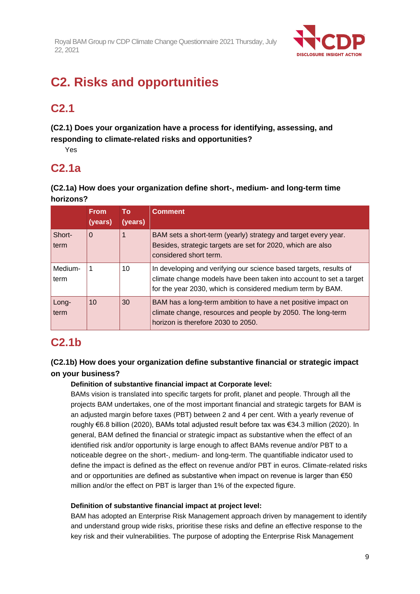

# **C2. Risks and opportunities**

# **C2.1**

**(C2.1) Does your organization have a process for identifying, assessing, and responding to climate-related risks and opportunities?**

Yes

### **C2.1a**

**(C2.1a) How does your organization define short-, medium- and long-term time horizons?**

|                 | <b>From</b><br>(years) | To:<br>(years) | <b>Comment</b>                                                                                                                                                                                        |
|-----------------|------------------------|----------------|-------------------------------------------------------------------------------------------------------------------------------------------------------------------------------------------------------|
| Short-<br>term  | $\Omega$               |                | BAM sets a short-term (yearly) strategy and target every year.<br>Besides, strategic targets are set for 2020, which are also<br>considered short term.                                               |
| Medium-<br>term |                        | 10             | In developing and verifying our science based targets, results of<br>climate change models have been taken into account to set a target<br>for the year 2030, which is considered medium term by BAM. |
| Long-<br>term   | 10                     | 30             | BAM has a long-term ambition to have a net positive impact on<br>climate change, resources and people by 2050. The long-term<br>horizon is therefore 2030 to 2050.                                    |

### **C2.1b**

### **(C2.1b) How does your organization define substantive financial or strategic impact on your business?**

### **Definition of substantive financial impact at Corporate level:**

BAMs vision is translated into specific targets for profit, planet and people. Through all the projects BAM undertakes, one of the most important financial and strategic targets for BAM is an adjusted margin before taxes (PBT) between 2 and 4 per cent. With a yearly revenue of roughly €6.8 billion (2020), BAMs total adjusted result before tax was €34.3 million (2020). In general, BAM defined the financial or strategic impact as substantive when the effect of an identified risk and/or opportunity is large enough to affect BAMs revenue and/or PBT to a noticeable degree on the short-, medium- and long-term. The quantifiable indicator used to define the impact is defined as the effect on revenue and/or PBT in euros. Climate-related risks and or opportunities are defined as substantive when impact on revenue is larger than €50 million and/or the effect on PBT is larger than 1% of the expected figure.

### **Definition of substantive financial impact at project level:**

BAM has adopted an Enterprise Risk Management approach driven by management to identify and understand group wide risks, prioritise these risks and define an effective response to the key risk and their vulnerabilities. The purpose of adopting the Enterprise Risk Management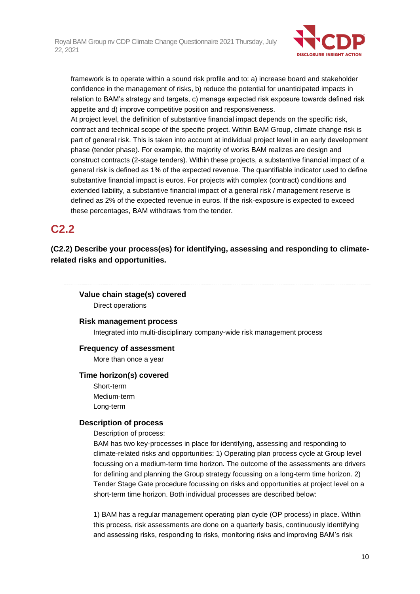

framework is to operate within a sound risk profile and to: a) increase board and stakeholder confidence in the management of risks, b) reduce the potential for unanticipated impacts in relation to BAM's strategy and targets, c) manage expected risk exposure towards defined risk appetite and d) improve competitive position and responsiveness.

At project level, the definition of substantive financial impact depends on the specific risk, contract and technical scope of the specific project. Within BAM Group, climate change risk is part of general risk. This is taken into account at individual project level in an early development phase (tender phase). For example, the majority of works BAM realizes are design and construct contracts (2-stage tenders). Within these projects, a substantive financial impact of a general risk is defined as 1% of the expected revenue. The quantifiable indicator used to define substantive financial impact is euros. For projects with complex (contract) conditions and extended liability, a substantive financial impact of a general risk / management reserve is defined as 2% of the expected revenue in euros. If the risk-exposure is expected to exceed these percentages, BAM withdraws from the tender.

### **C2.2**

**(C2.2) Describe your process(es) for identifying, assessing and responding to climaterelated risks and opportunities.**

**Value chain stage(s) covered** Direct operations

**Risk management process**

Integrated into multi-disciplinary company-wide risk management process

#### **Frequency of assessment**

More than once a year

#### **Time horizon(s) covered**

Short-term Medium-term Long-term

#### **Description of process**

Description of process:

BAM has two key-processes in place for identifying, assessing and responding to climate-related risks and opportunities: 1) Operating plan process cycle at Group level focussing on a medium-term time horizon. The outcome of the assessments are drivers for defining and planning the Group strategy focussing on a long-term time horizon. 2) Tender Stage Gate procedure focussing on risks and opportunities at project level on a short-term time horizon. Both individual processes are described below:

1) BAM has a regular management operating plan cycle (OP process) in place. Within this process, risk assessments are done on a quarterly basis, continuously identifying and assessing risks, responding to risks, monitoring risks and improving BAM's risk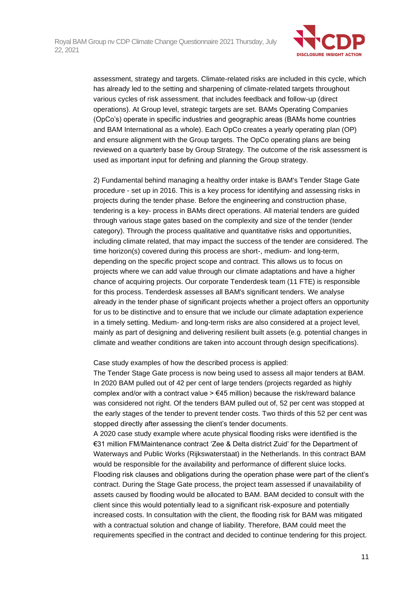

assessment, strategy and targets. Climate-related risks are included in this cycle, which has already led to the setting and sharpening of climate-related targets throughout various cycles of risk assessment. that includes feedback and follow-up (direct operations). At Group level, strategic targets are set. BAMs Operating Companies (OpCo's) operate in specific industries and geographic areas (BAMs home countries and BAM International as a whole). Each OpCo creates a yearly operating plan (OP) and ensure alignment with the Group targets. The OpCo operating plans are being reviewed on a quarterly base by Group Strategy. The outcome of the risk assessment is used as important input for defining and planning the Group strategy.

2) Fundamental behind managing a healthy order intake is BAM's Tender Stage Gate procedure - set up in 2016. This is a key process for identifying and assessing risks in projects during the tender phase. Before the engineering and construction phase, tendering is a key- process in BAMs direct operations. All material tenders are guided through various stage gates based on the complexity and size of the tender (tender category). Through the process qualitative and quantitative risks and opportunities, including climate related, that may impact the success of the tender are considered. The time horizon(s) covered during this process are short-, medium- and long-term, depending on the specific project scope and contract. This allows us to focus on projects where we can add value through our climate adaptations and have a higher chance of acquiring projects. Our corporate Tenderdesk team (11 FTE) is responsible for this process. Tenderdesk assesses all BAM's significant tenders. We analyse already in the tender phase of significant projects whether a project offers an opportunity for us to be distinctive and to ensure that we include our climate adaptation experience in a timely setting. Medium- and long-term risks are also considered at a project level, mainly as part of designing and delivering resilient built assets (e.g. potential changes in climate and weather conditions are taken into account through design specifications).

Case study examples of how the described process is applied:

The Tender Stage Gate process is now being used to assess all major tenders at BAM. In 2020 BAM pulled out of 42 per cent of large tenders (projects regarded as highly complex and/or with a contract value  $> \epsilon$ 45 million) because the risk/reward balance was considered not right. Of the tenders BAM pulled out of, 52 per cent was stopped at the early stages of the tender to prevent tender costs. Two thirds of this 52 per cent was stopped directly after assessing the client's tender documents.

A 2020 case study example where acute physical flooding risks were identified is the €31 million FM/Maintenance contract 'Zee & Delta district Zuid' for the Department of Waterways and Public Works (Rijkswaterstaat) in the Netherlands. In this contract BAM would be responsible for the availability and performance of different sluice locks. Flooding risk clauses and obligations during the operation phase were part of the client's contract. During the Stage Gate process, the project team assessed if unavailability of assets caused by flooding would be allocated to BAM. BAM decided to consult with the client since this would potentially lead to a significant risk-exposure and potentially increased costs. In consultation with the client, the flooding risk for BAM was mitigated with a contractual solution and change of liability. Therefore, BAM could meet the requirements specified in the contract and decided to continue tendering for this project.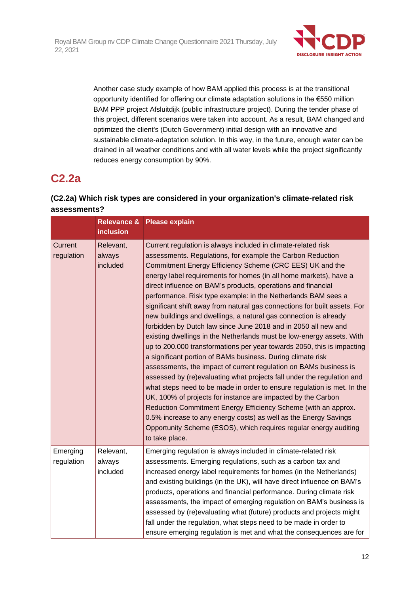

Another case study example of how BAM applied this process is at the transitional opportunity identified for offering our climate adaptation solutions in the €550 million BAM PPP project Afsluitdijk (public infrastructure project). During the tender phase of this project, different scenarios were taken into account. As a result, BAM changed and optimized the client's (Dutch Government) initial design with an innovative and sustainable climate-adaptation solution. In this way, in the future, enough water can be drained in all weather conditions and with all water levels while the project significantly reduces energy consumption by 90%.

# **C2.2a**

### **(C2.2a) Which risk types are considered in your organization's climate-related risk assessments?**

|                        | <b>inclusion</b>                | Relevance & Please explain                                                                                                                                                                                                                                                                                                                                                                                                                                                                                                                                                                                                                                                                                                                                                                                                                                                                                                                                                                                                                                                                                                                                                                                                                                                                                                                                |
|------------------------|---------------------------------|-----------------------------------------------------------------------------------------------------------------------------------------------------------------------------------------------------------------------------------------------------------------------------------------------------------------------------------------------------------------------------------------------------------------------------------------------------------------------------------------------------------------------------------------------------------------------------------------------------------------------------------------------------------------------------------------------------------------------------------------------------------------------------------------------------------------------------------------------------------------------------------------------------------------------------------------------------------------------------------------------------------------------------------------------------------------------------------------------------------------------------------------------------------------------------------------------------------------------------------------------------------------------------------------------------------------------------------------------------------|
| Current<br>regulation  | Relevant,<br>always<br>included | Current regulation is always included in climate-related risk<br>assessments. Regulations, for example the Carbon Reduction<br>Commitment Energy Efficiency Scheme (CRC EES) UK and the<br>energy label requirements for homes (in all home markets), have a<br>direct influence on BAM's products, operations and financial<br>performance. Risk type example: in the Netherlands BAM sees a<br>significant shift away from natural gas connections for built assets. For<br>new buildings and dwellings, a natural gas connection is already<br>forbidden by Dutch law since June 2018 and in 2050 all new and<br>existing dwellings in the Netherlands must be low-energy assets. With<br>up to 200.000 transformations per year towards 2050, this is impacting<br>a significant portion of BAMs business. During climate risk<br>assessments, the impact of current regulation on BAMs business is<br>assessed by (re)evaluating what projects fall under the regulation and<br>what steps need to be made in order to ensure regulation is met. In the<br>UK, 100% of projects for instance are impacted by the Carbon<br>Reduction Commitment Energy Efficiency Scheme (with an approx.<br>0.5% increase to any energy costs) as well as the Energy Savings<br>Opportunity Scheme (ESOS), which requires regular energy auditing<br>to take place. |
| Emerging<br>regulation | Relevant,<br>always<br>included | Emerging regulation is always included in climate-related risk<br>assessments. Emerging regulations, such as a carbon tax and<br>increased energy label requirements for homes (in the Netherlands)<br>and existing buildings (in the UK), will have direct influence on BAM's<br>products, operations and financial performance. During climate risk<br>assessments, the impact of emerging regulation on BAM's business is<br>assessed by (re)evaluating what (future) products and projects might<br>fall under the regulation, what steps need to be made in order to<br>ensure emerging regulation is met and what the consequences are for                                                                                                                                                                                                                                                                                                                                                                                                                                                                                                                                                                                                                                                                                                          |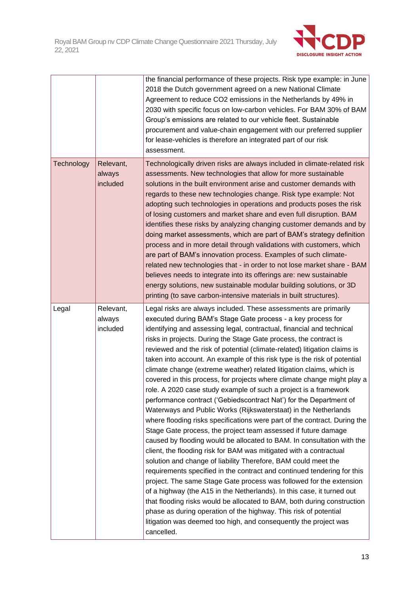

|                   |                                 | the financial performance of these projects. Risk type example: in June<br>2018 the Dutch government agreed on a new National Climate<br>Agreement to reduce CO2 emissions in the Netherlands by 49% in<br>2030 with specific focus on low-carbon vehicles. For BAM 30% of BAM<br>Group's emissions are related to our vehicle fleet. Sustainable<br>procurement and value-chain engagement with our preferred supplier<br>for lease-vehicles is therefore an integrated part of our risk<br>assessment.                                                                                                                                                                                                                                                                                                                                                                                                                                                                                                                                                                                                                                                                                                                                                                                                                                                                                                                                                                                                                                                                                                                               |
|-------------------|---------------------------------|----------------------------------------------------------------------------------------------------------------------------------------------------------------------------------------------------------------------------------------------------------------------------------------------------------------------------------------------------------------------------------------------------------------------------------------------------------------------------------------------------------------------------------------------------------------------------------------------------------------------------------------------------------------------------------------------------------------------------------------------------------------------------------------------------------------------------------------------------------------------------------------------------------------------------------------------------------------------------------------------------------------------------------------------------------------------------------------------------------------------------------------------------------------------------------------------------------------------------------------------------------------------------------------------------------------------------------------------------------------------------------------------------------------------------------------------------------------------------------------------------------------------------------------------------------------------------------------------------------------------------------------|
| <b>Technology</b> | Relevant,<br>always<br>included | Technologically driven risks are always included in climate-related risk<br>assessments. New technologies that allow for more sustainable<br>solutions in the built environment arise and customer demands with<br>regards to these new technologies change. Risk type example: Not<br>adopting such technologies in operations and products poses the risk<br>of losing customers and market share and even full disruption. BAM<br>identifies these risks by analyzing changing customer demands and by<br>doing market assessments, which are part of BAM's strategy definition<br>process and in more detail through validations with customers, which<br>are part of BAM's innovation process. Examples of such climate-<br>related new technologies that - in order to not lose market share - BAM<br>believes needs to integrate into its offerings are: new sustainable<br>energy solutions, new sustainable modular building solutions, or 3D<br>printing (to save carbon-intensive materials in built structures).                                                                                                                                                                                                                                                                                                                                                                                                                                                                                                                                                                                                           |
| Legal             | Relevant,<br>always<br>included | Legal risks are always included. These assessments are primarily<br>executed during BAM's Stage Gate process - a key process for<br>identifying and assessing legal, contractual, financial and technical<br>risks in projects. During the Stage Gate process, the contract is<br>reviewed and the risk of potential (climate-related) litigation claims is<br>taken into account. An example of this risk type is the risk of potential<br>climate change (extreme weather) related litigation claims, which is<br>covered in this process, for projects where climate change might play a<br>role. A 2020 case study example of such a project is a framework<br>performance contract ('Gebiedscontract Nat') for the Department of<br>Waterways and Public Works (Rijkswaterstaat) in the Netherlands<br>where flooding risks specifications were part of the contract. During the<br>Stage Gate process, the project team assessed if future damage<br>caused by flooding would be allocated to BAM. In consultation with the<br>client, the flooding risk for BAM was mitigated with a contractual<br>solution and change of liability Therefore, BAM could meet the<br>requirements specified in the contract and continued tendering for this<br>project. The same Stage Gate process was followed for the extension<br>of a highway (the A15 in the Netherlands). In this case, it turned out<br>that flooding risks would be allocated to BAM, both during construction<br>phase as during operation of the highway. This risk of potential<br>litigation was deemed too high, and consequently the project was<br>cancelled. |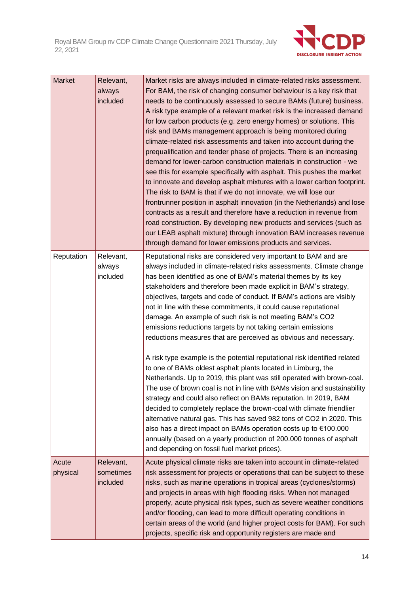

| <b>Market</b>     | Relevant,<br>always<br>included    | Market risks are always included in climate-related risks assessment.<br>For BAM, the risk of changing consumer behaviour is a key risk that<br>needs to be continuously assessed to secure BAMs (future) business.<br>A risk type example of a relevant market risk is the increased demand<br>for low carbon products (e.g. zero energy homes) or solutions. This<br>risk and BAMs management approach is being monitored during<br>climate-related risk assessments and taken into account during the<br>prequalification and tender phase of projects. There is an increasing<br>demand for lower-carbon construction materials in construction - we<br>see this for example specifically with asphalt. This pushes the market<br>to innovate and develop asphalt mixtures with a lower carbon footprint.<br>The risk to BAM is that if we do not innovate, we will lose our<br>frontrunner position in asphalt innovation (in the Netherlands) and lose<br>contracts as a result and therefore have a reduction in revenue from<br>road construction. By developing new products and services (such as<br>our LEAB asphalt mixture) through innovation BAM increases revenue<br>through demand for lower emissions products and services.                                                                                               |
|-------------------|------------------------------------|----------------------------------------------------------------------------------------------------------------------------------------------------------------------------------------------------------------------------------------------------------------------------------------------------------------------------------------------------------------------------------------------------------------------------------------------------------------------------------------------------------------------------------------------------------------------------------------------------------------------------------------------------------------------------------------------------------------------------------------------------------------------------------------------------------------------------------------------------------------------------------------------------------------------------------------------------------------------------------------------------------------------------------------------------------------------------------------------------------------------------------------------------------------------------------------------------------------------------------------------------------------------------------------------------------------------------------------------|
| Reputation        | Relevant,<br>always<br>included    | Reputational risks are considered very important to BAM and are<br>always included in climate-related risks assessments. Climate change<br>has been identified as one of BAM's material themes by its key<br>stakeholders and therefore been made explicit in BAM's strategy,<br>objectives, targets and code of conduct. If BAM's actions are visibly<br>not in line with these commitments, it could cause reputational<br>damage. An example of such risk is not meeting BAM's CO2<br>emissions reductions targets by not taking certain emissions<br>reductions measures that are perceived as obvious and necessary.<br>A risk type example is the potential reputational risk identified related<br>to one of BAMs oldest asphalt plants located in Limburg, the<br>Netherlands. Up to 2019, this plant was still operated with brown-coal.<br>The use of brown coal is not in line with BAMs vision and sustainability<br>strategy and could also reflect on BAMs reputation. In 2019, BAM<br>decided to completely replace the brown-coal with climate friendlier<br>alternative natural gas. This has saved 982 tons of CO2 in 2020. This<br>also has a direct impact on BAMs operation costs up to €100.000<br>annually (based on a yearly production of 200.000 tonnes of asphalt<br>and depending on fossil fuel market prices). |
| Acute<br>physical | Relevant,<br>sometimes<br>included | Acute physical climate risks are taken into account in climate-related<br>risk assessment for projects or operations that can be subject to these<br>risks, such as marine operations in tropical areas (cyclones/storms)<br>and projects in areas with high flooding risks. When not managed<br>properly, acute physical risk types, such as severe weather conditions<br>and/or flooding, can lead to more difficult operating conditions in<br>certain areas of the world (and higher project costs for BAM). For such<br>projects, specific risk and opportunity registers are made and                                                                                                                                                                                                                                                                                                                                                                                                                                                                                                                                                                                                                                                                                                                                                  |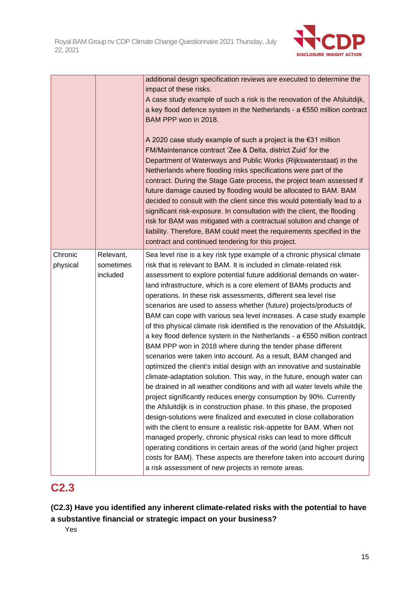

|                     |                                    | additional design specification reviews are executed to determine the<br>impact of these risks.<br>A case study example of such a risk is the renovation of the Afsluitdijk,<br>a key flood defence system in the Netherlands - $a \in 550$ million contract<br>BAM PPP won in 2018.<br>A 2020 case study example of such a project is the $€31$ million<br>FM/Maintenance contract 'Zee & Delta, district Zuid' for the<br>Department of Waterways and Public Works (Rijkswaterstaat) in the<br>Netherlands where flooding risks specifications were part of the<br>contract. During the Stage Gate process, the project team assessed if<br>future damage caused by flooding would be allocated to BAM. BAM<br>decided to consult with the client since this would potentially lead to a<br>significant risk-exposure. In consultation with the client, the flooding<br>risk for BAM was mitigated with a contractual solution and change of<br>liability. Therefore, BAM could meet the requirements specified in the<br>contract and continued tendering for this project.                                                                                                                                                                                                                                                                                                                                                                                                                                                                                                                                                   |
|---------------------|------------------------------------|----------------------------------------------------------------------------------------------------------------------------------------------------------------------------------------------------------------------------------------------------------------------------------------------------------------------------------------------------------------------------------------------------------------------------------------------------------------------------------------------------------------------------------------------------------------------------------------------------------------------------------------------------------------------------------------------------------------------------------------------------------------------------------------------------------------------------------------------------------------------------------------------------------------------------------------------------------------------------------------------------------------------------------------------------------------------------------------------------------------------------------------------------------------------------------------------------------------------------------------------------------------------------------------------------------------------------------------------------------------------------------------------------------------------------------------------------------------------------------------------------------------------------------------------------------------------------------------------------------------------------------|
| Chronic<br>physical | Relevant,<br>sometimes<br>included | Sea level rise is a key risk type example of a chronic physical climate<br>risk that is relevant to BAM. It is included in climate-related risk<br>assessment to explore potential future additional demands on water-<br>land infrastructure, which is a core element of BAMs products and<br>operations. In these risk assessments, different sea level rise<br>scenarios are used to assess whether (future) projects/products of<br>BAM can cope with various sea level increases. A case study example<br>of this physical climate risk identified is the renovation of the Afsluitdijk,<br>a key flood defence system in the Netherlands - $a \in 550$ million contract<br>BAM PPP won in 2018 where during the tender phase different<br>scenarios were taken into account. As a result, BAM changed and<br>optimized the client's initial design with an innovative and sustainable<br>climate-adaptation solution. This way, in the future, enough water can<br>be drained in all weather conditions and with all water levels while the<br>project significantly reduces energy consumption by 90%. Currently<br>the Afsluitdijk is in construction phase. In this phase, the proposed<br>design-solutions were finalized and executed in close collaboration<br>with the client to ensure a realistic risk-appetite for BAM. When not<br>managed properly, chronic physical risks can lead to more difficult<br>operating conditions in certain areas of the world (and higher project<br>costs for BAM). These aspects are therefore taken into account during<br>a risk assessment of new projects in remote areas. |

### **C2.3**

**(C2.3) Have you identified any inherent climate-related risks with the potential to have a substantive financial or strategic impact on your business?**

Yes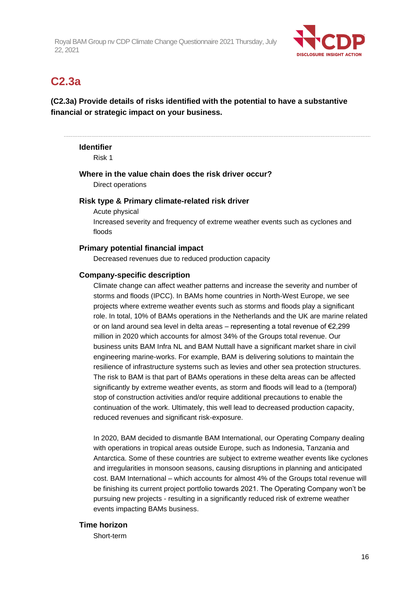

### **C2.3a**

**(C2.3a) Provide details of risks identified with the potential to have a substantive financial or strategic impact on your business.**

#### **Identifier**

Risk 1

**Where in the value chain does the risk driver occur?**

Direct operations

#### **Risk type & Primary climate-related risk driver**

Acute physical Increased severity and frequency of extreme weather events such as cyclones and floods

#### **Primary potential financial impact**

Decreased revenues due to reduced production capacity

#### **Company-specific description**

Climate change can affect weather patterns and increase the severity and number of storms and floods (IPCC). In BAMs home countries in North-West Europe, we see projects where extreme weather events such as storms and floods play a significant role. In total, 10% of BAMs operations in the Netherlands and the UK are marine related or on land around sea level in delta areas – representing a total revenue of  $\epsilon$ 2,299 million in 2020 which accounts for almost 34% of the Groups total revenue. Our business units BAM Infra NL and BAM Nuttall have a significant market share in civil engineering marine-works. For example, BAM is delivering solutions to maintain the resilience of infrastructure systems such as levies and other sea protection structures. The risk to BAM is that part of BAMs operations in these delta areas can be affected significantly by extreme weather events, as storm and floods will lead to a (temporal) stop of construction activities and/or require additional precautions to enable the continuation of the work. Ultimately, this well lead to decreased production capacity, reduced revenues and significant risk-exposure.

In 2020, BAM decided to dismantle BAM International, our Operating Company dealing with operations in tropical areas outside Europe, such as Indonesia, Tanzania and Antarctica. Some of these countries are subject to extreme weather events like cyclones and irregularities in monsoon seasons, causing disruptions in planning and anticipated cost. BAM International – which accounts for almost 4% of the Groups total revenue will be finishing its current project portfolio towards 2021. The Operating Company won't be pursuing new projects - resulting in a significantly reduced risk of extreme weather events impacting BAMs business.

#### **Time horizon**

Short-term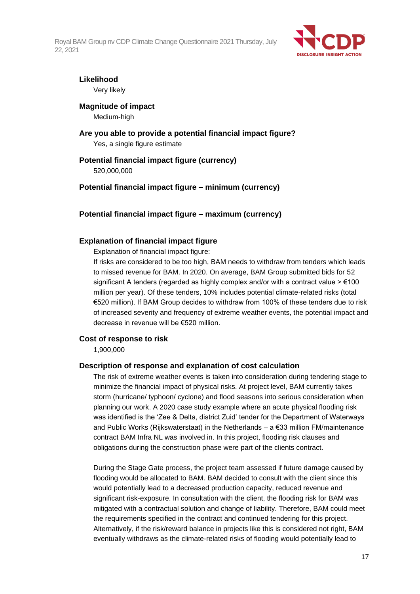

#### **Likelihood**

Very likely

#### **Magnitude of impact**

Medium-high

**Are you able to provide a potential financial impact figure?** Yes, a single figure estimate

#### **Potential financial impact figure (currency)** 520,000,000

#### **Potential financial impact figure – minimum (currency)**

#### **Potential financial impact figure – maximum (currency)**

#### **Explanation of financial impact figure**

Explanation of financial impact figure:

If risks are considered to be too high, BAM needs to withdraw from tenders which leads to missed revenue for BAM. In 2020. On average, BAM Group submitted bids for 52 significant A tenders (regarded as highly complex and/or with a contract value  $> \epsilon$ 100 million per year). Of these tenders, 10% includes potential climate-related risks (total €520 million). If BAM Group decides to withdraw from 100% of these tenders due to risk of increased severity and frequency of extreme weather events, the potential impact and decrease in revenue will be €520 million.

#### **Cost of response to risk**

1,900,000

#### **Description of response and explanation of cost calculation**

The risk of extreme weather events is taken into consideration during tendering stage to minimize the financial impact of physical risks. At project level, BAM currently takes storm (hurricane/ typhoon/ cyclone) and flood seasons into serious consideration when planning our work. A 2020 case study example where an acute physical flooding risk was identified is the 'Zee & Delta, district Zuid' tender for the Department of Waterways and Public Works (Rijkswaterstaat) in the Netherlands – a €33 million FM/maintenance contract BAM Infra NL was involved in. In this project, flooding risk clauses and obligations during the construction phase were part of the clients contract.

During the Stage Gate process, the project team assessed if future damage caused by flooding would be allocated to BAM. BAM decided to consult with the client since this would potentially lead to a decreased production capacity, reduced revenue and significant risk-exposure. In consultation with the client, the flooding risk for BAM was mitigated with a contractual solution and change of liability. Therefore, BAM could meet the requirements specified in the contract and continued tendering for this project. Alternatively, if the risk/reward balance in projects like this is considered not right, BAM eventually withdraws as the climate-related risks of flooding would potentially lead to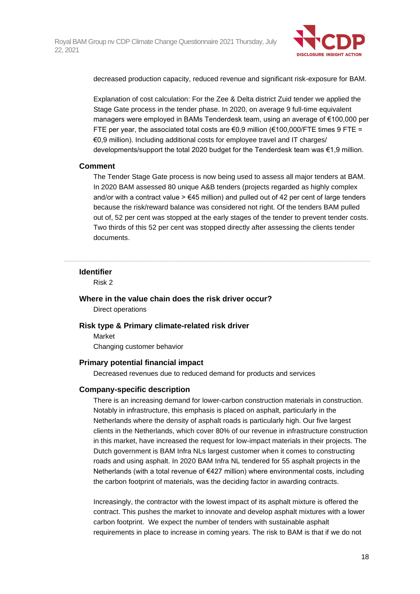

decreased production capacity, reduced revenue and significant risk-exposure for BAM.

Explanation of cost calculation: For the Zee & Delta district Zuid tender we applied the Stage Gate process in the tender phase. In 2020, on average 9 full-time equivalent managers were employed in BAMs Tenderdesk team, using an average of €100,000 per FTE per year, the associated total costs are  $\epsilon$ 0,9 million ( $\epsilon$ 100,000/FTE times 9 FTE = €0,9 million). Including additional costs for employee travel and IT charges/ developments/support the total 2020 budget for the Tenderdesk team was €1,9 million.

#### **Comment**

The Tender Stage Gate process is now being used to assess all major tenders at BAM. In 2020 BAM assessed 80 unique A&B tenders (projects regarded as highly complex and/or with a contract value  $\geq \epsilon$ 45 million) and pulled out of 42 per cent of large tenders because the risk/reward balance was considered not right. Of the tenders BAM pulled out of, 52 per cent was stopped at the early stages of the tender to prevent tender costs. Two thirds of this 52 per cent was stopped directly after assessing the clients tender documents.

#### **Identifier**

Risk 2

#### **Where in the value chain does the risk driver occur?**

Direct operations

#### **Risk type & Primary climate-related risk driver**

Market Changing customer behavior

#### **Primary potential financial impact**

Decreased revenues due to reduced demand for products and services

#### **Company-specific description**

There is an increasing demand for lower-carbon construction materials in construction. Notably in infrastructure, this emphasis is placed on asphalt, particularly in the Netherlands where the density of asphalt roads is particularly high. Our five largest clients in the Netherlands, which cover 80% of our revenue in infrastructure construction in this market, have increased the request for low-impact materials in their projects. The Dutch government is BAM Infra NLs largest customer when it comes to constructing roads and using asphalt. In 2020 BAM Infra NL tendered for 55 asphalt projects in the Netherlands (with a total revenue of €427 million) where environmental costs, including the carbon footprint of materials, was the deciding factor in awarding contracts.

Increasingly, the contractor with the lowest impact of its asphalt mixture is offered the contract. This pushes the market to innovate and develop asphalt mixtures with a lower carbon footprint. We expect the number of tenders with sustainable asphalt requirements in place to increase in coming years. The risk to BAM is that if we do not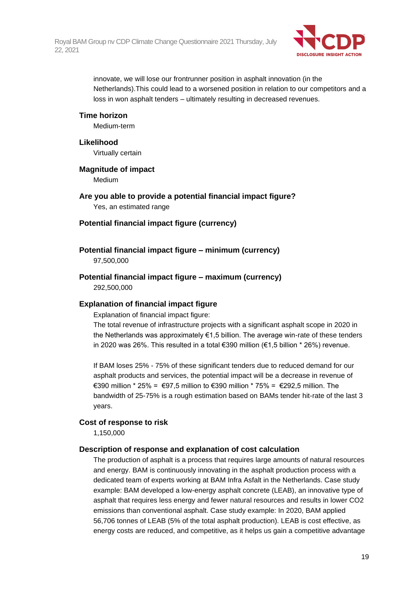

innovate, we will lose our frontrunner position in asphalt innovation (in the Netherlands).This could lead to a worsened position in relation to our competitors and a loss in won asphalt tenders – ultimately resulting in decreased revenues.

#### **Time horizon**

Medium-term

#### **Likelihood**

Virtually certain

#### **Magnitude of impact**

Medium

**Are you able to provide a potential financial impact figure?** Yes, an estimated range

#### **Potential financial impact figure (currency)**

#### **Potential financial impact figure – minimum (currency)**

97,500,000

# **Potential financial impact figure – maximum (currency)**

292,500,000

#### **Explanation of financial impact figure**

Explanation of financial impact figure:

The total revenue of infrastructure projects with a significant asphalt scope in 2020 in the Netherlands was approximately  $\epsilon$ 1,5 billion. The average win-rate of these tenders in 2020 was 26%. This resulted in a total €390 million (€1,5 billion \* 26%) revenue.

If BAM loses 25% - 75% of these significant tenders due to reduced demand for our asphalt products and services, the potential impact will be a decrease in revenue of €390 million \* 25% = €97,5 million to €390 million \* 75% = €292,5 million. The bandwidth of 25-75% is a rough estimation based on BAMs tender hit-rate of the last 3 years.

#### **Cost of response to risk**

1,150,000

#### **Description of response and explanation of cost calculation**

The production of asphalt is a process that requires large amounts of natural resources and energy. BAM is continuously innovating in the asphalt production process with a dedicated team of experts working at BAM Infra Asfalt in the Netherlands. Case study example: BAM developed a low-energy asphalt concrete (LEAB), an innovative type of asphalt that requires less energy and fewer natural resources and results in lower CO2 emissions than conventional asphalt. Case study example: In 2020, BAM applied 56,706 tonnes of LEAB (5% of the total asphalt production). LEAB is cost effective, as energy costs are reduced, and competitive, as it helps us gain a competitive advantage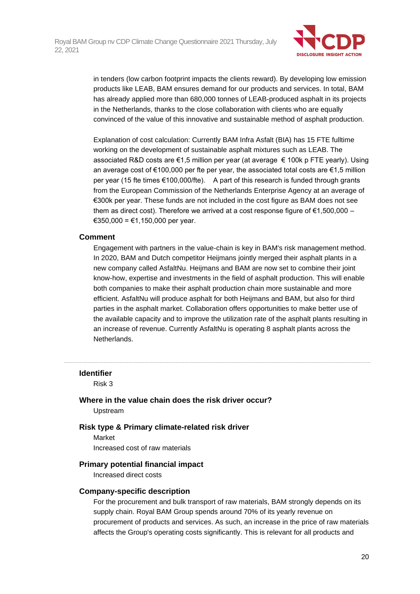

in tenders (low carbon footprint impacts the clients reward). By developing low emission products like LEAB, BAM ensures demand for our products and services. In total, BAM has already applied more than 680,000 tonnes of LEAB-produced asphalt in its projects in the Netherlands, thanks to the close collaboration with clients who are equally convinced of the value of this innovative and sustainable method of asphalt production.

Explanation of cost calculation: Currently BAM Infra Asfalt (BIA) has 15 FTE fulltime working on the development of sustainable asphalt mixtures such as LEAB. The associated R&D costs are €1,5 million per year (at average € 100k p FTE yearly). Using an average cost of  $\epsilon$ 100,000 per fte per year, the associated total costs are  $\epsilon$ 1.5 million per year (15 fte times €100,000/fte). A part of this research is funded through grants from the European Commission of the Netherlands Enterprise Agency at an average of €300k per year. These funds are not included in the cost figure as BAM does not see them as direct cost). Therefore we arrived at a cost response figure of  $\epsilon$ 1,500,000 – €350,000 = €1,150,000 per year.

#### **Comment**

Engagement with partners in the value-chain is key in BAM's risk management method. In 2020, BAM and Dutch competitor Heijmans jointly merged their asphalt plants in a new company called AsfaltNu. Heijmans and BAM are now set to combine their joint know-how, expertise and investments in the field of asphalt production. This will enable both companies to make their asphalt production chain more sustainable and more efficient. AsfaltNu will produce asphalt for both Heijmans and BAM, but also for third parties in the asphalt market. Collaboration offers opportunities to make better use of the available capacity and to improve the utilization rate of the asphalt plants resulting in an increase of revenue. Currently AsfaltNu is operating 8 asphalt plants across the Netherlands.

#### **Identifier**

Risk 3

**Where in the value chain does the risk driver occur?** Upstream

#### **Risk type & Primary climate-related risk driver**

Market

Increased cost of raw materials

#### **Primary potential financial impact**

Increased direct costs

#### **Company-specific description**

For the procurement and bulk transport of raw materials, BAM strongly depends on its supply chain. Royal BAM Group spends around 70% of its yearly revenue on procurement of products and services. As such, an increase in the price of raw materials affects the Group's operating costs significantly. This is relevant for all products and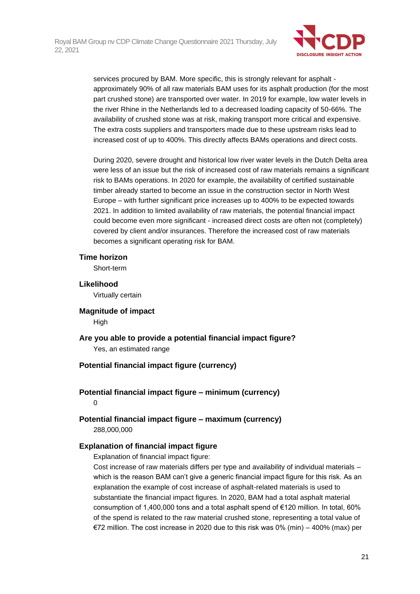

services procured by BAM. More specific, this is strongly relevant for asphalt approximately 90% of all raw materials BAM uses for its asphalt production (for the most part crushed stone) are transported over water. In 2019 for example, low water levels in the river Rhine in the Netherlands led to a decreased loading capacity of 50-66%. The availability of crushed stone was at risk, making transport more critical and expensive. The extra costs suppliers and transporters made due to these upstream risks lead to increased cost of up to 400%. This directly affects BAMs operations and direct costs.

During 2020, severe drought and historical low river water levels in the Dutch Delta area were less of an issue but the risk of increased cost of raw materials remains a significant risk to BAMs operations. In 2020 for example, the availability of certified sustainable timber already started to become an issue in the construction sector in North West Europe – with further significant price increases up to 400% to be expected towards 2021. In addition to limited availability of raw materials, the potential financial impact could become even more significant - increased direct costs are often not (completely) covered by client and/or insurances. Therefore the increased cost of raw materials becomes a significant operating risk for BAM.

#### **Time horizon**

Short-term

**Likelihood** Virtually certain

**Magnitude of impact**

**High** 

**Are you able to provide a potential financial impact figure?** Yes, an estimated range

#### **Potential financial impact figure (currency)**

**Potential financial impact figure – minimum (currency)**  $\Omega$ 

**Potential financial impact figure – maximum (currency)** 288,000,000

#### **Explanation of financial impact figure**

Explanation of financial impact figure:

Cost increase of raw materials differs per type and availability of individual materials – which is the reason BAM can't give a generic financial impact figure for this risk. As an explanation the example of cost increase of asphalt-related materials is used to substantiate the financial impact figures. In 2020, BAM had a total asphalt material consumption of 1,400,000 tons and a total asphalt spend of €120 million. In total, 60% of the spend is related to the raw material crushed stone, representing a total value of €72 million. The cost increase in 2020 due to this risk was 0% (min) – 400% (max) per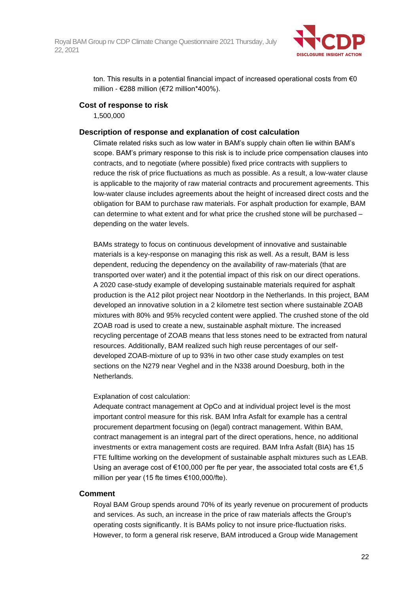

ton. This results in a potential financial impact of increased operational costs from  $\epsilon_0$ million - €288 million (€72 million\*400%).

#### **Cost of response to risk**

1,500,000

#### **Description of response and explanation of cost calculation**

Climate related risks such as low water in BAM's supply chain often lie within BAM's scope. BAM's primary response to this risk is to include price compensation clauses into contracts, and to negotiate (where possible) fixed price contracts with suppliers to reduce the risk of price fluctuations as much as possible. As a result, a low-water clause is applicable to the majority of raw material contracts and procurement agreements. This low-water clause includes agreements about the height of increased direct costs and the obligation for BAM to purchase raw materials. For asphalt production for example, BAM can determine to what extent and for what price the crushed stone will be purchased – depending on the water levels.

BAMs strategy to focus on continuous development of innovative and sustainable materials is a key-response on managing this risk as well. As a result, BAM is less dependent, reducing the dependency on the availability of raw-materials (that are transported over water) and it the potential impact of this risk on our direct operations. A 2020 case-study example of developing sustainable materials required for asphalt production is the A12 pilot project near Nootdorp in the Netherlands. In this project, BAM developed an innovative solution in a 2 kilometre test section where sustainable ZOAB mixtures with 80% and 95% recycled content were applied. The crushed stone of the old ZOAB road is used to create a new, sustainable asphalt mixture. The increased recycling percentage of ZOAB means that less stones need to be extracted from natural resources. Additionally, BAM realized such high reuse percentages of our selfdeveloped ZOAB-mixture of up to 93% in two other case study examples on test sections on the N279 near Veghel and in the N338 around Doesburg, both in the **Netherlands** 

#### Explanation of cost calculation:

Adequate contract management at OpCo and at individual project level is the most important control measure for this risk. BAM Infra Asfalt for example has a central procurement department focusing on (legal) contract management. Within BAM, contract management is an integral part of the direct operations, hence, no additional investments or extra management costs are required. BAM Infra Asfalt (BIA) has 15 FTE fulltime working on the development of sustainable asphalt mixtures such as LEAB. Using an average cost of  $\epsilon$ 100,000 per fte per year, the associated total costs are  $\epsilon$ 1.5 million per year (15 fte times €100,000/fte).

#### **Comment**

Royal BAM Group spends around 70% of its yearly revenue on procurement of products and services. As such, an increase in the price of raw materials affects the Group's operating costs significantly. It is BAMs policy to not insure price-fluctuation risks. However, to form a general risk reserve, BAM introduced a Group wide Management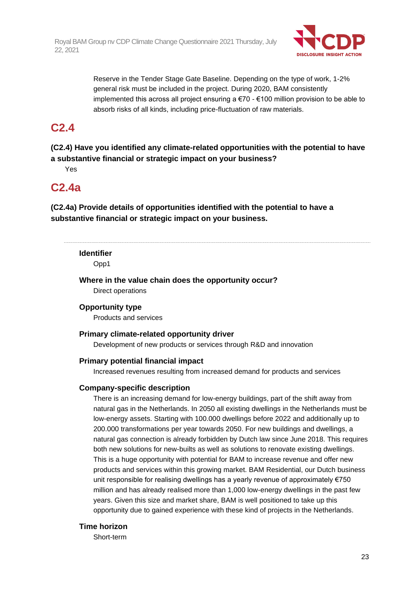

Reserve in the Tender Stage Gate Baseline. Depending on the type of work, 1-2% general risk must be included in the project. During 2020, BAM consistently implemented this across all project ensuring a  $\epsilon$ 70 -  $\epsilon$ 100 million provision to be able to absorb risks of all kinds, including price-fluctuation of raw materials.

# **C2.4**

**(C2.4) Have you identified any climate-related opportunities with the potential to have a substantive financial or strategic impact on your business?**

Yes

### **C2.4a**

**(C2.4a) Provide details of opportunities identified with the potential to have a substantive financial or strategic impact on your business.**

**Identifier**

Opp1

**Where in the value chain does the opportunity occur?** Direct operations

#### **Opportunity type**

Products and services

#### **Primary climate-related opportunity driver**

Development of new products or services through R&D and innovation

#### **Primary potential financial impact**

Increased revenues resulting from increased demand for products and services

#### **Company-specific description**

There is an increasing demand for low-energy buildings, part of the shift away from natural gas in the Netherlands. In 2050 all existing dwellings in the Netherlands must be low-energy assets. Starting with 100.000 dwellings before 2022 and additionally up to 200.000 transformations per year towards 2050. For new buildings and dwellings, a natural gas connection is already forbidden by Dutch law since June 2018. This requires both new solutions for new-builts as well as solutions to renovate existing dwellings. This is a huge opportunity with potential for BAM to increase revenue and offer new products and services within this growing market. BAM Residential, our Dutch business unit responsible for realising dwellings has a yearly revenue of approximately €750 million and has already realised more than 1,000 low-energy dwellings in the past few years. Given this size and market share, BAM is well positioned to take up this opportunity due to gained experience with these kind of projects in the Netherlands.

#### **Time horizon**

Short-term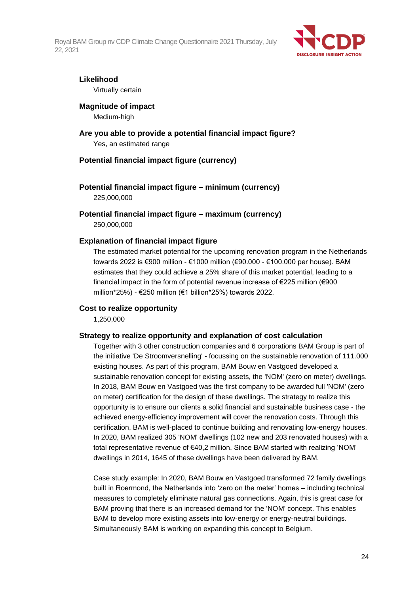

#### **Likelihood**

Virtually certain

#### **Magnitude of impact**

Medium-high

#### **Are you able to provide a potential financial impact figure?** Yes, an estimated range

#### **Potential financial impact figure (currency)**

**Potential financial impact figure – minimum (currency)** 225,000,000

**Potential financial impact figure – maximum (currency)** 250,000,000

#### **Explanation of financial impact figure**

The estimated market potential for the upcoming renovation program in the Netherlands towards 2022 is €900 million - €1000 million (€90.000 - €100.000 per house). BAM estimates that they could achieve a 25% share of this market potential, leading to a financial impact in the form of potential revenue increase of €225 million (€900 million\*25%) - €250 million (€1 billion\*25%) towards 2022.

#### **Cost to realize opportunity**

1,250,000

#### **Strategy to realize opportunity and explanation of cost calculation**

Together with 3 other construction companies and 6 corporations BAM Group is part of the initiative 'De Stroomversnelling' - focussing on the sustainable renovation of 111.000 existing houses. As part of this program, BAM Bouw en Vastgoed developed a sustainable renovation concept for existing assets, the 'NOM' (zero on meter) dwellings. In 2018, BAM Bouw en Vastgoed was the first company to be awarded full 'NOM' (zero on meter) certification for the design of these dwellings. The strategy to realize this opportunity is to ensure our clients a solid financial and sustainable business case - the achieved energy-efficiency improvement will cover the renovation costs. Through this certification, BAM is well-placed to continue building and renovating low-energy houses. In 2020, BAM realized 305 'NOM' dwellings (102 new and 203 renovated houses) with a total representative revenue of €40,2 million. Since BAM started with realizing 'NOM' dwellings in 2014, 1645 of these dwellings have been delivered by BAM.

Case study example: In 2020, BAM Bouw en Vastgoed transformed 72 family dwellings built in Roermond, the Netherlands into 'zero on the meter' homes – including technical measures to completely eliminate natural gas connections. Again, this is great case for BAM proving that there is an increased demand for the 'NOM' concept. This enables BAM to develop more existing assets into low-energy or energy-neutral buildings. Simultaneously BAM is working on expanding this concept to Belgium.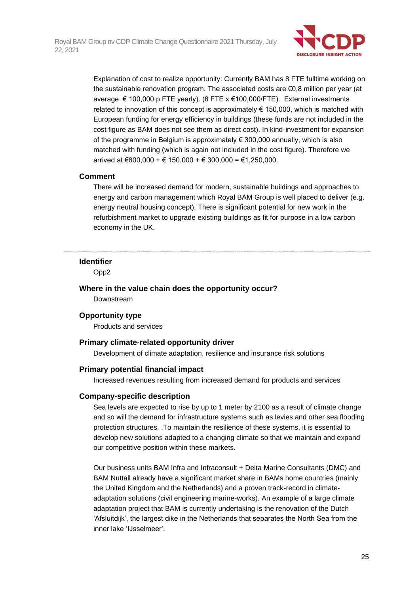

Explanation of cost to realize opportunity: Currently BAM has 8 FTE fulltime working on the sustainable renovation program. The associated costs are €0,8 million per year (at average € 100,000 p FTE yearly). (8 FTE x €100,000/FTE). External investments related to innovation of this concept is approximately  $\epsilon$  150,000, which is matched with European funding for energy efficiency in buildings (these funds are not included in the cost figure as BAM does not see them as direct cost). In kind-investment for expansion of the programme in Belgium is approximately € 300,000 annually, which is also matched with funding (which is again not included in the cost figure). Therefore we arrived at €800,000 + € 150,000 + € 300,000 = €1,250,000.

#### **Comment**

There will be increased demand for modern, sustainable buildings and approaches to energy and carbon management which Royal BAM Group is well placed to deliver (e.g. energy neutral housing concept). There is significant potential for new work in the refurbishment market to upgrade existing buildings as fit for purpose in a low carbon economy in the UK.

#### **Identifier**

Opp2

**Where in the value chain does the opportunity occur?** Downstream

#### **Opportunity type**

Products and services

#### **Primary climate-related opportunity driver**

Development of climate adaptation, resilience and insurance risk solutions

#### **Primary potential financial impact**

Increased revenues resulting from increased demand for products and services

#### **Company-specific description**

Sea levels are expected to rise by up to 1 meter by 2100 as a result of climate change and so will the demand for infrastructure systems such as levies and other sea flooding protection structures. .To maintain the resilience of these systems, it is essential to develop new solutions adapted to a changing climate so that we maintain and expand our competitive position within these markets.

Our business units BAM Infra and Infraconsult + Delta Marine Consultants (DMC) and BAM Nuttall already have a significant market share in BAMs home countries (mainly the United Kingdom and the Netherlands) and a proven track-record in climateadaptation solutions (civil engineering marine-works). An example of a large climate adaptation project that BAM is currently undertaking is the renovation of the Dutch 'Afsluitdijk', the largest dike in the Netherlands that separates the North Sea from the inner lake 'IJsselmeer'.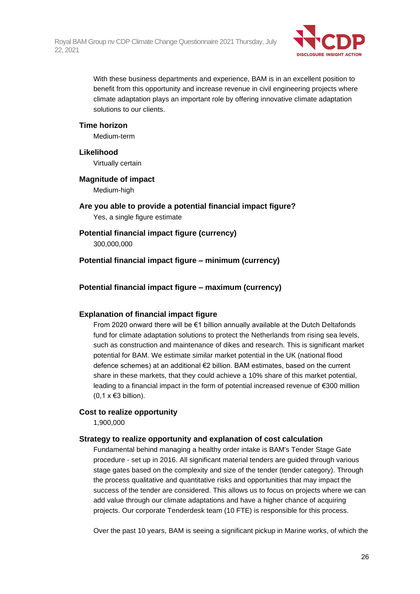

With these business departments and experience, BAM is in an excellent position to benefit from this opportunity and increase revenue in civil engineering projects where climate adaptation plays an important role by offering innovative climate adaptation solutions to our clients.

#### **Time horizon**

Medium-term

#### **Likelihood**

Virtually certain

### **Magnitude of impact**

Medium-high

### **Are you able to provide a potential financial impact figure?**

Yes, a single figure estimate

### **Potential financial impact figure (currency)**

300,000,000

#### **Potential financial impact figure – minimum (currency)**

### **Potential financial impact figure – maximum (currency)**

#### **Explanation of financial impact figure**

From 2020 onward there will be €1 billion annually available at the Dutch Deltafonds fund for climate adaptation solutions to protect the Netherlands from rising sea levels, such as construction and maintenance of dikes and research. This is significant market potential for BAM. We estimate similar market potential in the UK (national flood defence schemes) at an additional €2 billion. BAM estimates, based on the current share in these markets, that they could achieve a 10% share of this market potential, leading to a financial impact in the form of potential increased revenue of €300 million  $(0,1 \times \epsilon)$ 3 billion).

#### **Cost to realize opportunity**

1,900,000

#### **Strategy to realize opportunity and explanation of cost calculation**

Fundamental behind managing a healthy order intake is BAM's Tender Stage Gate procedure - set up in 2016. All significant material tenders are guided through various stage gates based on the complexity and size of the tender (tender category). Through the process qualitative and quantitative risks and opportunities that may impact the success of the tender are considered. This allows us to focus on projects where we can add value through our climate adaptations and have a higher chance of acquiring projects. Our corporate Tenderdesk team (10 FTE) is responsible for this process.

Over the past 10 years, BAM is seeing a significant pickup in Marine works, of which the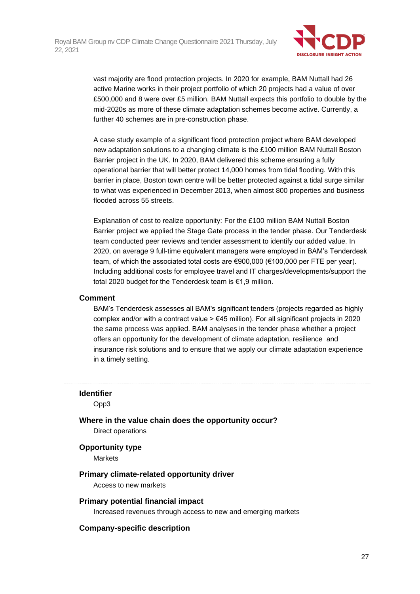

vast majority are flood protection projects. In 2020 for example, BAM Nuttall had 26 active Marine works in their project portfolio of which 20 projects had a value of over £500,000 and 8 were over £5 million. BAM Nuttall expects this portfolio to double by the mid-2020s as more of these climate adaptation schemes become active. Currently, a further 40 schemes are in pre-construction phase.

A case study example of a significant flood protection project where BAM developed new adaptation solutions to a changing climate is the £100 million BAM Nuttall Boston Barrier project in the UK. In 2020, BAM delivered this scheme ensuring a fully operational barrier that will better protect 14,000 homes from tidal flooding. With this barrier in place, Boston town centre will be better protected against a tidal surge similar to what was experienced in December 2013, when almost 800 properties and business flooded across 55 streets.

Explanation of cost to realize opportunity: For the £100 million BAM Nuttall Boston Barrier project we applied the Stage Gate process in the tender phase. Our Tenderdesk team conducted peer reviews and tender assessment to identify our added value. In 2020, on average 9 full-time equivalent managers were employed in BAM's Tenderdesk team, of which the associated total costs are €900,000 (€100,000 per FTE per year). Including additional costs for employee travel and IT charges/developments/support the total 2020 budget for the Tenderdesk team is €1,9 million.

#### **Comment**

BAM's Tenderdesk assesses all BAM's significant tenders (projects regarded as highly complex and/or with a contract value  $\geq \epsilon$ 45 million). For all significant projects in 2020 the same process was applied. BAM analyses in the tender phase whether a project offers an opportunity for the development of climate adaptation, resilience and insurance risk solutions and to ensure that we apply our climate adaptation experience in a timely setting.

### **Identifier**

Opp3

**Where in the value chain does the opportunity occur?** Direct operations

#### **Opportunity type**

**Markets** 

#### **Primary climate-related opportunity driver**

Access to new markets

#### **Primary potential financial impact**

Increased revenues through access to new and emerging markets

#### **Company-specific description**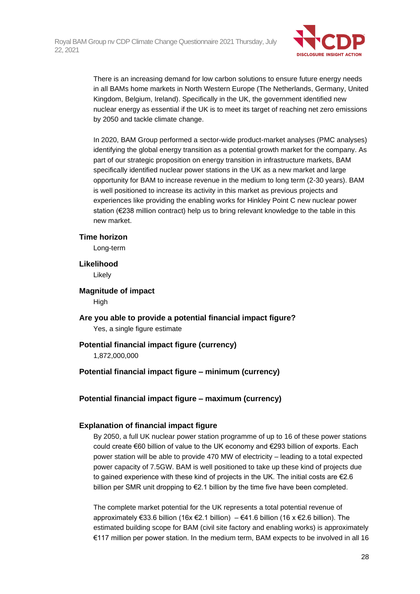

There is an increasing demand for low carbon solutions to ensure future energy needs in all BAMs home markets in North Western Europe (The Netherlands, Germany, United Kingdom, Belgium, Ireland). Specifically in the UK, the government identified new nuclear energy as essential if the UK is to meet its target of reaching net zero emissions by 2050 and tackle climate change.

In 2020, BAM Group performed a sector-wide product-market analyses (PMC analyses) identifying the global energy transition as a potential growth market for the company. As part of our strategic proposition on energy transition in infrastructure markets, BAM specifically identified nuclear power stations in the UK as a new market and large opportunity for BAM to increase revenue in the medium to long term (2-30 years). BAM is well positioned to increase its activity in this market as previous projects and experiences like providing the enabling works for Hinkley Point C new nuclear power station (€238 million contract) help us to bring relevant knowledge to the table in this new market.

#### **Time horizon**

Long-term

### **Likelihood**

Likely

**Magnitude of impact** High

**Are you able to provide a potential financial impact figure?** Yes, a single figure estimate

#### **Potential financial impact figure (currency)**

1,872,000,000

#### **Potential financial impact figure – minimum (currency)**

**Potential financial impact figure – maximum (currency)**

#### **Explanation of financial impact figure**

By 2050, a full UK nuclear power station programme of up to 16 of these power stations could create €60 billion of value to the UK economy and €293 billion of exports. Each power station will be able to provide 470 MW of electricity – leading to a total expected power capacity of 7.5GW. BAM is well positioned to take up these kind of projects due to gained experience with these kind of projects in the UK. The initial costs are €2.6 billion per SMR unit dropping to €2.1 billion by the time five have been completed.

The complete market potential for the UK represents a total potential revenue of approximately €33.6 billion (16x €2.1 billion) – €41.6 billion (16 x €2.6 billion). The estimated building scope for BAM (civil site factory and enabling works) is approximately €117 million per power station. In the medium term, BAM expects to be involved in all 16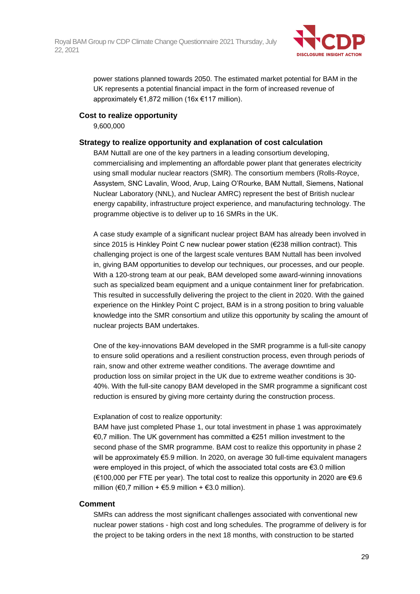

power stations planned towards 2050. The estimated market potential for BAM in the UK represents a potential financial impact in the form of increased revenue of approximately €1,872 million (16x €117 million).

#### **Cost to realize opportunity**

9,600,000

#### **Strategy to realize opportunity and explanation of cost calculation**

BAM Nuttall are one of the key partners in a leading consortium developing, commercialising and implementing an affordable power plant that generates electricity using small modular nuclear reactors (SMR). The consortium members (Rolls-Royce, Assystem, SNC Lavalin, Wood, Arup, Laing O'Rourke, BAM Nuttall, Siemens, National Nuclear Laboratory (NNL), and Nuclear AMRC) represent the best of British nuclear energy capability, infrastructure project experience, and manufacturing technology. The programme objective is to deliver up to 16 SMRs in the UK.

A case study example of a significant nuclear project BAM has already been involved in since 2015 is Hinkley Point C new nuclear power station (€238 million contract). This challenging project is one of the largest scale ventures BAM Nuttall has been involved in, giving BAM opportunities to develop our techniques, our processes, and our people. With a 120-strong team at our peak, BAM developed some award-winning innovations such as specialized beam equipment and a unique containment liner for prefabrication. This resulted in successfully delivering the project to the client in 2020. With the gained experience on the Hinkley Point C project, BAM is in a strong position to bring valuable knowledge into the SMR consortium and utilize this opportunity by scaling the amount of nuclear projects BAM undertakes.

One of the key-innovations BAM developed in the SMR programme is a full-site canopy to ensure solid operations and a resilient construction process, even through periods of rain, snow and other extreme weather conditions. The average downtime and production loss on similar project in the UK due to extreme weather conditions is 30- 40%. With the full-site canopy BAM developed in the SMR programme a significant cost reduction is ensured by giving more certainty during the construction process.

#### Explanation of cost to realize opportunity:

BAM have just completed Phase 1, our total investment in phase 1 was approximately €0,7 million. The UK government has committed a €251 million investment to the second phase of the SMR programme. BAM cost to realize this opportunity in phase 2 will be approximately €5.9 million. In 2020, on average 30 full-time equivalent managers were employed in this project, of which the associated total costs are €3.0 million (€100,000 per FTE per year). The total cost to realize this opportunity in 2020 are €9.6 million (€0,7 million + €5.9 million + €3.0 million).

#### **Comment**

SMRs can address the most significant challenges associated with conventional new nuclear power stations - high cost and long schedules. The programme of delivery is for the project to be taking orders in the next 18 months, with construction to be started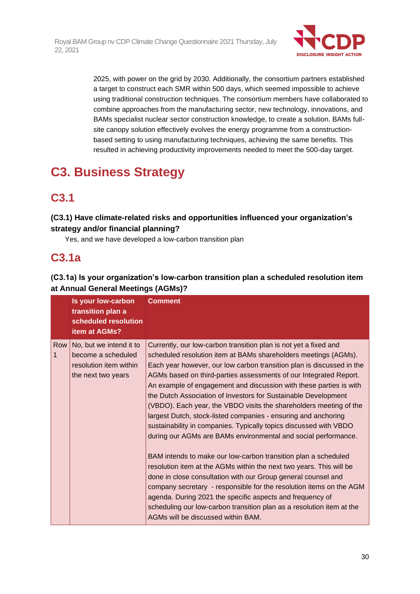

2025, with power on the grid by 2030. Additionally, the consortium partners established a target to construct each SMR within 500 days, which seemed impossible to achieve using traditional construction techniques. The consortium members have collaborated to combine approaches from the manufacturing sector, new technology, innovations, and BAMs specialist nuclear sector construction knowledge, to create a solution. BAMs fullsite canopy solution effectively evolves the energy programme from a constructionbased setting to using manufacturing techniques, achieving the same benefits. This resulted in achieving productivity improvements needed to meet the 500-day target.

# **C3. Business Strategy**

# **C3.1**

### **(C3.1) Have climate-related risks and opportunities influenced your organization's strategy and/or financial planning?**

Yes, and we have developed a low-carbon transition plan

# **C3.1a**

### **(C3.1a) Is your organization's low-carbon transition plan a scheduled resolution item at Annual General Meetings (AGMs)?**

|          | Is your low-carbon<br>transition plan a<br>scheduled resolution<br>item at AGMs?              | <b>Comment</b>                                                                                                                                                                                                                                                                                                                                                                                                                                                                                                                                                                                                                                                                                                                                                                                                                                                                                                                                                                                                                                                                                                                                                        |
|----------|-----------------------------------------------------------------------------------------------|-----------------------------------------------------------------------------------------------------------------------------------------------------------------------------------------------------------------------------------------------------------------------------------------------------------------------------------------------------------------------------------------------------------------------------------------------------------------------------------------------------------------------------------------------------------------------------------------------------------------------------------------------------------------------------------------------------------------------------------------------------------------------------------------------------------------------------------------------------------------------------------------------------------------------------------------------------------------------------------------------------------------------------------------------------------------------------------------------------------------------------------------------------------------------|
| Row<br>1 | No, but we intend it to<br>become a scheduled<br>resolution item within<br>the next two years | Currently, our low-carbon transition plan is not yet a fixed and<br>scheduled resolution item at BAMs shareholders meetings (AGMs).<br>Each year however, our low carbon transition plan is discussed in the<br>AGMs based on third-parties assessments of our Integrated Report.<br>An example of engagement and discussion with these parties is with<br>the Dutch Association of Investors for Sustainable Development<br>(VBDO). Each year, the VBDO visits the shareholders meeting of the<br>largest Dutch, stock-listed companies - ensuring and anchoring<br>sustainability in companies. Typically topics discussed with VBDO<br>during our AGMs are BAMs environmental and social performance.<br>BAM intends to make our low-carbon transition plan a scheduled<br>resolution item at the AGMs within the next two years. This will be<br>done in close consultation with our Group general counsel and<br>company secretary - responsible for the resolution items on the AGM<br>agenda. During 2021 the specific aspects and frequency of<br>scheduling our low-carbon transition plan as a resolution item at the<br>AGMs will be discussed within BAM. |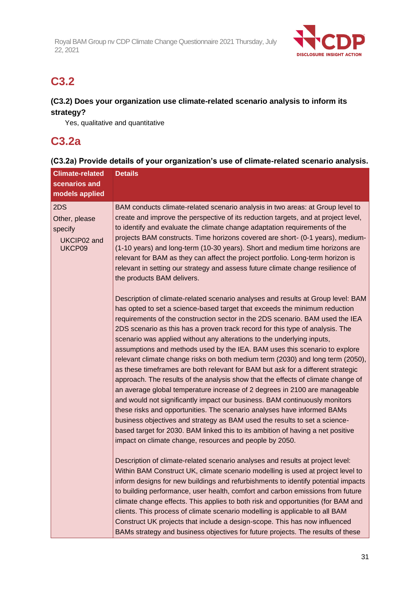

# **C3.2**

### **(C3.2) Does your organization use climate-related scenario analysis to inform its strategy?**

Yes, qualitative and quantitative

### **C3.2a**

### **(C3.2a) Provide details of your organization's use of climate-related scenario analysis.**

| <b>Climate-related</b><br>scenarios and<br>models applied | <b>Details</b>                                                                                                                                                                                                                                                                                                                                                                                                                                                                                                                                                                                                                                                                                                                                                                                                                                                                                                                                                                                                                                                                                                                                                                                                       |
|-----------------------------------------------------------|----------------------------------------------------------------------------------------------------------------------------------------------------------------------------------------------------------------------------------------------------------------------------------------------------------------------------------------------------------------------------------------------------------------------------------------------------------------------------------------------------------------------------------------------------------------------------------------------------------------------------------------------------------------------------------------------------------------------------------------------------------------------------------------------------------------------------------------------------------------------------------------------------------------------------------------------------------------------------------------------------------------------------------------------------------------------------------------------------------------------------------------------------------------------------------------------------------------------|
| 2DS<br>Other, please<br>specify<br>UKCIP02 and<br>UKCP09  | BAM conducts climate-related scenario analysis in two areas: at Group level to<br>create and improve the perspective of its reduction targets, and at project level,<br>to identify and evaluate the climate change adaptation requirements of the<br>projects BAM constructs. Time horizons covered are short- (0-1 years), medium-<br>(1-10 years) and long-term (10-30 years). Short and medium time horizons are<br>relevant for BAM as they can affect the project portfolio. Long-term horizon is<br>relevant in setting our strategy and assess future climate change resilience of<br>the products BAM delivers.                                                                                                                                                                                                                                                                                                                                                                                                                                                                                                                                                                                             |
|                                                           | Description of climate-related scenario analyses and results at Group level: BAM<br>has opted to set a science-based target that exceeds the minimum reduction<br>requirements of the construction sector in the 2DS scenario. BAM used the IEA<br>2DS scenario as this has a proven track record for this type of analysis. The<br>scenario was applied without any alterations to the underlying inputs,<br>assumptions and methods used by the IEA. BAM uses this scenario to explore<br>relevant climate change risks on both medium term (2030) and long term (2050),<br>as these timeframes are both relevant for BAM but ask for a different strategic<br>approach. The results of the analysis show that the effects of climate change of<br>an average global temperature increase of 2 degrees in 2100 are manageable<br>and would not significantly impact our business. BAM continuously monitors<br>these risks and opportunities. The scenario analyses have informed BAMs<br>business objectives and strategy as BAM used the results to set a science-<br>based target for 2030. BAM linked this to its ambition of having a net positive<br>impact on climate change, resources and people by 2050. |
|                                                           | Description of climate-related scenario analyses and results at project level:<br>Within BAM Construct UK, climate scenario modelling is used at project level to<br>inform designs for new buildings and refurbishments to identify potential impacts<br>to building performance, user health, comfort and carbon emissions from future<br>climate change effects. This applies to both risk and opportunities (for BAM and<br>clients. This process of climate scenario modelling is applicable to all BAM<br>Construct UK projects that include a design-scope. This has now influenced<br>BAMs strategy and business objectives for future projects. The results of these                                                                                                                                                                                                                                                                                                                                                                                                                                                                                                                                        |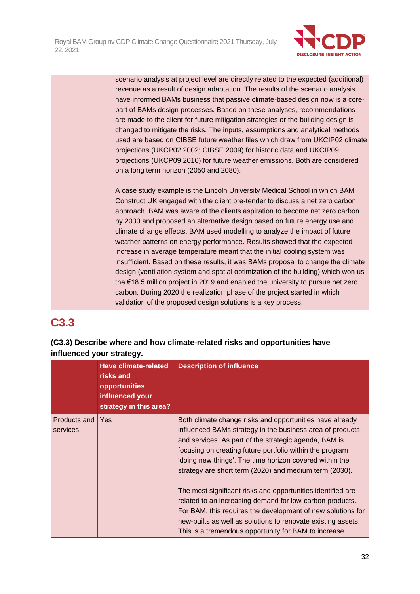

scenario analysis at project level are directly related to the expected (additional) revenue as a result of design adaptation. The results of the scenario analysis have informed BAMs business that passive climate-based design now is a corepart of BAMs design processes. Based on these analyses, recommendations are made to the client for future mitigation strategies or the building design is changed to mitigate the risks. The inputs, assumptions and analytical methods used are based on CIBSE future weather files which draw from UKCIP02 climate projections (UKCP02 2002; CIBSE 2009) for historic data and UKCIP09 projections (UKCP09 2010) for future weather emissions. Both are considered on a long term horizon (2050 and 2080).

A case study example is the Lincoln University Medical School in which BAM Construct UK engaged with the client pre-tender to discuss a net zero carbon approach. BAM was aware of the clients aspiration to become net zero carbon by 2030 and proposed an alternative design based on future energy use and climate change effects. BAM used modelling to analyze the impact of future weather patterns on energy performance. Results showed that the expected increase in average temperature meant that the initial cooling system was insufficient. Based on these results, it was BAMs proposal to change the climate design (ventilation system and spatial optimization of the building) which won us the €18.5 million project in 2019 and enabled the university to pursue net zero carbon. During 2020 the realization phase of the project started in which validation of the proposed design solutions is a key process.

# **C3.3**

### **(C3.3) Describe where and how climate-related risks and opportunities have influenced your strategy.**

|              | <b>Have climate-related</b><br>risks and<br>opportunities<br>influenced your<br>strategy in this area? | <b>Description of influence</b>                              |
|--------------|--------------------------------------------------------------------------------------------------------|--------------------------------------------------------------|
| Products and | Yes                                                                                                    | Both climate change risks and opportunities have already     |
| services     |                                                                                                        | influenced BAMs strategy in the business area of products    |
|              |                                                                                                        | and services. As part of the strategic agenda, BAM is        |
|              |                                                                                                        | focusing on creating future portfolio within the program     |
|              |                                                                                                        | 'doing new things'. The time horizon covered within the      |
|              |                                                                                                        | strategy are short term (2020) and medium term (2030).       |
|              |                                                                                                        | The most significant risks and opportunities identified are  |
|              |                                                                                                        | related to an increasing demand for low-carbon products.     |
|              |                                                                                                        | For BAM, this requires the development of new solutions for  |
|              |                                                                                                        | new-builts as well as solutions to renovate existing assets. |
|              |                                                                                                        | This is a tremendous opportunity for BAM to increase         |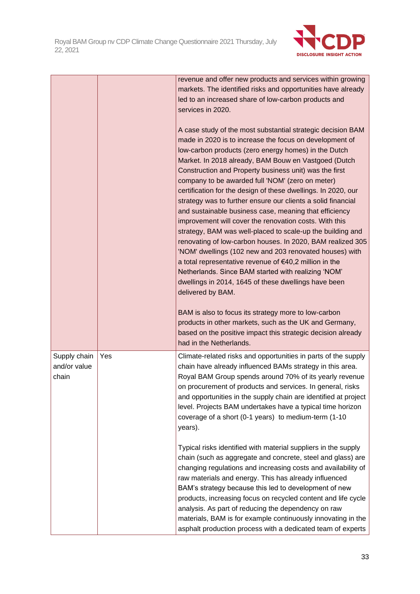

|                                       |     | revenue and offer new products and services within growing<br>markets. The identified risks and opportunities have already<br>led to an increased share of low-carbon products and<br>services in 2020.<br>A case study of the most substantial strategic decision BAM<br>made in 2020 is to increase the focus on development of<br>low-carbon products (zero energy homes) in the Dutch<br>Market. In 2018 already, BAM Bouw en Vastgoed (Dutch<br>Construction and Property business unit) was the first<br>company to be awarded full 'NOM' (zero on meter)<br>certification for the design of these dwellings. In 2020, our<br>strategy was to further ensure our clients a solid financial<br>and sustainable business case, meaning that efficiency<br>improvement will cover the renovation costs. With this<br>strategy, BAM was well-placed to scale-up the building and<br>renovating of low-carbon houses. In 2020, BAM realized 305<br>'NOM' dwellings (102 new and 203 renovated houses) with<br>a total representative revenue of €40,2 million in the<br>Netherlands. Since BAM started with realizing 'NOM'<br>dwellings in 2014, 1645 of these dwellings have been<br>delivered by BAM. |
|---------------------------------------|-----|-----------------------------------------------------------------------------------------------------------------------------------------------------------------------------------------------------------------------------------------------------------------------------------------------------------------------------------------------------------------------------------------------------------------------------------------------------------------------------------------------------------------------------------------------------------------------------------------------------------------------------------------------------------------------------------------------------------------------------------------------------------------------------------------------------------------------------------------------------------------------------------------------------------------------------------------------------------------------------------------------------------------------------------------------------------------------------------------------------------------------------------------------------------------------------------------------------------|
|                                       |     | BAM is also to focus its strategy more to low-carbon<br>products in other markets, such as the UK and Germany,<br>based on the positive impact this strategic decision already<br>had in the Netherlands.                                                                                                                                                                                                                                                                                                                                                                                                                                                                                                                                                                                                                                                                                                                                                                                                                                                                                                                                                                                                 |
| Supply chain<br>and/or value<br>chain | Yes | Climate-related risks and opportunities in parts of the supply<br>chain have already influenced BAMs strategy in this area.<br>Royal BAM Group spends around 70% of its yearly revenue<br>on procurement of products and services. In general, risks<br>and opportunities in the supply chain are identified at project<br>level. Projects BAM undertakes have a typical time horizon<br>coverage of a short (0-1 years) to medium-term (1-10<br>years).                                                                                                                                                                                                                                                                                                                                                                                                                                                                                                                                                                                                                                                                                                                                                  |
|                                       |     | Typical risks identified with material suppliers in the supply<br>chain (such as aggregate and concrete, steel and glass) are<br>changing regulations and increasing costs and availability of<br>raw materials and energy. This has already influenced<br>BAM's strategy because this led to development of new<br>products, increasing focus on recycled content and life cycle<br>analysis. As part of reducing the dependency on raw<br>materials, BAM is for example continuously innovating in the<br>asphalt production process with a dedicated team of experts                                                                                                                                                                                                                                                                                                                                                                                                                                                                                                                                                                                                                                   |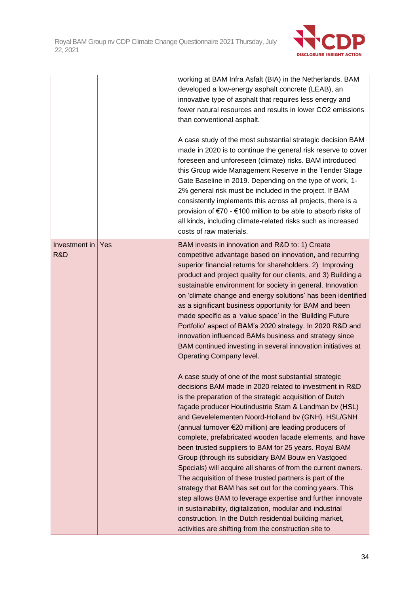

|                      |     | working at BAM Infra Asfalt (BIA) in the Netherlands. BAM<br>developed a low-energy asphalt concrete (LEAB), an<br>innovative type of asphalt that requires less energy and<br>fewer natural resources and results in lower CO2 emissions<br>than conventional asphalt.<br>A case study of the most substantial strategic decision BAM<br>made in 2020 is to continue the general risk reserve to cover<br>foreseen and unforeseen (climate) risks. BAM introduced<br>this Group wide Management Reserve in the Tender Stage<br>Gate Baseline in 2019. Depending on the type of work, 1-<br>2% general risk must be included in the project. If BAM<br>consistently implements this across all projects, there is a<br>provision of €70 - €100 million to be able to absorb risks of<br>all kinds, including climate-related risks such as increased<br>costs of raw materials.                                                                                          |
|----------------------|-----|--------------------------------------------------------------------------------------------------------------------------------------------------------------------------------------------------------------------------------------------------------------------------------------------------------------------------------------------------------------------------------------------------------------------------------------------------------------------------------------------------------------------------------------------------------------------------------------------------------------------------------------------------------------------------------------------------------------------------------------------------------------------------------------------------------------------------------------------------------------------------------------------------------------------------------------------------------------------------|
| Investment in<br>R&D | Yes | BAM invests in innovation and R&D to: 1) Create<br>competitive advantage based on innovation, and recurring<br>superior financial returns for shareholders. 2) Improving<br>product and project quality for our clients, and 3) Building a<br>sustainable environment for society in general. Innovation<br>on 'climate change and energy solutions' has been identified<br>as a significant business opportunity for BAM and been<br>made specific as a 'value space' in the 'Building Future<br>Portfolio' aspect of BAM's 2020 strategy. In 2020 R&D and<br>innovation influenced BAMs business and strategy since<br>BAM continued investing in several innovation initiatives at<br>Operating Company level.                                                                                                                                                                                                                                                        |
|                      |     | A case study of one of the most substantial strategic<br>decisions BAM made in 2020 related to investment in R&D<br>is the preparation of the strategic acquisition of Dutch<br>façade producer Houtindustrie Stam & Landman bv (HSL)<br>and Gevelelementen Noord-Holland bv (GNH). HSL/GNH<br>(annual turnover €20 million) are leading producers of<br>complete, prefabricated wooden facade elements, and have<br>been trusted suppliers to BAM for 25 years. Royal BAM<br>Group (through its subsidiary BAM Bouw en Vastgoed<br>Specials) will acquire all shares of from the current owners.<br>The acquisition of these trusted partners is part of the<br>strategy that BAM has set out for the coming years. This<br>step allows BAM to leverage expertise and further innovate<br>in sustainability, digitalization, modular and industrial<br>construction. In the Dutch residential building market,<br>activities are shifting from the construction site to |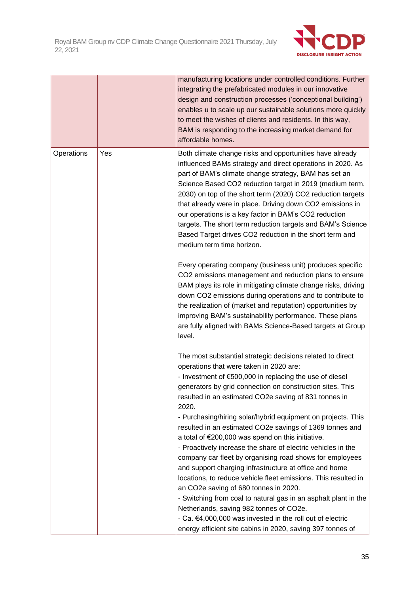

|            |     | manufacturing locations under controlled conditions. Further<br>integrating the prefabricated modules in our innovative<br>design and construction processes ('conceptional building')<br>enables u to scale up our sustainable solutions more quickly<br>to meet the wishes of clients and residents. In this way,<br>BAM is responding to the increasing market demand for<br>affordable homes.                                                                                                                                                                                                                                                                                                                                                                                                                                                                                               |
|------------|-----|-------------------------------------------------------------------------------------------------------------------------------------------------------------------------------------------------------------------------------------------------------------------------------------------------------------------------------------------------------------------------------------------------------------------------------------------------------------------------------------------------------------------------------------------------------------------------------------------------------------------------------------------------------------------------------------------------------------------------------------------------------------------------------------------------------------------------------------------------------------------------------------------------|
| Operations | Yes | Both climate change risks and opportunities have already<br>influenced BAMs strategy and direct operations in 2020. As<br>part of BAM's climate change strategy, BAM has set an<br>Science Based CO2 reduction target in 2019 (medium term,<br>2030) on top of the short term (2020) CO2 reduction targets<br>that already were in place. Driving down CO2 emissions in<br>our operations is a key factor in BAM's CO2 reduction<br>targets. The short term reduction targets and BAM's Science<br>Based Target drives CO2 reduction in the short term and<br>medium term time horizon.                                                                                                                                                                                                                                                                                                         |
|            |     | Every operating company (business unit) produces specific<br>CO2 emissions management and reduction plans to ensure<br>BAM plays its role in mitigating climate change risks, driving<br>down CO2 emissions during operations and to contribute to<br>the realization of (market and reputation) opportunities by<br>improving BAM's sustainability performance. These plans<br>are fully aligned with BAMs Science-Based targets at Group<br>level.                                                                                                                                                                                                                                                                                                                                                                                                                                            |
|            |     | The most substantial strategic decisions related to direct<br>operations that were taken in 2020 are:<br>- Investment of €500,000 in replacing the use of diesel<br>generators by grid connection on construction sites. This<br>resulted in an estimated CO2e saving of 831 tonnes in<br>2020.<br>- Purchasing/hiring solar/hybrid equipment on projects. This<br>resulted in an estimated CO2e savings of 1369 tonnes and<br>a total of €200,000 was spend on this initiative.<br>- Proactively increase the share of electric vehicles in the<br>company car fleet by organising road shows for employees<br>and support charging infrastructure at office and home<br>locations, to reduce vehicle fleet emissions. This resulted in<br>an CO2e saving of 680 tonnes in 2020.<br>- Switching from coal to natural gas in an asphalt plant in the<br>Netherlands, saving 982 tonnes of CO2e. |
|            |     | - Ca. €4,000,000 was invested in the roll out of electric<br>energy efficient site cabins in 2020, saving 397 tonnes of                                                                                                                                                                                                                                                                                                                                                                                                                                                                                                                                                                                                                                                                                                                                                                         |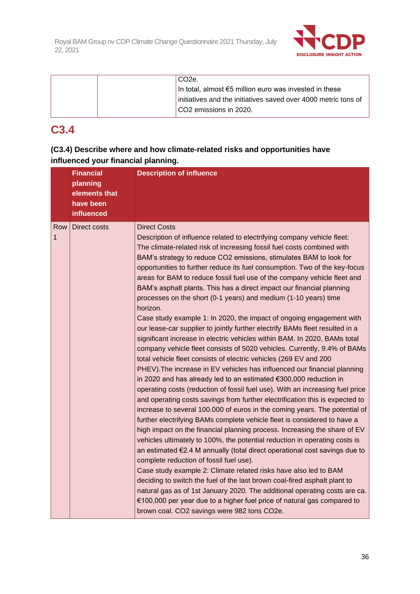

| CO <sub>2e</sub>                                               |
|----------------------------------------------------------------|
| In total, almost €5 million euro was invested in these         |
| initiatives and the initiatives saved over 4000 metric tons of |
| CO2 emissions in 2020.                                         |

# **C3.4**

### **(C3.4) Describe where and how climate-related risks and opportunities have influenced your financial planning.**

|          | <b>Financial</b><br>planning<br>elements that<br>have been<br>influenced | <b>Description of influence</b>                                                                                                                                                                                                                                                                                                                                                                                                                                                                                                                                                                                                                                                                                                                                                                                                                                                                                                                                                                                                                                                                                                                                                                                                                                                                                                                                                                                                                                                                                                                                                                                                                                                                                                                                                                                                                                                                                                                                                                                                                                                 |
|----------|--------------------------------------------------------------------------|---------------------------------------------------------------------------------------------------------------------------------------------------------------------------------------------------------------------------------------------------------------------------------------------------------------------------------------------------------------------------------------------------------------------------------------------------------------------------------------------------------------------------------------------------------------------------------------------------------------------------------------------------------------------------------------------------------------------------------------------------------------------------------------------------------------------------------------------------------------------------------------------------------------------------------------------------------------------------------------------------------------------------------------------------------------------------------------------------------------------------------------------------------------------------------------------------------------------------------------------------------------------------------------------------------------------------------------------------------------------------------------------------------------------------------------------------------------------------------------------------------------------------------------------------------------------------------------------------------------------------------------------------------------------------------------------------------------------------------------------------------------------------------------------------------------------------------------------------------------------------------------------------------------------------------------------------------------------------------------------------------------------------------------------------------------------------------|
| Row<br>1 | <b>Direct costs</b>                                                      | <b>Direct Costs</b><br>Description of influence related to electrifying company vehicle fleet:<br>The climate-related risk of increasing fossil fuel costs combined with<br>BAM's strategy to reduce CO2 emissions, stimulates BAM to look for<br>opportunities to further reduce its fuel consumption. Two of the key-focus<br>areas for BAM to reduce fossil fuel use of the company vehicle fleet and<br>BAM's asphalt plants. This has a direct impact our financial planning<br>processes on the short (0-1 years) and medium (1-10 years) time<br>horizon.<br>Case study example 1: In 2020, the impact of ongoing engagement with<br>our lease-car supplier to jointly further electrify BAMs fleet resulted in a<br>significant increase in electric vehicles within BAM. In 2020, BAMs total<br>company vehicle fleet consists of 5020 vehicles. Currently, 9.4% of BAMs<br>total vehicle fleet consists of electric vehicles (269 EV and 200<br>PHEV). The increase in EV vehicles has influenced our financial planning<br>in 2020 and has already led to an estimated €300,000 reduction in<br>operating costs (reduction of fossil fuel use). With an increasing fuel price<br>and operating costs savings from further electrification this is expected to<br>increase to several 100.000 of euros in the coming years. The potential of<br>further electrifying BAMs complete vehicle fleet is considered to have a<br>high impact on the financial planning process. Increasing the share of EV<br>vehicles ultimately to 100%, the potential reduction in operating costs is<br>an estimated €2.4 M annually (total direct operational cost savings due to<br>complete reduction of fossil fuel use).<br>Case study example 2: Climate related risks have also led to BAM<br>deciding to switch the fuel of the last brown coal-fired asphalt plant to<br>natural gas as of 1st January 2020. The additional operating costs are ca.<br>€100,000 per year due to a higher fuel price of natural gas compared to<br>brown coal. CO2 savings were 982 tons CO2e. |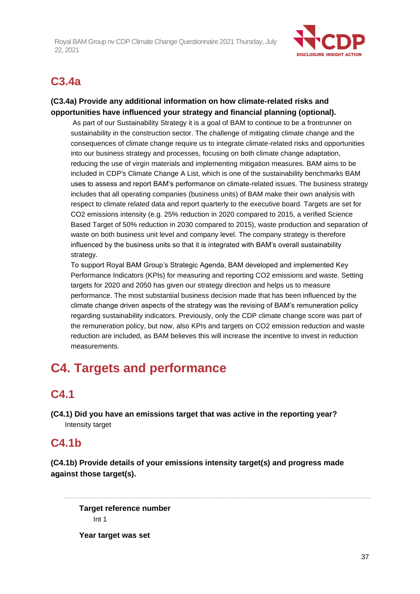

## **C3.4a**

## **(C3.4a) Provide any additional information on how climate-related risks and opportunities have influenced your strategy and financial planning (optional).**

As part of our Sustainability Strategy it is a goal of BAM to continue to be a frontrunner on sustainability in the construction sector. The challenge of mitigating climate change and the consequences of climate change require us to integrate climate-related risks and opportunities into our business strategy and processes, focusing on both climate change adaptation, reducing the use of virgin materials and implementing mitigation measures. BAM aims to be included in CDP's Climate Change A List, which is one of the sustainability benchmarks BAM uses to assess and report BAM's performance on climate-related issues. The business strategy includes that all operating companies (business units) of BAM make their own analysis with respect to climate related data and report quarterly to the executive board. Targets are set for CO2 emissions intensity (e.g. 25% reduction in 2020 compared to 2015, a verified Science Based Target of 50% reduction in 2030 compared to 2015), waste production and separation of waste on both business unit level and company level. The company strategy is therefore influenced by the business units so that it is integrated with BAM's overall sustainability strategy.

To support Royal BAM Group's Strategic Agenda, BAM developed and implemented Key Performance Indicators (KPIs) for measuring and reporting CO2 emissions and waste. Setting targets for 2020 and 2050 has given our strategy direction and helps us to measure performance. The most substantial business decision made that has been influenced by the climate change driven aspects of the strategy was the revising of BAM's remuneration policy regarding sustainability indicators. Previously, only the CDP climate change score was part of the remuneration policy, but now, also KPIs and targets on CO2 emission reduction and waste reduction are included, as BAM believes this will increase the incentive to invest in reduction measurements.

# **C4. Targets and performance**

## **C4.1**

**(C4.1) Did you have an emissions target that was active in the reporting year?** Intensity target

## **C4.1b**

**(C4.1b) Provide details of your emissions intensity target(s) and progress made against those target(s).**

**Target reference number** Int 1

**Year target was set**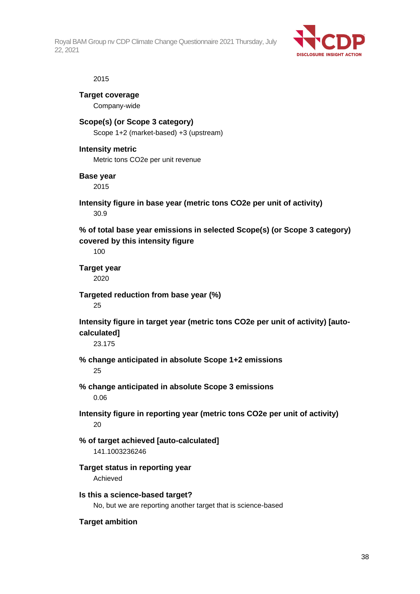

#### 2015

**Target coverage** Company-wide

## **Scope(s) (or Scope 3 category)** Scope 1+2 (market-based) +3 (upstream)

#### **Intensity metric**

Metric tons CO2e per unit revenue

#### **Base year**

2015

## **Intensity figure in base year (metric tons CO2e per unit of activity)** 30.9

## **% of total base year emissions in selected Scope(s) (or Scope 3 category) covered by this intensity figure**

100

**Target year** 2020

**Targeted reduction from base year (%)**

25

**Intensity figure in target year (metric tons CO2e per unit of activity) [autocalculated]**

23.175

**% change anticipated in absolute Scope 1+2 emissions** 25

- **% change anticipated in absolute Scope 3 emissions** 0.06
- **Intensity figure in reporting year (metric tons CO2e per unit of activity)**  $20$
- **% of target achieved [auto-calculated]** 141.1003236246
- **Target status in reporting year** Achieved
- **Is this a science-based target?** No, but we are reporting another target that is science-based

## **Target ambition**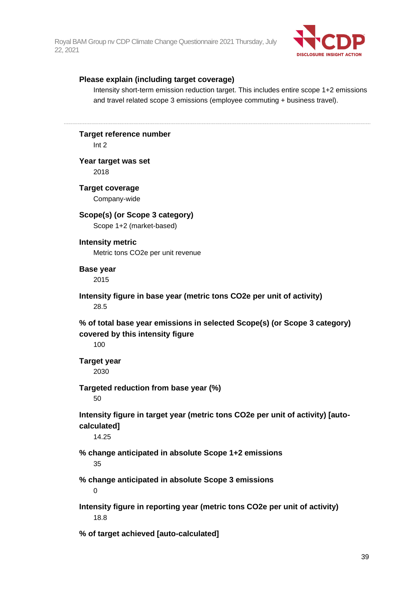

#### **Please explain (including target coverage)**

Intensity short-term emission reduction target. This includes entire scope 1+2 emissions and travel related scope 3 emissions (employee commuting + business travel).

## **Target reference number**

Int 2

## **Year target was set**

2018

## **Target coverage**

Company-wide

## **Scope(s) (or Scope 3 category)**

Scope 1+2 (market-based)

#### **Intensity metric**

Metric tons CO2e per unit revenue

#### **Base year**

2015

## **Intensity figure in base year (metric tons CO2e per unit of activity)** 28.5

**% of total base year emissions in selected Scope(s) (or Scope 3 category) covered by this intensity figure**

100

# **Target year**

2030

## **Targeted reduction from base year (%)**

50

## **Intensity figure in target year (metric tons CO2e per unit of activity) [autocalculated]**

14.25

# **% change anticipated in absolute Scope 1+2 emissions**

35

## **% change anticipated in absolute Scope 3 emissions**

0

## **Intensity figure in reporting year (metric tons CO2e per unit of activity)** 18.8

**% of target achieved [auto-calculated]**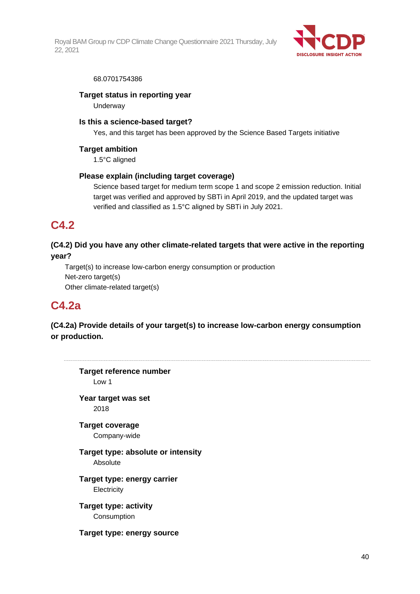

#### 68.0701754386

## **Target status in reporting year**

**Underway** 

### **Is this a science-based target?**

Yes, and this target has been approved by the Science Based Targets initiative

### **Target ambition**

1.5°C aligned

## **Please explain (including target coverage)**

Science based target for medium term scope 1 and scope 2 emission reduction. Initial target was verified and approved by SBTi in April 2019, and the updated target was verified and classified as 1.5°C aligned by SBTi in July 2021.

## **C4.2**

## **(C4.2) Did you have any other climate-related targets that were active in the reporting year?**

Target(s) to increase low-carbon energy consumption or production Net-zero target(s) Other climate-related target(s)

## **C4.2a**

**(C4.2a) Provide details of your target(s) to increase low-carbon energy consumption or production.**

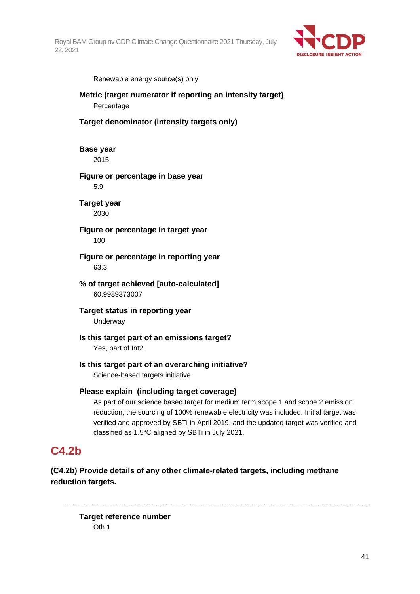

Renewable energy source(s) only

## **Metric (target numerator if reporting an intensity target)** Percentage

#### **Target denominator (intensity targets only)**

**Base year** 2015

**Figure or percentage in base year**

5.9

**Target year** 2030

**Figure or percentage in target year** 100

**Figure or percentage in reporting year** 63.3

**% of target achieved [auto-calculated]** 60.9989373007

**Target status in reporting year Underway** 

**Is this target part of an emissions target?** Yes, part of Int2

## **Is this target part of an overarching initiative?**

Science-based targets initiative

## **Please explain (including target coverage)**

As part of our science based target for medium term scope 1 and scope 2 emission reduction, the sourcing of 100% renewable electricity was included. Initial target was verified and approved by SBTi in April 2019, and the updated target was verified and classified as 1.5°C aligned by SBTi in July 2021.

## **C4.2b**

**(C4.2b) Provide details of any other climate-related targets, including methane reduction targets.**

**Target reference number** Oth 1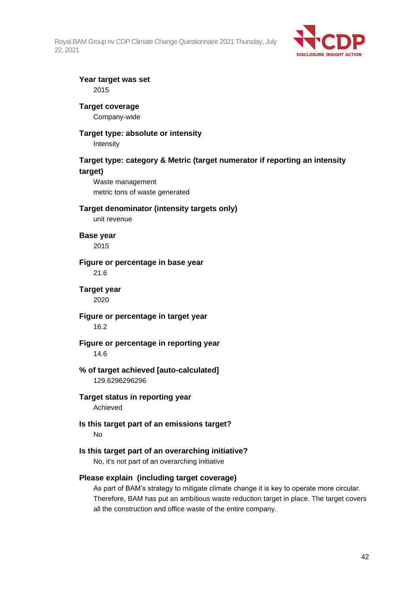

#### **Year target was set** 2015

## **Target coverage**

Company-wide

## **Target type: absolute or intensity**

Intensity

## **Target type: category & Metric (target numerator if reporting an intensity target)**

Waste management metric tons of waste generated

#### **Target denominator (intensity targets only)**

unit revenue

**Base year**

2015

#### **Figure or percentage in base year**

21.6

#### **Target year** 2020

## **Figure or percentage in target year** 16.2

## **Figure or percentage in reporting year** 14.6

## **% of target achieved [auto-calculated]** 129.6296296296

## **Target status in reporting year** Achieved

## **Is this target part of an emissions target?** No

## **Is this target part of an overarching initiative?**

No, it's not part of an overarching initiative

## **Please explain (including target coverage)**

As part of BAM's strategy to mitigate climate change it is key to operate more circular. Therefore, BAM has put an ambitious waste reduction target in place. The target covers all the construction and office waste of the entire company.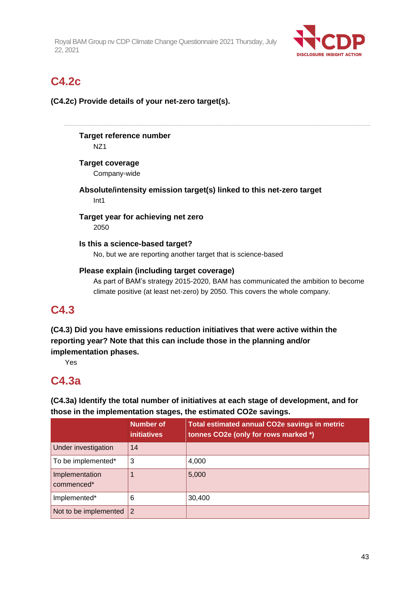

# **C4.2c**

**(C4.2c) Provide details of your net-zero target(s).**

**Target reference number** NZ1

**Target coverage**

Company-wide

**Absolute/intensity emission target(s) linked to this net-zero target** Int1

**Target year for achieving net zero** 2050

**Is this a science-based target?** No, but we are reporting another target that is science-based

## **Please explain (including target coverage)**

As part of BAM's strategy 2015-2020, BAM has communicated the ambition to become climate positive (at least net-zero) by 2050. This covers the whole company.

## **C4.3**

**(C4.3) Did you have emissions reduction initiatives that were active within the reporting year? Note that this can include those in the planning and/or implementation phases.**

Yes

## **C4.3a**

**(C4.3a) Identify the total number of initiatives at each stage of development, and for those in the implementation stages, the estimated CO2e savings.**

|                              | Number of<br><b>initiatives</b> | <b>Total estimated annual CO2e savings in metric</b><br>tonnes CO2e (only for rows marked *) |
|------------------------------|---------------------------------|----------------------------------------------------------------------------------------------|
| Under investigation          | 14                              |                                                                                              |
| To be implemented*           | 3                               | 4,000                                                                                        |
| Implementation<br>commenced* |                                 | 5,000                                                                                        |
| Implemented*                 | 6                               | 30,400                                                                                       |
| Not to be implemented        | 2                               |                                                                                              |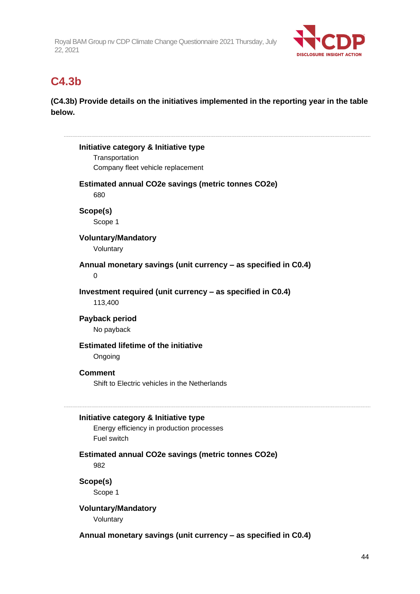

## **C4.3b**

**(C4.3b) Provide details on the initiatives implemented in the reporting year in the table below.**

| Initiative category & Initiative type                            |  |
|------------------------------------------------------------------|--|
| Transportation                                                   |  |
| Company fleet vehicle replacement                                |  |
| <b>Estimated annual CO2e savings (metric tonnes CO2e)</b><br>680 |  |
|                                                                  |  |
| Scope(s)                                                         |  |
| Scope 1                                                          |  |
| <b>Voluntary/Mandatory</b>                                       |  |
| Voluntary                                                        |  |
| Annual monetary savings (unit currency - as specified in C0.4)   |  |
| $\Omega$                                                         |  |
|                                                                  |  |
| Investment required (unit currency - as specified in C0.4)       |  |
| 113,400                                                          |  |
| Payback period                                                   |  |
| No payback                                                       |  |
| <b>Estimated lifetime of the initiative</b>                      |  |
|                                                                  |  |
| Ongoing                                                          |  |
| <b>Comment</b>                                                   |  |
| Shift to Electric vehicles in the Netherlands                    |  |
|                                                                  |  |
| Initiative category & Initiative type                            |  |
| Energy efficiency in production processes                        |  |
| Fuel switch                                                      |  |
| Estimated annual CO2e savings (metric tonnes CO2e)               |  |
| 982                                                              |  |
|                                                                  |  |
| Scope(s)                                                         |  |
| Scope 1                                                          |  |
| <b>Voluntary/Mandatory</b>                                       |  |
| Voluntary                                                        |  |

**Annual monetary savings (unit currency – as specified in C0.4)**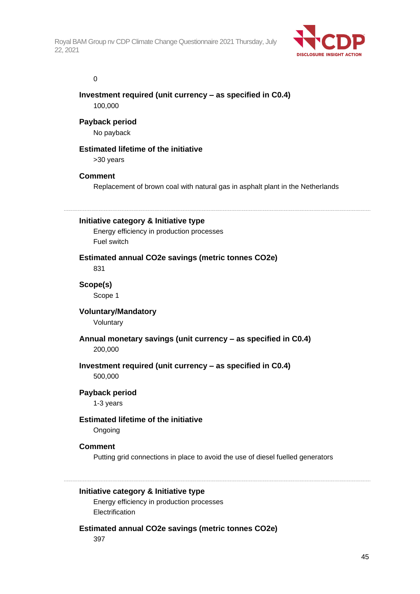

#### 0

### **Investment required (unit currency – as specified in C0.4)** 100,000

## **Payback period**

No payback

## **Estimated lifetime of the initiative**

>30 years

## **Comment**

Replacement of brown coal with natural gas in asphalt plant in the Netherlands

## **Initiative category & Initiative type**

Energy efficiency in production processes Fuel switch

## **Estimated annual CO2e savings (metric tonnes CO2e)**

831

## **Scope(s)**

Scope 1

## **Voluntary/Mandatory**

Voluntary

# **Annual monetary savings (unit currency – as specified in C0.4)**

200,000

## **Investment required (unit currency – as specified in C0.4)**

500,000

## **Payback period**

1-3 years

## **Estimated lifetime of the initiative**

Ongoing

## **Comment**

Putting grid connections in place to avoid the use of diesel fuelled generators

## **Initiative category & Initiative type**

Energy efficiency in production processes Electrification

## **Estimated annual CO2e savings (metric tonnes CO2e)**

397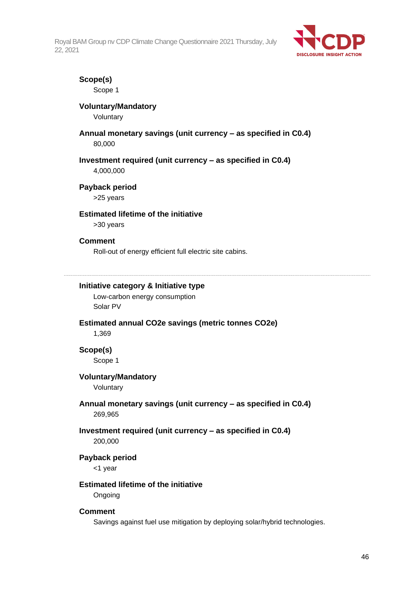

## **Scope(s)**

Scope 1

## **Voluntary/Mandatory**

Voluntary

#### **Annual monetary savings (unit currency – as specified in C0.4)** 80,000

### **Investment required (unit currency – as specified in C0.4)**

4,000,000

#### **Payback period**

>25 years

## **Estimated lifetime of the initiative**

>30 years

#### **Comment**

Roll-out of energy efficient full electric site cabins.

## **Initiative category & Initiative type**

Low-carbon energy consumption Solar PV

## **Estimated annual CO2e savings (metric tonnes CO2e)**

1,369

## **Scope(s)**

Scope 1

#### **Voluntary/Mandatory**

Voluntary

#### **Annual monetary savings (unit currency – as specified in C0.4)** 269,965

## **Investment required (unit currency – as specified in C0.4)**

200,000

#### **Payback period**

<1 year

#### **Estimated lifetime of the initiative**

Ongoing

#### **Comment**

Savings against fuel use mitigation by deploying solar/hybrid technologies.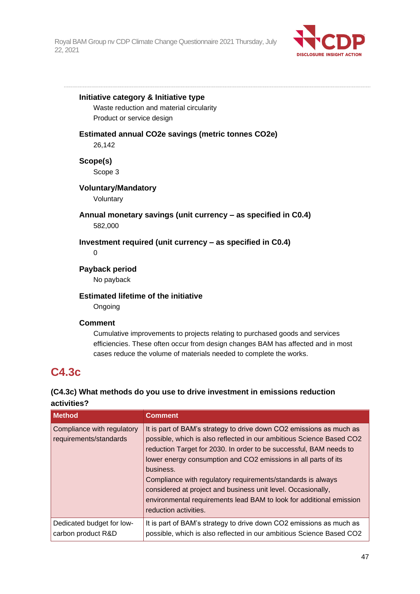

#### **Initiative category & Initiative type**

Waste reduction and material circularity Product or service design

#### **Estimated annual CO2e savings (metric tonnes CO2e)**

26,142

**Scope(s)**

Scope 3

#### **Voluntary/Mandatory**

Voluntary

### **Annual monetary savings (unit currency – as specified in C0.4)** 582,000

## **Investment required (unit currency – as specified in C0.4)**

 $\Omega$ 

## **Payback period**

No payback

## **Estimated lifetime of the initiative**

**Ongoing** 

## **Comment**

Cumulative improvements to projects relating to purchased goods and services efficiencies. These often occur from design changes BAM has affected and in most cases reduce the volume of materials needed to complete the works.

## **C4.3c**

## **(C4.3c) What methods do you use to drive investment in emissions reduction activities?**

| <b>Method</b>                                        | <b>Comment</b>                                                                                                                                                                                                                                                                                                                                                                                                                                                                                                                  |
|------------------------------------------------------|---------------------------------------------------------------------------------------------------------------------------------------------------------------------------------------------------------------------------------------------------------------------------------------------------------------------------------------------------------------------------------------------------------------------------------------------------------------------------------------------------------------------------------|
| Compliance with regulatory<br>requirements/standards | It is part of BAM's strategy to drive down CO2 emissions as much as<br>possible, which is also reflected in our ambitious Science Based CO2<br>reduction Target for 2030. In order to be successful, BAM needs to<br>lower energy consumption and CO2 emissions in all parts of its<br>business.<br>Compliance with regulatory requirements/standards is always<br>considered at project and business unit level. Occasionally,<br>environmental requirements lead BAM to look for additional emission<br>reduction activities. |
| Dedicated budget for low-<br>carbon product R&D      | It is part of BAM's strategy to drive down CO2 emissions as much as<br>possible, which is also reflected in our ambitious Science Based CO2                                                                                                                                                                                                                                                                                                                                                                                     |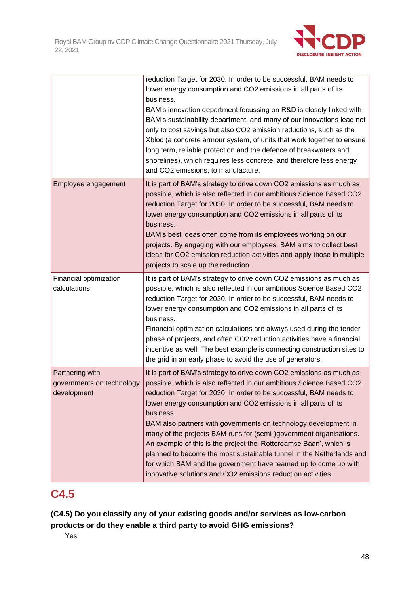

|                                                             | reduction Target for 2030. In order to be successful, BAM needs to<br>lower energy consumption and CO2 emissions in all parts of its<br>business.<br>BAM's innovation department focussing on R&D is closely linked with<br>BAM's sustainability department, and many of our innovations lead not<br>only to cost savings but also CO2 emission reductions, such as the<br>Xbloc (a concrete armour system, of units that work together to ensure<br>long term, reliable protection and the defence of breakwaters and<br>shorelines), which requires less concrete, and therefore less energy<br>and CO2 emissions, to manufacture.                                                                                       |
|-------------------------------------------------------------|----------------------------------------------------------------------------------------------------------------------------------------------------------------------------------------------------------------------------------------------------------------------------------------------------------------------------------------------------------------------------------------------------------------------------------------------------------------------------------------------------------------------------------------------------------------------------------------------------------------------------------------------------------------------------------------------------------------------------|
| Employee engagement                                         | It is part of BAM's strategy to drive down CO2 emissions as much as<br>possible, which is also reflected in our ambitious Science Based CO2<br>reduction Target for 2030. In order to be successful, BAM needs to<br>lower energy consumption and CO2 emissions in all parts of its<br>business.<br>BAM's best ideas often come from its employees working on our<br>projects. By engaging with our employees, BAM aims to collect best<br>ideas for CO2 emission reduction activities and apply those in multiple<br>projects to scale up the reduction.                                                                                                                                                                  |
| Financial optimization<br>calculations                      | It is part of BAM's strategy to drive down CO2 emissions as much as<br>possible, which is also reflected in our ambitious Science Based CO2<br>reduction Target for 2030. In order to be successful, BAM needs to<br>lower energy consumption and CO2 emissions in all parts of its<br>business.<br>Financial optimization calculations are always used during the tender<br>phase of projects, and often CO2 reduction activities have a financial<br>incentive as well. The best example is connecting construction sites to<br>the grid in an early phase to avoid the use of generators.                                                                                                                               |
| Partnering with<br>governments on technology<br>development | It is part of BAM's strategy to drive down CO2 emissions as much as<br>possible, which is also reflected in our ambitious Science Based CO2<br>reduction Target for 2030. In order to be successful, BAM needs to<br>lower energy consumption and CO2 emissions in all parts of its<br>business.<br>BAM also partners with governments on technology development in<br>many of the projects BAM runs for (semi-)government organisations.<br>An example of this is the project the 'Rotterdamse Baan', which is<br>planned to become the most sustainable tunnel in the Netherlands and<br>for which BAM and the government have teamed up to come up with<br>innovative solutions and CO2 emissions reduction activities. |

# **C4.5**

**(C4.5) Do you classify any of your existing goods and/or services as low-carbon products or do they enable a third party to avoid GHG emissions?**

Yes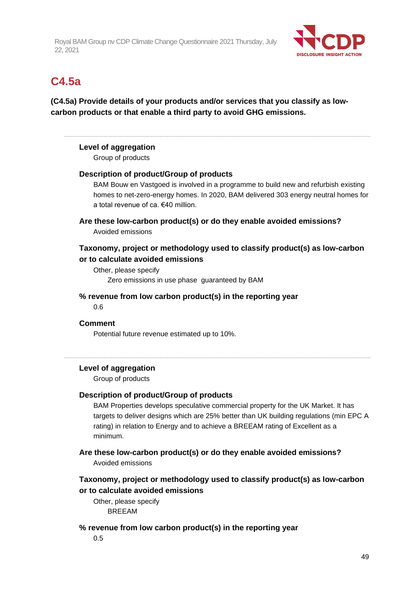

## **C4.5a**

**(C4.5a) Provide details of your products and/or services that you classify as lowcarbon products or that enable a third party to avoid GHG emissions.**

### **Level of aggregation**

Group of products

#### **Description of product/Group of products**

BAM Bouw en Vastgoed is involved in a programme to build new and refurbish existing homes to net-zero-energy homes. In 2020, BAM delivered 303 energy neutral homes for a total revenue of ca. €40 million.

**Are these low-carbon product(s) or do they enable avoided emissions?** Avoided emissions

## **Taxonomy, project or methodology used to classify product(s) as low-carbon or to calculate avoided emissions**

Other, please specify Zero emissions in use phase guaranteed by BAM

#### **% revenue from low carbon product(s) in the reporting year**

0.6

#### **Comment**

Potential future revenue estimated up to 10%.

#### **Level of aggregation**

Group of products

#### **Description of product/Group of products**

BAM Properties develops speculative commercial property for the UK Market. It has targets to deliver designs which are 25% better than UK building regulations (min EPC A rating) in relation to Energy and to achieve a BREEAM rating of Excellent as a minimum.

**Are these low-carbon product(s) or do they enable avoided emissions?** Avoided emissions

## **Taxonomy, project or methodology used to classify product(s) as low-carbon or to calculate avoided emissions**

Other, please specify BREEAM

#### **% revenue from low carbon product(s) in the reporting year**

0.5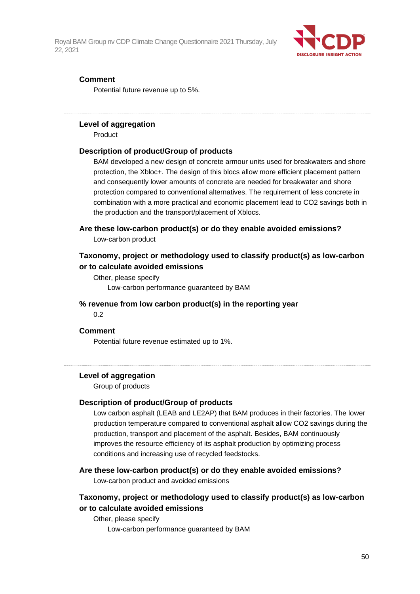

### **Comment**

Potential future revenue up to 5%.

#### **Level of aggregation**

Product

#### **Description of product/Group of products**

BAM developed a new design of concrete armour units used for breakwaters and shore protection, the Xbloc+. The design of this blocs allow more efficient placement pattern and consequently lower amounts of concrete are needed for breakwater and shore protection compared to conventional alternatives. The requirement of less concrete in combination with a more practical and economic placement lead to CO2 savings both in the production and the transport/placement of Xblocs.

#### **Are these low-carbon product(s) or do they enable avoided emissions?**

Low-carbon product

## **Taxonomy, project or methodology used to classify product(s) as low-carbon or to calculate avoided emissions**

Other, please specify Low-carbon performance guaranteed by BAM

#### **% revenue from low carbon product(s) in the reporting year**

0.2

#### **Comment**

Potential future revenue estimated up to 1%.

#### **Level of aggregation**

Group of products

#### **Description of product/Group of products**

Low carbon asphalt (LEAB and LE2AP) that BAM produces in their factories. The lower production temperature compared to conventional asphalt allow CO2 savings during the production, transport and placement of the asphalt. Besides, BAM continuously improves the resource efficiency of its asphalt production by optimizing process conditions and increasing use of recycled feedstocks.

#### **Are these low-carbon product(s) or do they enable avoided emissions?**

Low-carbon product and avoided emissions

## **Taxonomy, project or methodology used to classify product(s) as low-carbon or to calculate avoided emissions**

Other, please specify Low-carbon performance guaranteed by BAM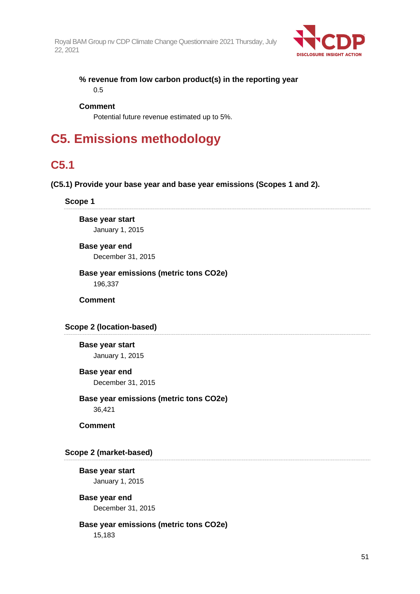

**% revenue from low carbon product(s) in the reporting year** 0.5

#### **Comment**

Potential future revenue estimated up to 5%.

# **C5. Emissions methodology**

## **C5.1**

#### **(C5.1) Provide your base year and base year emissions (Scopes 1 and 2).**

#### **Scope 1**

**Base year start** January 1, 2015

**Base year end** December 31, 2015

**Base year emissions (metric tons CO2e)** 196,337

**Comment**

## **Scope 2 (location-based)**

**Base year start** January 1, 2015

#### **Base year end**

December 31, 2015

## **Base year emissions (metric tons CO2e)**

36,421

**Comment**

## **Scope 2 (market-based)**

**Base year start** January 1, 2015

## **Base year end** December 31, 2015

#### **Base year emissions (metric tons CO2e)** 15,183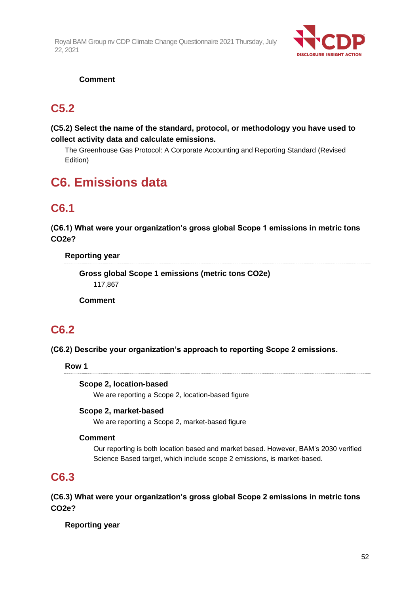

## **Comment**

## **C5.2**

## **(C5.2) Select the name of the standard, protocol, or methodology you have used to collect activity data and calculate emissions.**

The Greenhouse Gas Protocol: A Corporate Accounting and Reporting Standard (Revised Edition)

# **C6. Emissions data**

# **C6.1**

**(C6.1) What were your organization's gross global Scope 1 emissions in metric tons CO2e?**

## **Reporting year**

**Gross global Scope 1 emissions (metric tons CO2e)** 117,867

**Comment**

## **C6.2**

## **(C6.2) Describe your organization's approach to reporting Scope 2 emissions.**

**Row 1**

## **Scope 2, location-based**

We are reporting a Scope 2, location-based figure

## **Scope 2, market-based**

We are reporting a Scope 2, market-based figure

## **Comment**

Our reporting is both location based and market based. However, BAM's 2030 verified Science Based target, which include scope 2 emissions, is market-based.

## **C6.3**

**(C6.3) What were your organization's gross global Scope 2 emissions in metric tons CO2e?**

**Reporting year**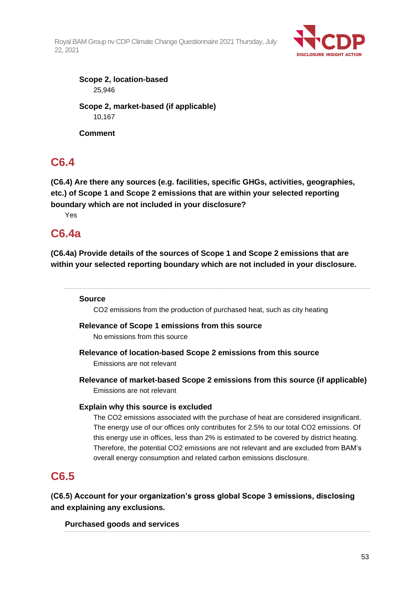

**Scope 2, location-based** 25,946 **Scope 2, market-based (if applicable)** 10,167 **Comment**

**C6.4**

**(C6.4) Are there any sources (e.g. facilities, specific GHGs, activities, geographies, etc.) of Scope 1 and Scope 2 emissions that are within your selected reporting boundary which are not included in your disclosure?**

Yes

## **C6.4a**

**(C6.4a) Provide details of the sources of Scope 1 and Scope 2 emissions that are within your selected reporting boundary which are not included in your disclosure.**

## **Source**

CO2 emissions from the production of purchased heat, such as city heating

## **Relevance of Scope 1 emissions from this source**

No emissions from this source

**Relevance of location-based Scope 2 emissions from this source**

Emissions are not relevant

**Relevance of market-based Scope 2 emissions from this source (if applicable)** Emissions are not relevant

## **Explain why this source is excluded**

The CO2 emissions associated with the purchase of heat are considered insignificant. The energy use of our offices only contributes for 2.5% to our total CO2 emissions. Of this energy use in offices, less than 2% is estimated to be covered by district heating. Therefore, the potential CO2 emissions are not relevant and are excluded from BAM's overall energy consumption and related carbon emissions disclosure.

## **C6.5**

**(C6.5) Account for your organization's gross global Scope 3 emissions, disclosing and explaining any exclusions.**

**Purchased goods and services**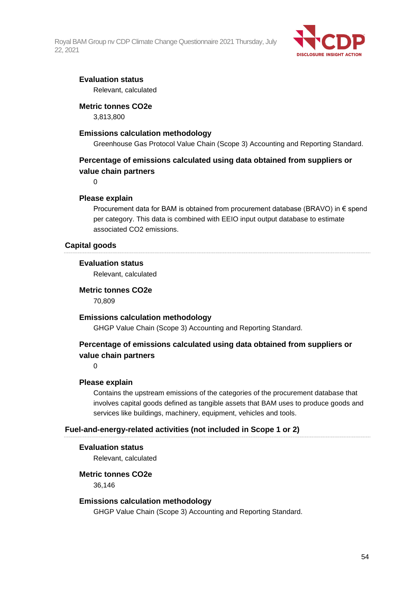

## **Evaluation status**

Relevant, calculated

#### **Metric tonnes CO2e**

3,813,800

#### **Emissions calculation methodology**

Greenhouse Gas Protocol Value Chain (Scope 3) Accounting and Reporting Standard.

## **Percentage of emissions calculated using data obtained from suppliers or value chain partners**

0

#### **Please explain**

Procurement data for BAM is obtained from procurement database (BRAVO) in € spend per category. This data is combined with EEIO input output database to estimate associated CO2 emissions.

#### **Capital goods**

#### **Evaluation status**

Relevant, calculated

## **Metric tonnes CO2e**

70,809

## **Emissions calculation methodology**

GHGP Value Chain (Scope 3) Accounting and Reporting Standard.

## **Percentage of emissions calculated using data obtained from suppliers or value chain partners**

0

#### **Please explain**

Contains the upstream emissions of the categories of the procurement database that involves capital goods defined as tangible assets that BAM uses to produce goods and services like buildings, machinery, equipment, vehicles and tools.

#### **Fuel-and-energy-related activities (not included in Scope 1 or 2)**

#### **Evaluation status**

Relevant, calculated

### **Metric tonnes CO2e**

36,146

#### **Emissions calculation methodology**

GHGP Value Chain (Scope 3) Accounting and Reporting Standard.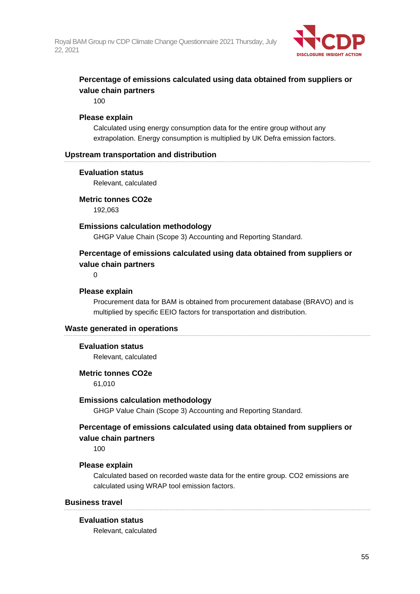

## **Percentage of emissions calculated using data obtained from suppliers or value chain partners**

100

#### **Please explain**

Calculated using energy consumption data for the entire group without any extrapolation. Energy consumption is multiplied by UK Defra emission factors.

#### **Upstream transportation and distribution**

#### **Evaluation status**

Relevant, calculated

#### **Metric tonnes CO2e**

192,063

#### **Emissions calculation methodology**

GHGP Value Chain (Scope 3) Accounting and Reporting Standard.

## **Percentage of emissions calculated using data obtained from suppliers or value chain partners**

 $\Omega$ 

#### **Please explain**

Procurement data for BAM is obtained from procurement database (BRAVO) and is multiplied by specific EEIO factors for transportation and distribution.

#### **Waste generated in operations**

#### **Evaluation status**

Relevant, calculated

#### **Metric tonnes CO2e**

61,010

#### **Emissions calculation methodology**

GHGP Value Chain (Scope 3) Accounting and Reporting Standard.

## **Percentage of emissions calculated using data obtained from suppliers or value chain partners**

100

## **Please explain**

Calculated based on recorded waste data for the entire group. CO2 emissions are calculated using WRAP tool emission factors.

#### **Business travel**

#### **Evaluation status**

Relevant, calculated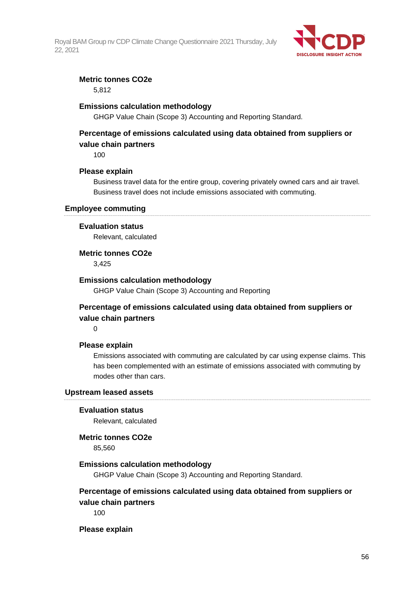

## **Metric tonnes CO2e**

5,812

### **Emissions calculation methodology**

GHGP Value Chain (Scope 3) Accounting and Reporting Standard.

## **Percentage of emissions calculated using data obtained from suppliers or value chain partners**

100

#### **Please explain**

Business travel data for the entire group, covering privately owned cars and air travel. Business travel does not include emissions associated with commuting.

#### **Employee commuting**

#### **Evaluation status**

Relevant, calculated

#### **Metric tonnes CO2e**

3,425

#### **Emissions calculation methodology**

GHGP Value Chain (Scope 3) Accounting and Reporting

## **Percentage of emissions calculated using data obtained from suppliers or value chain partners**

0

#### **Please explain**

Emissions associated with commuting are calculated by car using expense claims. This has been complemented with an estimate of emissions associated with commuting by modes other than cars.

#### **Upstream leased assets**

#### **Evaluation status**

Relevant, calculated

#### **Metric tonnes CO2e**

85,560

#### **Emissions calculation methodology**

GHGP Value Chain (Scope 3) Accounting and Reporting Standard.

## **Percentage of emissions calculated using data obtained from suppliers or value chain partners**

100

#### **Please explain**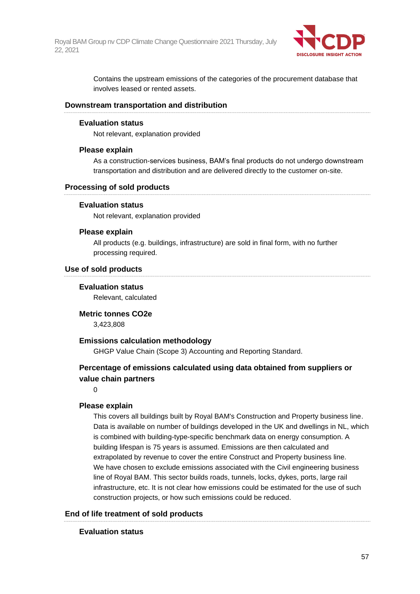

Contains the upstream emissions of the categories of the procurement database that involves leased or rented assets.

#### **Downstream transportation and distribution**

#### **Evaluation status**

Not relevant, explanation provided

#### **Please explain**

As a construction-services business, BAM's final products do not undergo downstream transportation and distribution and are delivered directly to the customer on-site.

#### **Processing of sold products**

#### **Evaluation status**

Not relevant, explanation provided

#### **Please explain**

All products (e.g. buildings, infrastructure) are sold in final form, with no further processing required.

#### **Use of sold products**

#### **Evaluation status**

Relevant, calculated

**Metric tonnes CO2e** 3,423,808

#### **Emissions calculation methodology**

GHGP Value Chain (Scope 3) Accounting and Reporting Standard.

## **Percentage of emissions calculated using data obtained from suppliers or value chain partners**

#### $\Omega$

#### **Please explain**

This covers all buildings built by Royal BAM's Construction and Property business line. Data is available on number of buildings developed in the UK and dwellings in NL, which is combined with building-type-specific benchmark data on energy consumption. A building lifespan is 75 years is assumed. Emissions are then calculated and extrapolated by revenue to cover the entire Construct and Property business line. We have chosen to exclude emissions associated with the Civil engineering business line of Royal BAM. This sector builds roads, tunnels, locks, dykes, ports, large rail infrastructure, etc. It is not clear how emissions could be estimated for the use of such construction projects, or how such emissions could be reduced.

#### **End of life treatment of sold products**

#### **Evaluation status**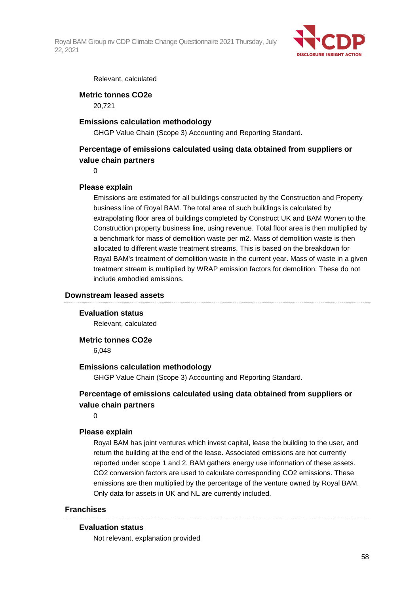

#### Relevant, calculated

#### **Metric tonnes CO2e**

20,721

#### **Emissions calculation methodology**

GHGP Value Chain (Scope 3) Accounting and Reporting Standard.

## **Percentage of emissions calculated using data obtained from suppliers or value chain partners**

 $\Omega$ 

#### **Please explain**

Emissions are estimated for all buildings constructed by the Construction and Property business line of Royal BAM. The total area of such buildings is calculated by extrapolating floor area of buildings completed by Construct UK and BAM Wonen to the Construction property business line, using revenue. Total floor area is then multiplied by a benchmark for mass of demolition waste per m2. Mass of demolition waste is then allocated to different waste treatment streams. This is based on the breakdown for Royal BAM's treatment of demolition waste in the current year. Mass of waste in a given treatment stream is multiplied by WRAP emission factors for demolition. These do not include embodied emissions.

#### **Downstream leased assets**

#### **Evaluation status**

Relevant, calculated

**Metric tonnes CO2e**

6,048

#### **Emissions calculation methodology**

GHGP Value Chain (Scope 3) Accounting and Reporting Standard.

## **Percentage of emissions calculated using data obtained from suppliers or value chain partners**

 $\Omega$ 

#### **Please explain**

Royal BAM has joint ventures which invest capital, lease the building to the user, and return the building at the end of the lease. Associated emissions are not currently reported under scope 1 and 2. BAM gathers energy use information of these assets. CO2 conversion factors are used to calculate corresponding CO2 emissions. These emissions are then multiplied by the percentage of the venture owned by Royal BAM. Only data for assets in UK and NL are currently included.

#### **Franchises**

#### **Evaluation status**

Not relevant, explanation provided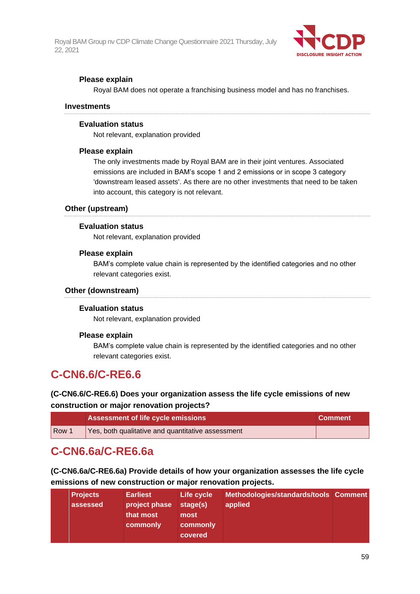

## **Please explain**

Royal BAM does not operate a franchising business model and has no franchises.

#### **Investments**

#### **Evaluation status**

Not relevant, explanation provided

#### **Please explain**

The only investments made by Royal BAM are in their joint ventures. Associated emissions are included in BAM's scope 1 and 2 emissions or in scope 3 category 'downstream leased assets'. As there are no other investments that need to be taken into account, this category is not relevant.

#### **Other (upstream)**

#### **Evaluation status**

Not relevant, explanation provided

#### **Please explain**

BAM's complete value chain is represented by the identified categories and no other relevant categories exist.

#### **Other (downstream)**

#### **Evaluation status**

Not relevant, explanation provided

#### **Please explain**

BAM's complete value chain is represented by the identified categories and no other relevant categories exist.

## **C-CN6.6/C-RE6.6**

## **(C-CN6.6/C-RE6.6) Does your organization assess the life cycle emissions of new construction or major renovation projects?**

|                  | <b>Assessment of life cycle emissions</b>         | <b>Comment</b> |
|------------------|---------------------------------------------------|----------------|
| Row <sup>1</sup> | Yes, both qualitative and quantitative assessment |                |

## **C-CN6.6a/C-RE6.6a**

**(C-CN6.6a/C-RE6.6a) Provide details of how your organization assesses the life cycle emissions of new construction or major renovation projects.**

| <b>Projects</b><br>assessed | <b>Earliest</b><br>project phase<br>that most<br>commonly | Life cycle<br>stage(s)<br>most<br>commonly<br>covered | Methodologies/standards/tools Comment<br>applied |  |
|-----------------------------|-----------------------------------------------------------|-------------------------------------------------------|--------------------------------------------------|--|
|                             |                                                           |                                                       |                                                  |  |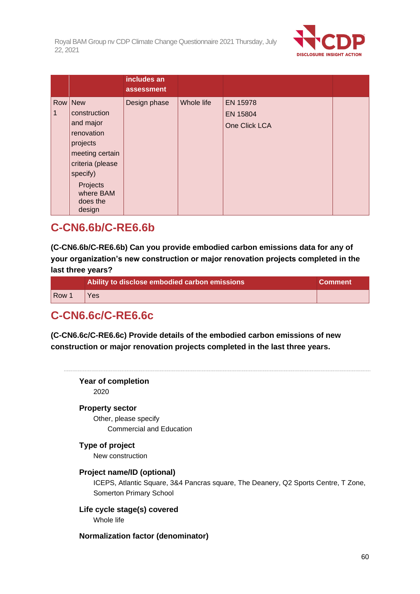

|   |                                                                                                                                                                  | includes an<br>assessment |            |                                       |  |
|---|------------------------------------------------------------------------------------------------------------------------------------------------------------------|---------------------------|------------|---------------------------------------|--|
| 1 | Row New<br>construction<br>and major<br>renovation<br>projects<br>meeting certain<br>criteria (please<br>specify)<br>Projects<br>where BAM<br>does the<br>design | Design phase              | Whole life | EN 15978<br>EN 15804<br>One Click LCA |  |

## **C-CN6.6b/C-RE6.6b**

**(C-CN6.6b/C-RE6.6b) Can you provide embodied carbon emissions data for any of your organization's new construction or major renovation projects completed in the last three years?**

|                  | Ability to disclose embodied carbon emissions | <b>Comment</b> |
|------------------|-----------------------------------------------|----------------|
| Row <sup>1</sup> | Yes                                           |                |

# **C-CN6.6c/C-RE6.6c**

**(C-CN6.6c/C-RE6.6c) Provide details of the embodied carbon emissions of new construction or major renovation projects completed in the last three years.**

**Year of completion** 2020 **Property sector** Other, please specify Commercial and Education **Type of project** New construction **Project name/ID (optional)** ICEPS, Atlantic Square, 3&4 Pancras square, The Deanery, Q2 Sports Centre, T Zone, Somerton Primary School **Life cycle stage(s) covered** Whole life **Normalization factor (denominator)**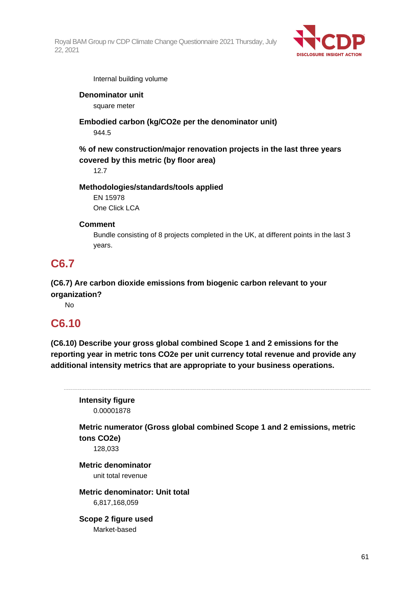

Internal building volume

## **Denominator unit**

square meter

**Embodied carbon (kg/CO2e per the denominator unit)**

944.5

**% of new construction/major renovation projects in the last three years covered by this metric (by floor area)**

12.7

## **Methodologies/standards/tools applied**

EN 15978 One Click LCA

## **Comment**

Bundle consisting of 8 projects completed in the UK, at different points in the last 3 years.

# **C6.7**

**(C6.7) Are carbon dioxide emissions from biogenic carbon relevant to your organization?**

No

## **C6.10**

**(C6.10) Describe your gross global combined Scope 1 and 2 emissions for the reporting year in metric tons CO2e per unit currency total revenue and provide any additional intensity metrics that are appropriate to your business operations.**

**Intensity figure** 0.00001878

**Metric numerator (Gross global combined Scope 1 and 2 emissions, metric tons CO2e)**

128,033

**Metric denominator** unit total revenue

**Metric denominator: Unit total** 6,817,168,059

**Scope 2 figure used** Market-based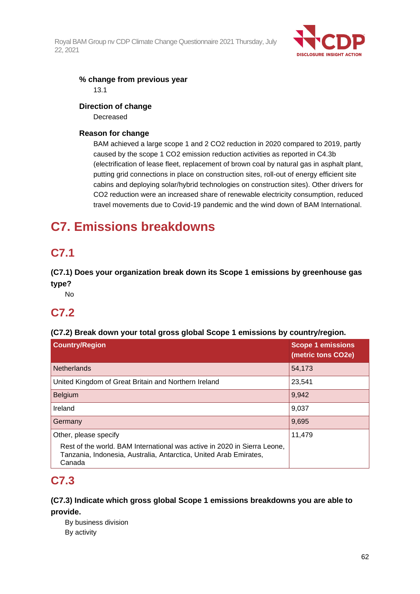

## **% change from previous year**

13.1

## **Direction of change**

Decreased

## **Reason for change**

BAM achieved a large scope 1 and 2 CO2 reduction in 2020 compared to 2019, partly caused by the scope 1 CO2 emission reduction activities as reported in C4.3b (electrification of lease fleet, replacement of brown coal by natural gas in asphalt plant, putting grid connections in place on construction sites, roll-out of energy efficient site cabins and deploying solar/hybrid technologies on construction sites). Other drivers for CO2 reduction were an increased share of renewable electricity consumption, reduced travel movements due to Covid-19 pandemic and the wind down of BAM International.

# **C7. Emissions breakdowns**

# **C7.1**

**(C7.1) Does your organization break down its Scope 1 emissions by greenhouse gas type?**

No

# **C7.2**

## **(C7.2) Break down your total gross global Scope 1 emissions by country/region.**

| <b>Country/Region</b>                                                                                                                                   | <b>Scope 1 emissions</b><br>(metric tons CO2e) |
|---------------------------------------------------------------------------------------------------------------------------------------------------------|------------------------------------------------|
| <b>Netherlands</b>                                                                                                                                      | 54,173                                         |
| United Kingdom of Great Britain and Northern Ireland                                                                                                    | 23,541                                         |
| Belgium                                                                                                                                                 | 9,942                                          |
| Ireland                                                                                                                                                 | 9,037                                          |
| Germany                                                                                                                                                 | 9,695                                          |
| Other, please specify                                                                                                                                   | 11,479                                         |
| Rest of the world. BAM International was active in 2020 in Sierra Leone,<br>Tanzania, Indonesia, Australia, Antarctica, United Arab Emirates,<br>Canada |                                                |

# **C7.3**

## **(C7.3) Indicate which gross global Scope 1 emissions breakdowns you are able to provide.**

By business division By activity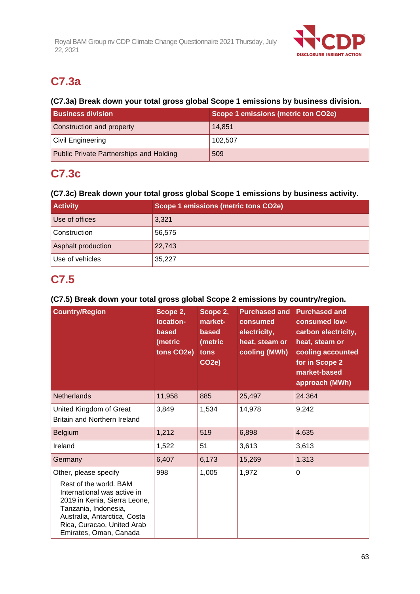

# **C7.3a**

## **(C7.3a) Break down your total gross global Scope 1 emissions by business division.**

| <b>Business division</b>                | <b>Scope 1 emissions (metric ton CO2e)</b> |  |  |
|-----------------------------------------|--------------------------------------------|--|--|
| Construction and property               | 14,851                                     |  |  |
| Civil Engineering                       | 102.507                                    |  |  |
| Public Private Partnerships and Holding | 509                                        |  |  |

# **C7.3c**

## **(C7.3c) Break down your total gross global Scope 1 emissions by business activity.**

| <b>Activity</b>    | Scope 1 emissions (metric tons CO2e) |  |
|--------------------|--------------------------------------|--|
| Use of offices     | 3,321                                |  |
| Construction       | 56,575                               |  |
| Asphalt production | 22,743                               |  |
| Use of vehicles    | 35,227                               |  |

# **C7.5**

## **(C7.5) Break down your total gross global Scope 2 emissions by country/region.**

| <b>Country/Region</b>                                                                                                                                                                                                          | Scope 2,<br>location-<br>based<br>(metric<br>tons CO2e) | Scope 2,<br>market-<br>based<br>(metric<br>tons<br>CO <sub>2</sub> e) | <b>Purchased and</b><br>consumed<br>electricity,<br>heat, steam or<br>cooling (MWh) | <b>Purchased and</b><br>consumed low-<br>carbon electricity,<br>heat, steam or<br>cooling accounted<br>for in Scope 2<br>market-based<br>approach (MWh) |
|--------------------------------------------------------------------------------------------------------------------------------------------------------------------------------------------------------------------------------|---------------------------------------------------------|-----------------------------------------------------------------------|-------------------------------------------------------------------------------------|---------------------------------------------------------------------------------------------------------------------------------------------------------|
| <b>Netherlands</b>                                                                                                                                                                                                             | 11,958                                                  | 885                                                                   | 25,497                                                                              | 24,364                                                                                                                                                  |
| United Kingdom of Great<br><b>Britain and Northern Ireland</b>                                                                                                                                                                 | 3,849                                                   | 1,534                                                                 | 14,978                                                                              | 9,242                                                                                                                                                   |
| <b>Belgium</b>                                                                                                                                                                                                                 | 1,212                                                   | 519                                                                   | 6,898                                                                               | 4,635                                                                                                                                                   |
| Ireland                                                                                                                                                                                                                        | 1,522                                                   | 51                                                                    | 3,613                                                                               | 3,613                                                                                                                                                   |
| Germany                                                                                                                                                                                                                        | 6,407                                                   | 6,173                                                                 | 15,269                                                                              | 1,313                                                                                                                                                   |
| Other, please specify<br>Rest of the world. BAM<br>International was active in<br>2019 in Kenia, Sierra Leone,<br>Tanzania, Indonesia,<br>Australia, Antarctica, Costa<br>Rica, Curacao, United Arab<br>Emirates, Oman, Canada | 998                                                     | 1,005                                                                 | 1,972                                                                               | 0                                                                                                                                                       |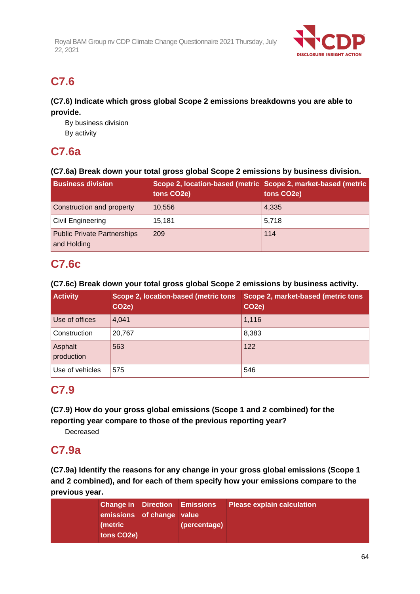

# **C7.6**

## **(C7.6) Indicate which gross global Scope 2 emissions breakdowns you are able to provide.**

By business division By activity

# **C7.6a**

## **(C7.6a) Break down your total gross global Scope 2 emissions by business division.**

| <b>Business division</b>                          | Scope 2, location-based (metric Scope 2, market-based (metric<br>tons CO2e) | tons CO2e) |
|---------------------------------------------------|-----------------------------------------------------------------------------|------------|
| Construction and property                         | 10,556                                                                      | 4,335      |
| <b>Civil Engineering</b>                          | 15,181                                                                      | 5,718      |
| <b>Public Private Partnerships</b><br>and Holding | 209                                                                         | 114        |

## **C7.6c**

## **(C7.6c) Break down your total gross global Scope 2 emissions by business activity.**

| <b>Activity</b>       | Scope 2, location-based (metric tons<br>CO <sub>2</sub> e) | Scope 2, market-based (metric tons<br>CO <sub>2</sub> e) |
|-----------------------|------------------------------------------------------------|----------------------------------------------------------|
| Use of offices        | 4.041                                                      | 1,116                                                    |
| Construction          | 20.767                                                     | 8,383                                                    |
| Asphalt<br>production | 563                                                        | 122                                                      |
| Use of vehicles       | 575                                                        | 546                                                      |

## **C7.9**

**(C7.9) How do your gross global emissions (Scope 1 and 2 combined) for the reporting year compare to those of the previous reporting year?**

Decreased

## **C7.9a**

**(C7.9a) Identify the reasons for any change in your gross global emissions (Scope 1 and 2 combined), and for each of them specify how your emissions compare to the previous year.**

|                           | <b>Change in Direction Emissions</b> | <b>Please explain calculation</b> |
|---------------------------|--------------------------------------|-----------------------------------|
| emissions of change value |                                      |                                   |
| (metric                   | (percentage)                         |                                   |
| tons CO2e)                |                                      |                                   |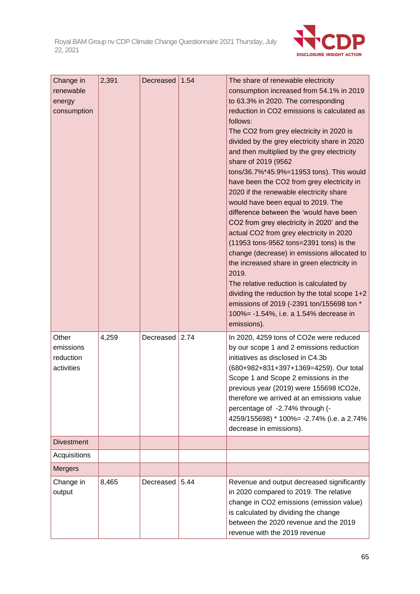

| Change in<br>renewable<br>energy<br>consumption | 2,391 | Decreased | 1.54 | The share of renewable electricity<br>consumption increased from 54.1% in 2019<br>to 63.3% in 2020. The corresponding<br>reduction in CO2 emissions is calculated as<br>follows:<br>The CO2 from grey electricity in 2020 is<br>divided by the grey electricity share in 2020<br>and then multiplied by the grey electricity<br>share of 2019 (9562<br>tons/36.7%*45.9%=11953 tons). This would<br>have been the CO2 from grey electricity in<br>2020 if the renewable electricity share<br>would have been equal to 2019. The<br>difference between the 'would have been<br>CO2 from grey electricity in 2020' and the<br>actual CO2 from grey electricity in 2020<br>(11953 tons-9562 tons=2391 tons) is the<br>change (decrease) in emissions allocated to<br>the increased share in green electricity in<br>2019.<br>The relative reduction is calculated by<br>dividing the reduction by the total scope 1+2<br>emissions of 2019 (-2391 ton/155698 ton *<br>100% = - 1.54%, i.e. a 1.54% decrease in<br>emissions). |
|-------------------------------------------------|-------|-----------|------|---------------------------------------------------------------------------------------------------------------------------------------------------------------------------------------------------------------------------------------------------------------------------------------------------------------------------------------------------------------------------------------------------------------------------------------------------------------------------------------------------------------------------------------------------------------------------------------------------------------------------------------------------------------------------------------------------------------------------------------------------------------------------------------------------------------------------------------------------------------------------------------------------------------------------------------------------------------------------------------------------------------------------|
| Other<br>emissions<br>reduction<br>activities   | 4,259 | Decreased | 2.74 | In 2020, 4259 tons of CO2e were reduced<br>by our scope 1 and 2 emissions reduction<br>initiatives as disclosed in C4.3b<br>(680+982+831+397+1369=4259). Our total<br>Scope 1 and Scope 2 emissions in the<br>previous year (2019) were 155698 tCO2e,<br>therefore we arrived at an emissions value<br>percentage of -2.74% through (-<br>4259/155698) * 100% = - 2.74% (i.e. a 2.74%<br>decrease in emissions).                                                                                                                                                                                                                                                                                                                                                                                                                                                                                                                                                                                                          |
| <b>Divestment</b>                               |       |           |      |                                                                                                                                                                                                                                                                                                                                                                                                                                                                                                                                                                                                                                                                                                                                                                                                                                                                                                                                                                                                                           |
| Acquisitions                                    |       |           |      |                                                                                                                                                                                                                                                                                                                                                                                                                                                                                                                                                                                                                                                                                                                                                                                                                                                                                                                                                                                                                           |
| <b>Mergers</b>                                  |       |           |      |                                                                                                                                                                                                                                                                                                                                                                                                                                                                                                                                                                                                                                                                                                                                                                                                                                                                                                                                                                                                                           |
| Change in<br>output                             | 8,465 | Decreased | 5.44 | Revenue and output decreased significantly<br>in 2020 compared to 2019. The relative<br>change in CO2 emissions (emission value)<br>is calculated by dividing the change<br>between the 2020 revenue and the 2019<br>revenue with the 2019 revenue                                                                                                                                                                                                                                                                                                                                                                                                                                                                                                                                                                                                                                                                                                                                                                        |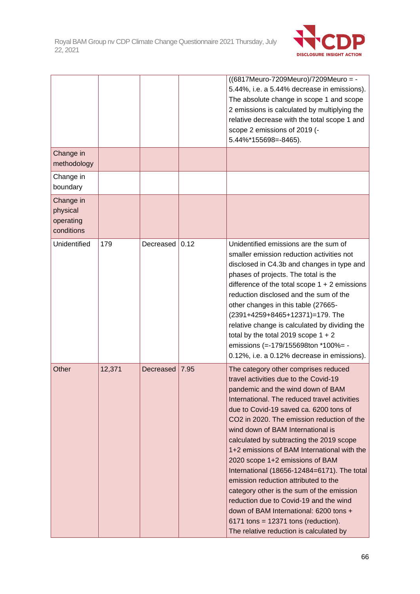

|                                                  |        |           |      | ((6817Meuro-7209Meuro)/7209Meuro = -<br>5.44%, i.e. a 5.44% decrease in emissions).<br>The absolute change in scope 1 and scope<br>2 emissions is calculated by multiplying the<br>relative decrease with the total scope 1 and<br>scope 2 emissions of 2019 (-<br>5.44%*155698=-8465).                                                                                                                                                                                                                                                                                                                                                                                                                                                   |
|--------------------------------------------------|--------|-----------|------|-------------------------------------------------------------------------------------------------------------------------------------------------------------------------------------------------------------------------------------------------------------------------------------------------------------------------------------------------------------------------------------------------------------------------------------------------------------------------------------------------------------------------------------------------------------------------------------------------------------------------------------------------------------------------------------------------------------------------------------------|
| Change in<br>methodology                         |        |           |      |                                                                                                                                                                                                                                                                                                                                                                                                                                                                                                                                                                                                                                                                                                                                           |
| Change in<br>boundary                            |        |           |      |                                                                                                                                                                                                                                                                                                                                                                                                                                                                                                                                                                                                                                                                                                                                           |
| Change in<br>physical<br>operating<br>conditions |        |           |      |                                                                                                                                                                                                                                                                                                                                                                                                                                                                                                                                                                                                                                                                                                                                           |
| Unidentified                                     | 179    | Decreased | 0.12 | Unidentified emissions are the sum of<br>smaller emission reduction activities not<br>disclosed in C4.3b and changes in type and<br>phases of projects. The total is the<br>difference of the total scope $1 + 2$ emissions<br>reduction disclosed and the sum of the<br>other changes in this table (27665-<br>(2391+4259+8465+12371)=179. The<br>relative change is calculated by dividing the<br>total by the total 2019 scope $1 + 2$<br>emissions (=-179/155698ton *100%= -<br>0.12%, i.e. a 0.12% decrease in emissions).                                                                                                                                                                                                           |
| Other                                            | 12,371 | Decreased | 7.95 | The category other comprises reduced<br>travel activities due to the Covid-19<br>pandemic and the wind down of BAM<br>International. The reduced travel activities<br>due to Covid-19 saved ca. 6200 tons of<br>CO2 in 2020. The emission reduction of the<br>wind down of BAM International is<br>calculated by subtracting the 2019 scope<br>1+2 emissions of BAM International with the<br>2020 scope 1+2 emissions of BAM<br>International (18656-12484=6171). The total<br>emission reduction attributed to the<br>category other is the sum of the emission<br>reduction due to Covid-19 and the wind<br>down of BAM International: 6200 tons +<br>$6171$ tons = 12371 tons (reduction).<br>The relative reduction is calculated by |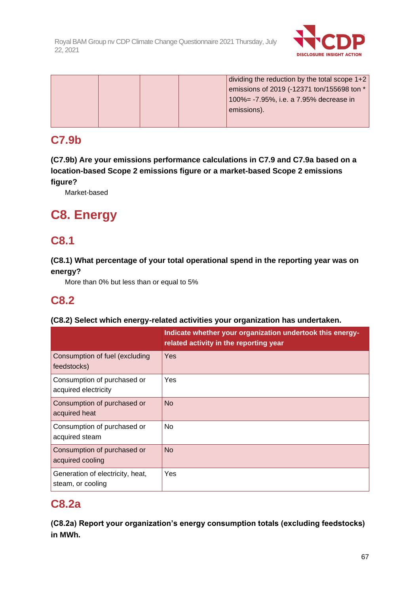

dividing the reduction by the total scope 1+2 emissions of 2019 (-12371 ton/155698 ton \* 100%= -7.95%, i.e. a 7.95% decrease in emissions).

# **C7.9b**

**(C7.9b) Are your emissions performance calculations in C7.9 and C7.9a based on a location-based Scope 2 emissions figure or a market-based Scope 2 emissions figure?**

Market-based

# **C8. Energy**

## **C8.1**

## **(C8.1) What percentage of your total operational spend in the reporting year was on energy?**

More than 0% but less than or equal to 5%

# **C8.2**

## **(C8.2) Select which energy-related activities your organization has undertaken.**

|                                                       | Indicate whether your organization undertook this energy-<br>related activity in the reporting year |
|-------------------------------------------------------|-----------------------------------------------------------------------------------------------------|
| Consumption of fuel (excluding<br>feedstocks)         | Yes                                                                                                 |
| Consumption of purchased or<br>acquired electricity   | Yes                                                                                                 |
| Consumption of purchased or<br>acquired heat          | <b>No</b>                                                                                           |
| Consumption of purchased or<br>acquired steam         | <b>No</b>                                                                                           |
| Consumption of purchased or<br>acquired cooling       | <b>No</b>                                                                                           |
| Generation of electricity, heat,<br>steam, or cooling | Yes                                                                                                 |

## **C8.2a**

**(C8.2a) Report your organization's energy consumption totals (excluding feedstocks) in MWh.**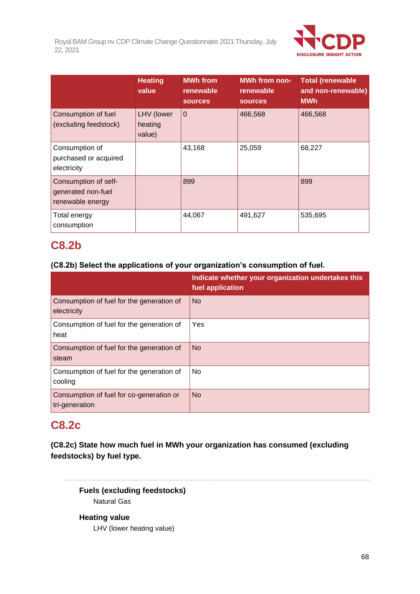

|                                                                | <b>Heating</b><br>value         | <b>MWh from</b><br>renewable<br><b>sources</b> | <b>MWh from non-</b><br>renewable<br><b>sources</b> | <b>Total (renewable</b><br>and non-renewable)<br><b>MWh</b> |
|----------------------------------------------------------------|---------------------------------|------------------------------------------------|-----------------------------------------------------|-------------------------------------------------------------|
| Consumption of fuel<br>(excluding feedstock)                   | LHV (lower<br>heating<br>value) | $\overline{0}$                                 | 466,568                                             | 466,568                                                     |
| Consumption of<br>purchased or acquired<br>electricity         |                                 | 43,168                                         | 25,059                                              | 68,227                                                      |
| Consumption of self-<br>generated non-fuel<br>renewable energy |                                 | 899                                            |                                                     | 899                                                         |
| Total energy<br>consumption                                    |                                 | 44,067                                         | 491,627                                             | 535,695                                                     |

# **C8.2b**

## **(C8.2b) Select the applications of your organization's consumption of fuel.**

|                                                            | Indicate whether your organization undertakes this<br>fuel application |
|------------------------------------------------------------|------------------------------------------------------------------------|
| Consumption of fuel for the generation of<br>electricity   | <b>No</b>                                                              |
| Consumption of fuel for the generation of<br>heat          | Yes                                                                    |
| Consumption of fuel for the generation of<br>steam         | <b>No</b>                                                              |
| Consumption of fuel for the generation of<br>cooling       | No                                                                     |
| Consumption of fuel for co-generation or<br>tri-generation | <b>No</b>                                                              |

## **C8.2c**

**(C8.2c) State how much fuel in MWh your organization has consumed (excluding feedstocks) by fuel type.**

**Fuels (excluding feedstocks)** Natural Gas

**Heating value** LHV (lower heating value)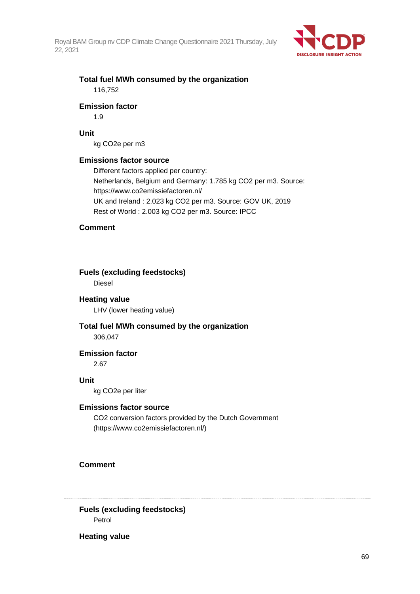

## **Total fuel MWh consumed by the organization** 116,752

#### **Emission factor**

1.9

## **Unit**

kg CO2e per m3

### **Emissions factor source**

Different factors applied per country: Netherlands, Belgium and Germany: 1.785 kg CO2 per m3. Source: https://www.co2emissiefactoren.nl/ UK and Ireland : 2.023 kg CO2 per m3. Source: GOV UK, 2019 Rest of World : 2.003 kg CO2 per m3. Source: IPCC

#### **Comment**

**Fuels (excluding feedstocks)**

Diesel

### **Heating value**

LHV (lower heating value)

#### **Total fuel MWh consumed by the organization** 306,047

**Emission factor**

2.67

#### **Unit**

kg CO2e per liter

#### **Emissions factor source**

CO2 conversion factors provided by the Dutch Government (https://www.co2emissiefactoren.nl/)

## **Comment**

**Fuels (excluding feedstocks)** Petrol

**Heating value**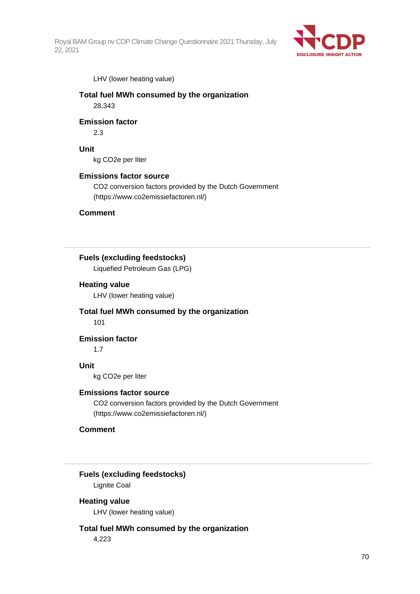

LHV (lower heating value)

## **Total fuel MWh consumed by the organization** 28,343

#### **Emission factor**

2.3

#### **Unit**

kg CO2e per liter

#### **Emissions factor source**

CO2 conversion factors provided by the Dutch Government (https://www.co2emissiefactoren.nl/)

### **Comment**

**Fuels (excluding feedstocks)**

Liquefied Petroleum Gas (LPG)

#### **Heating value**

LHV (lower heating value)

## **Total fuel MWh consumed by the organization**

101

#### **Emission factor**

1.7

#### **Unit**

kg CO2e per liter

#### **Emissions factor source**

CO2 conversion factors provided by the Dutch Government (https://www.co2emissiefactoren.nl/)

## **Comment**

#### **Fuels (excluding feedstocks)**

Lignite Coal

#### **Heating value**

LHV (lower heating value)

#### **Total fuel MWh consumed by the organization**

4,223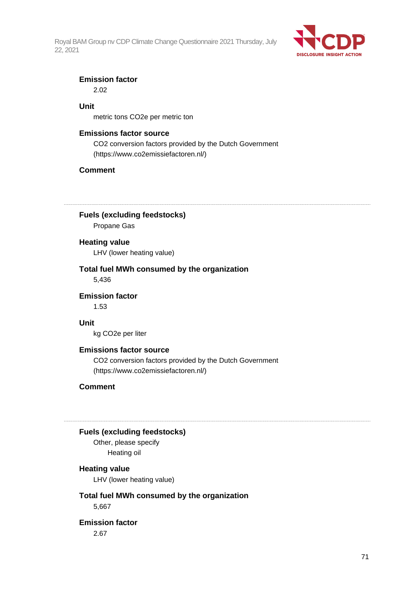

#### **Emission factor**

2.02

## **Unit**

metric tons CO2e per metric ton

#### **Emissions factor source**

CO2 conversion factors provided by the Dutch Government (https://www.co2emissiefactoren.nl/)

## **Comment**

**Fuels (excluding feedstocks)**

Propane Gas

#### **Heating value**

LHV (lower heating value)

# **Total fuel MWh consumed by the organization**

5,436

**Emission factor** 1.53

#### **Unit**

kg CO2e per liter

#### **Emissions factor source**

CO2 conversion factors provided by the Dutch Government (https://www.co2emissiefactoren.nl/)

## **Comment**

#### **Fuels (excluding feedstocks)**

Other, please specify Heating oil

## **Heating value**

LHV (lower heating value)

## **Total fuel MWh consumed by the organization**

5,667

## **Emission factor**

2.67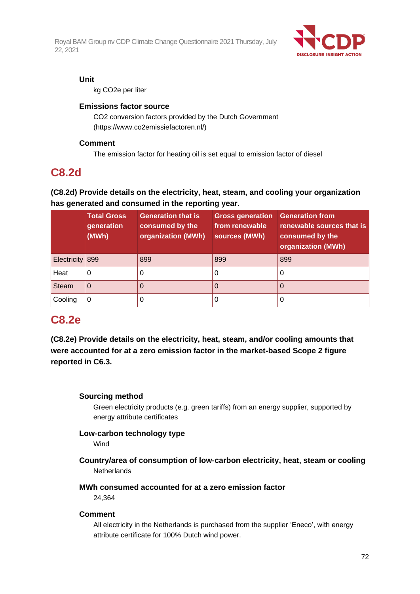

### **Unit**

kg CO2e per liter

## **Emissions factor source**

CO2 conversion factors provided by the Dutch Government (https://www.co2emissiefactoren.nl/)

## **Comment**

The emission factor for heating oil is set equal to emission factor of diesel

## **C8.2d**

## **(C8.2d) Provide details on the electricity, heat, steam, and cooling your organization has generated and consumed in the reporting year.**

|                 | <b>Total Gross</b><br>generation<br>(MWh) | <b>Generation that is</b><br>consumed by the<br>organization (MWh) | <b>Gross generation</b><br>from renewable<br>sources (MWh) | <b>Generation from</b><br>renewable sources that is<br>consumed by the<br>organization (MWh) |
|-----------------|-------------------------------------------|--------------------------------------------------------------------|------------------------------------------------------------|----------------------------------------------------------------------------------------------|
| Electricity 899 |                                           | 899                                                                | 899                                                        | 899                                                                                          |
| Heat            | 0                                         |                                                                    | υ                                                          |                                                                                              |
| <b>Steam</b>    | 0                                         |                                                                    | O                                                          |                                                                                              |
| Cooling         |                                           |                                                                    |                                                            |                                                                                              |

## **C8.2e**

**(C8.2e) Provide details on the electricity, heat, steam, and/or cooling amounts that were accounted for at a zero emission factor in the market-based Scope 2 figure reported in C6.3.**

## **Sourcing method**

Green electricity products (e.g. green tariffs) from an energy supplier, supported by energy attribute certificates

## **Low-carbon technology type**

Wind

- **Country/area of consumption of low-carbon electricity, heat, steam or cooling Netherlands**
- **MWh consumed accounted for at a zero emission factor**

24,364

## **Comment**

All electricity in the Netherlands is purchased from the supplier 'Eneco', with energy attribute certificate for 100% Dutch wind power.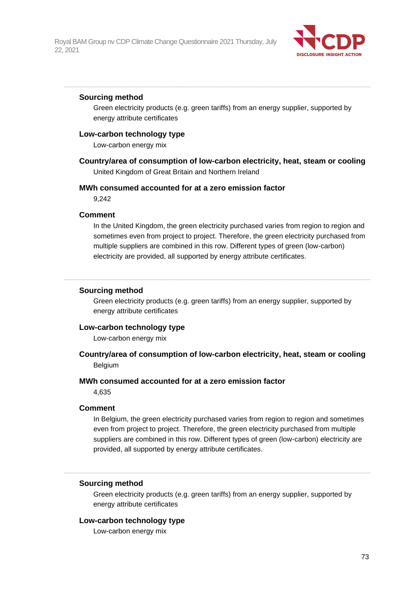

#### **Sourcing method**

Green electricity products (e.g. green tariffs) from an energy supplier, supported by energy attribute certificates

### **Low-carbon technology type**

Low-carbon energy mix

**Country/area of consumption of low-carbon electricity, heat, steam or cooling** United Kingdom of Great Britain and Northern Ireland

#### **MWh consumed accounted for at a zero emission factor**

9,242

#### **Comment**

In the United Kingdom, the green electricity purchased varies from region to region and sometimes even from project to project. Therefore, the green electricity purchased from multiple suppliers are combined in this row. Different types of green (low-carbon) electricity are provided, all supported by energy attribute certificates.

#### **Sourcing method**

Green electricity products (e.g. green tariffs) from an energy supplier, supported by energy attribute certificates

#### **Low-carbon technology type**

Low-carbon energy mix

# **Country/area of consumption of low-carbon electricity, heat, steam or cooling** Belgium

#### **MWh consumed accounted for at a zero emission factor**

4,635

#### **Comment**

In Belgium, the green electricity purchased varies from region to region and sometimes even from project to project. Therefore, the green electricity purchased from multiple suppliers are combined in this row. Different types of green (low-carbon) electricity are provided, all supported by energy attribute certificates.

#### **Sourcing method**

Green electricity products (e.g. green tariffs) from an energy supplier, supported by energy attribute certificates

#### **Low-carbon technology type**

Low-carbon energy mix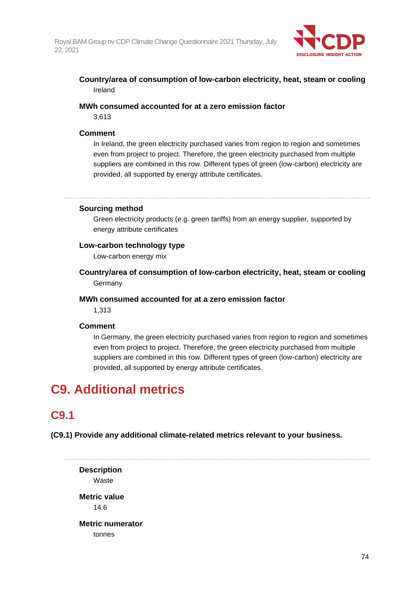

# **Country/area of consumption of low-carbon electricity, heat, steam or cooling** Ireland

### **MWh consumed accounted for at a zero emission factor**

3,613

### **Comment**

In Ireland, the green electricity purchased varies from region to region and sometimes even from project to project. Therefore, the green electricity purchased from multiple suppliers are combined in this row. Different types of green (low-carbon) electricity are provided, all supported by energy attribute certificates.

### **Sourcing method**

Green electricity products (e.g. green tariffs) from an energy supplier, supported by energy attribute certificates

### **Low-carbon technology type**

Low-carbon energy mix

**Country/area of consumption of low-carbon electricity, heat, steam or cooling** Germany

### **MWh consumed accounted for at a zero emission factor**

1,313

# **Comment**

In Germany, the green electricity purchased varies from region to region and sometimes even from project to project. Therefore, the green electricity purchased from multiple suppliers are combined in this row. Different types of green (low-carbon) electricity are provided, all supported by energy attribute certificates.

# **C9. Additional metrics**

# **C9.1**

**(C9.1) Provide any additional climate-related metrics relevant to your business.**

**Description** Waste **Metric value** 14.6 **Metric numerator** tonnes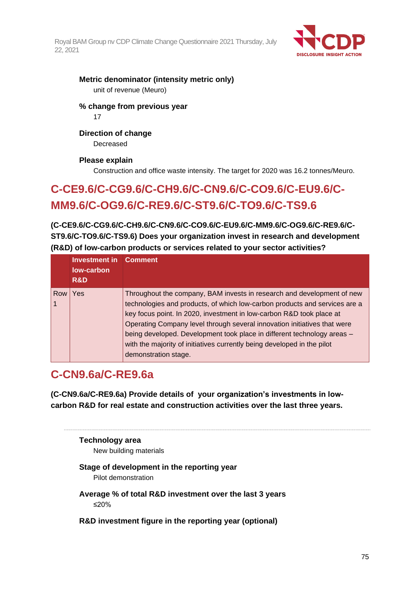

# **Metric denominator (intensity metric only)** unit of revenue (Meuro)

**% change from previous year**

17

# **Direction of change**

Decreased

# **Please explain**

Construction and office waste intensity. The target for 2020 was 16.2 tonnes/Meuro.

# **C-CE9.6/C-CG9.6/C-CH9.6/C-CN9.6/C-CO9.6/C-EU9.6/C-MM9.6/C-OG9.6/C-RE9.6/C-ST9.6/C-TO9.6/C-TS9.6**

**(C-CE9.6/C-CG9.6/C-CH9.6/C-CN9.6/C-CO9.6/C-EU9.6/C-MM9.6/C-OG9.6/C-RE9.6/C-ST9.6/C-TO9.6/C-TS9.6) Does your organization invest in research and development (R&D) of low-carbon products or services related to your sector activities?**

|     | Investment in<br>low-carbon<br>R&D | <b>Comment</b>                                                                                                                                                                                                                                                                                                                                                                                                                                                                         |
|-----|------------------------------------|----------------------------------------------------------------------------------------------------------------------------------------------------------------------------------------------------------------------------------------------------------------------------------------------------------------------------------------------------------------------------------------------------------------------------------------------------------------------------------------|
| Row | Yes                                | Throughout the company, BAM invests in research and development of new<br>technologies and products, of which low-carbon products and services are a<br>key focus point. In 2020, investment in low-carbon R&D took place at<br>Operating Company level through several innovation initiatives that were<br>being developed. Development took place in different technology areas -<br>with the majority of initiatives currently being developed in the pilot<br>demonstration stage. |

# **C-CN9.6a/C-RE9.6a**

**(C-CN9.6a/C-RE9.6a) Provide details of your organization's investments in lowcarbon R&D for real estate and construction activities over the last three years.**

# **Technology area**

New building materials

# **Stage of development in the reporting year**

Pilot demonstration

- **Average % of total R&D investment over the last 3 years** ≤20%
- **R&D investment figure in the reporting year (optional)**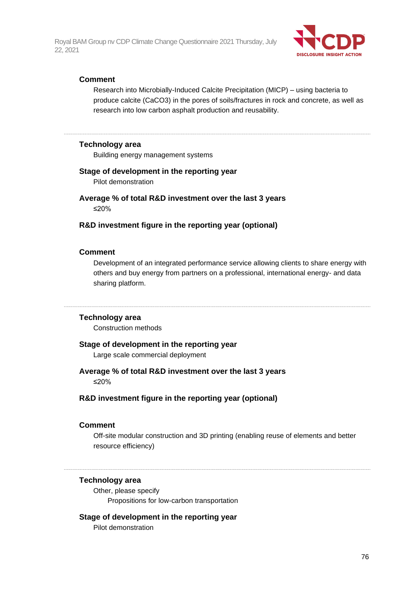

### **Comment**

Research into Microbially-Induced Calcite Precipitation (MICP) – using bacteria to produce calcite (CaCO3) in the pores of soils/fractures in rock and concrete, as well as research into low carbon asphalt production and reusability.

### **Technology area**

Building energy management systems

#### **Stage of development in the reporting year**

Pilot demonstration

**Average % of total R&D investment over the last 3 years** ≤20%

#### **R&D investment figure in the reporting year (optional)**

#### **Comment**

Development of an integrated performance service allowing clients to share energy with others and buy energy from partners on a professional, international energy- and data sharing platform.

#### **Technology area**

Construction methods

#### **Stage of development in the reporting year**

Large scale commercial deployment

#### **Average % of total R&D investment over the last 3 years**

≤20%

### **R&D investment figure in the reporting year (optional)**

#### **Comment**

Off-site modular construction and 3D printing (enabling reuse of elements and better resource efficiency)

#### **Technology area**

Other, please specify Propositions for low-carbon transportation

### **Stage of development in the reporting year**

Pilot demonstration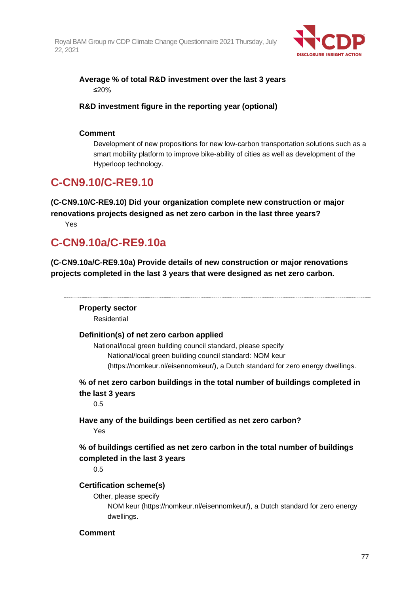

# **Average % of total R&D investment over the last 3 years** ≤20%

**R&D investment figure in the reporting year (optional)**

# **Comment**

Development of new propositions for new low-carbon transportation solutions such as a smart mobility platform to improve bike-ability of cities as well as development of the Hyperloop technology.

# **C-CN9.10/C-RE9.10**

**(C-CN9.10/C-RE9.10) Did your organization complete new construction or major renovations projects designed as net zero carbon in the last three years?** Yes

# **C-CN9.10a/C-RE9.10a**

**(C-CN9.10a/C-RE9.10a) Provide details of new construction or major renovations projects completed in the last 3 years that were designed as net zero carbon.**

**Property sector** Residential **Definition(s) of net zero carbon applied** National/local green building council standard, please specify National/local green building council standard: NOM keur (https://nomkeur.nl/eisennomkeur/), a Dutch standard for zero energy dwellings. **% of net zero carbon buildings in the total number of buildings completed in the last 3 years** 0.5 **Have any of the buildings been certified as net zero carbon?** Yes **% of buildings certified as net zero carbon in the total number of buildings completed in the last 3 years** 0.5 **Certification scheme(s)** Other, please specify NOM keur (https://nomkeur.nl/eisennomkeur/), a Dutch standard for zero energy dwellings. **Comment**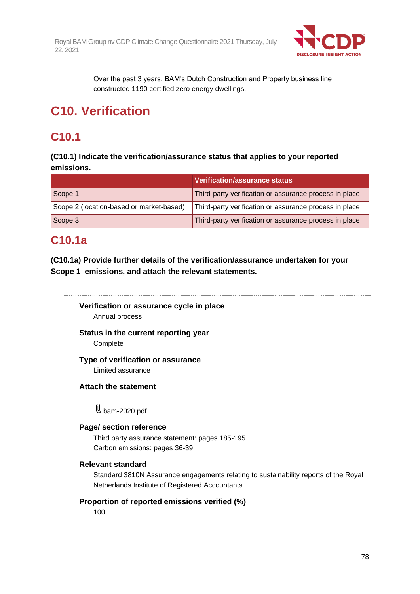

Over the past 3 years, BAM's Dutch Construction and Property business line constructed 1190 certified zero energy dwellings.

# **C10. Verification**

# **C10.1**

**(C10.1) Indicate the verification/assurance status that applies to your reported emissions.**

|                                          | <b>Verification/assurance status</b>                   |
|------------------------------------------|--------------------------------------------------------|
| Scope 1                                  | Third-party verification or assurance process in place |
| Scope 2 (location-based or market-based) | Third-party verification or assurance process in place |
| Scope 3                                  | Third-party verification or assurance process in place |

# **C10.1a**

**(C10.1a) Provide further details of the verification/assurance undertaken for your Scope 1 emissions, and attach the relevant statements.**

**Verification or assurance cycle in place** Annual process

**Status in the current reporting year** Complete

**Type of verification or assurance**

Limited assurance

**Attach the statement**

U bam-2020.pdf

# **Page/ section reference**

Third party assurance statement: pages 185-195 Carbon emissions: pages 36-39

# **Relevant standard**

Standard 3810N Assurance engagements relating to sustainability reports of the Royal Netherlands Institute of Registered Accountants

# **Proportion of reported emissions verified (%)**

100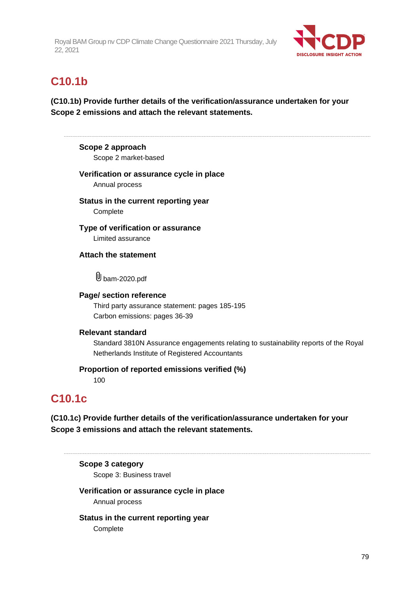

# **C10.1b**

**(C10.1b) Provide further details of the verification/assurance undertaken for your Scope 2 emissions and attach the relevant statements.**

**Scope 2 approach**

Scope 2 market-based

# **Verification or assurance cycle in place**

Annual process

**Status in the current reporting year Complete** 

**Type of verification or assurance** Limited assurance

**Attach the statement**

**U** bam-2020.pdf

# **Page/ section reference**

Third party assurance statement: pages 185-195 Carbon emissions: pages 36-39

# **Relevant standard**

Standard 3810N Assurance engagements relating to sustainability reports of the Royal Netherlands Institute of Registered Accountants

# **Proportion of reported emissions verified (%)**

100

# **C10.1c**

**(C10.1c) Provide further details of the verification/assurance undertaken for your Scope 3 emissions and attach the relevant statements.**

**Scope 3 category**

Scope 3: Business travel

# **Verification or assurance cycle in place**

Annual process

# **Status in the current reporting year**

**Complete**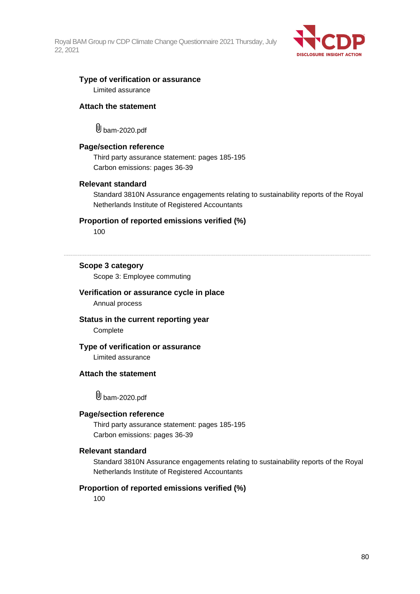

### **Type of verification or assurance** Limited assurance

### **Attach the statement**

bam-2020.pdf

### **Page/section reference**

Third party assurance statement: pages 185-195 Carbon emissions: pages 36-39

#### **Relevant standard**

Standard 3810N Assurance engagements relating to sustainability reports of the Royal Netherlands Institute of Registered Accountants

#### **Proportion of reported emissions verified (%)**

100

# **Scope 3 category**

Scope 3: Employee commuting

#### **Verification or assurance cycle in place**

Annual process

### **Status in the current reporting year Complete**

#### **Type of verification or assurance**

Limited assurance

### **Attach the statement**

bam-2020.pdf

#### **Page/section reference**

Third party assurance statement: pages 185-195 Carbon emissions: pages 36-39

### **Relevant standard**

Standard 3810N Assurance engagements relating to sustainability reports of the Royal Netherlands Institute of Registered Accountants

### **Proportion of reported emissions verified (%)**

100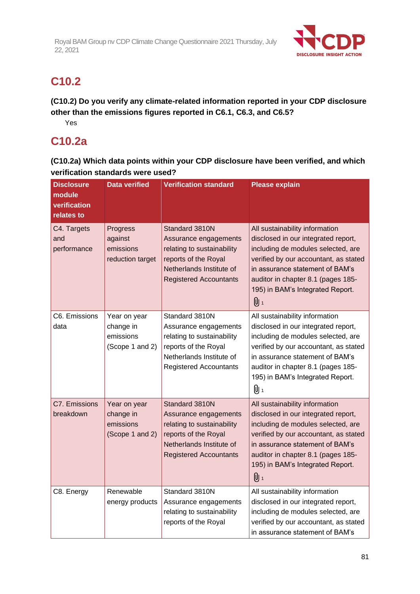

# **C10.2**

**(C10.2) Do you verify any climate-related information reported in your CDP disclosure other than the emissions figures reported in C6.1, C6.3, and C6.5?**

Yes

# **C10.2a**

**(C10.2a) Which data points within your CDP disclosure have been verified, and which verification standards were used?**

| <b>Disclosure</b><br>module<br>verification<br>relates to | <b>Data verified</b>                                      | <b>Verification standard</b>                                                                                                                               | <b>Please explain</b>                                                                                                                                                                                                                                                    |
|-----------------------------------------------------------|-----------------------------------------------------------|------------------------------------------------------------------------------------------------------------------------------------------------------------|--------------------------------------------------------------------------------------------------------------------------------------------------------------------------------------------------------------------------------------------------------------------------|
| C4. Targets<br>and<br>performance                         | Progress<br>against<br>emissions<br>reduction target      | Standard 3810N<br>Assurance engagements<br>relating to sustainability<br>reports of the Royal<br>Netherlands Institute of<br><b>Registered Accountants</b> | All sustainability information<br>disclosed in our integrated report,<br>including de modules selected, are<br>verified by our accountant, as stated<br>in assurance statement of BAM's<br>auditor in chapter 8.1 (pages 185-<br>195) in BAM's Integrated Report.<br>U 1 |
| C6. Emissions<br>data                                     | Year on year<br>change in<br>emissions<br>(Scope 1 and 2) | Standard 3810N<br>Assurance engagements<br>relating to sustainability<br>reports of the Royal<br>Netherlands Institute of<br><b>Registered Accountants</b> | All sustainability information<br>disclosed in our integrated report,<br>including de modules selected, are<br>verified by our accountant, as stated<br>in assurance statement of BAM's<br>auditor in chapter 8.1 (pages 185-<br>195) in BAM's Integrated Report.<br>0 1 |
| C7. Emissions<br>breakdown                                | Year on year<br>change in<br>emissions<br>(Scope 1 and 2) | Standard 3810N<br>Assurance engagements<br>relating to sustainability<br>reports of the Royal<br>Netherlands Institute of<br><b>Registered Accountants</b> | All sustainability information<br>disclosed in our integrated report,<br>including de modules selected, are<br>verified by our accountant, as stated<br>in assurance statement of BAM's<br>auditor in chapter 8.1 (pages 185-<br>195) in BAM's Integrated Report.<br>0 1 |
| C8. Energy                                                | Renewable<br>energy products                              | Standard 3810N<br>Assurance engagements<br>relating to sustainability<br>reports of the Royal                                                              | All sustainability information<br>disclosed in our integrated report,<br>including de modules selected, are<br>verified by our accountant, as stated<br>in assurance statement of BAM's                                                                                  |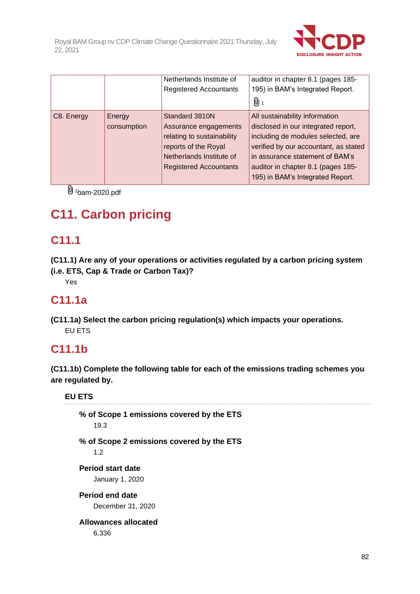

|            |                       | Netherlands Institute of<br><b>Registered Accountants</b>                                                                                                  | auditor in chapter 8.1 (pages 185-<br>195) in BAM's Integrated Report.<br>0 1                                                                                                                                                                                     |
|------------|-----------------------|------------------------------------------------------------------------------------------------------------------------------------------------------------|-------------------------------------------------------------------------------------------------------------------------------------------------------------------------------------------------------------------------------------------------------------------|
| C8. Energy | Energy<br>consumption | Standard 3810N<br>Assurance engagements<br>relating to sustainability<br>reports of the Royal<br>Netherlands Institute of<br><b>Registered Accountants</b> | All sustainability information<br>disclosed in our integrated report,<br>including de modules selected, are<br>verified by our accountant, as stated<br>in assurance statement of BAM's<br>auditor in chapter 8.1 (pages 185-<br>195) in BAM's Integrated Report. |

 $\overline{\mathbb{U}}$ <sup>1</sup>bam-2020.pdf

# **C11. Carbon pricing**

# **C11.1**

**(C11.1) Are any of your operations or activities regulated by a carbon pricing system (i.e. ETS, Cap & Trade or Carbon Tax)?**

Yes

# **C11.1a**

**(C11.1a) Select the carbon pricing regulation(s) which impacts your operations.** EU ETS

# **C11.1b**

**(C11.1b) Complete the following table for each of the emissions trading schemes you are regulated by.**

**EU ETS**

**% of Scope 1 emissions covered by the ETS** 19.3 **% of Scope 2 emissions covered by the ETS** 1.2 **Period start date** January 1, 2020 **Period end date** December 31, 2020 **Allowances allocated** 6,336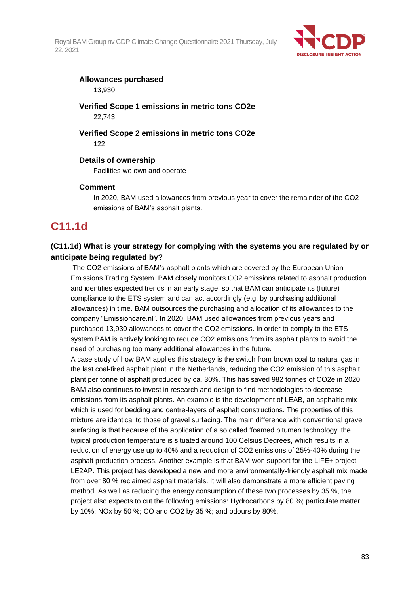

### **Allowances purchased**

13,930

**Verified Scope 1 emissions in metric tons CO2e** 22,743

### **Verified Scope 2 emissions in metric tons CO2e** 122

**Details of ownership**

Facilities we own and operate

# **Comment**

In 2020, BAM used allowances from previous year to cover the remainder of the CO2 emissions of BAM's asphalt plants.

# **C11.1d**

# **(C11.1d) What is your strategy for complying with the systems you are regulated by or anticipate being regulated by?**

The CO2 emissions of BAM's asphalt plants which are covered by the European Union Emissions Trading System. BAM closely monitors CO2 emissions related to asphalt production and identifies expected trends in an early stage, so that BAM can anticipate its (future) compliance to the ETS system and can act accordingly (e.g. by purchasing additional allowances) in time. BAM outsources the purchasing and allocation of its allowances to the company "Emissioncare.nl". In 2020, BAM used allowances from previous years and purchased 13,930 allowances to cover the CO2 emissions. In order to comply to the ETS system BAM is actively looking to reduce CO2 emissions from its asphalt plants to avoid the need of purchasing too many additional allowances in the future.

A case study of how BAM applies this strategy is the switch from brown coal to natural gas in the last coal-fired asphalt plant in the Netherlands, reducing the CO2 emission of this asphalt plant per tonne of asphalt produced by ca. 30%. This has saved 982 tonnes of CO2e in 2020. BAM also continues to invest in research and design to find methodologies to decrease emissions from its asphalt plants. An example is the development of LEAB, an asphaltic mix which is used for bedding and centre-layers of asphalt constructions. The properties of this mixture are identical to those of gravel surfacing. The main difference with conventional gravel surfacing is that because of the application of a so called 'foamed bitumen technology' the typical production temperature is situated around 100 Celsius Degrees, which results in a reduction of energy use up to 40% and a reduction of CO2 emissions of 25%-40% during the asphalt production process. Another example is that BAM won support for the LIFE+ project LE2AP. This project has developed a new and more environmentally-friendly asphalt mix made from over 80 % reclaimed asphalt materials. It will also demonstrate a more efficient paving method. As well as reducing the energy consumption of these two processes by 35 %, the project also expects to cut the following emissions: Hydrocarbons by 80 %; particulate matter by 10%; NOx by 50 %; CO and CO2 by 35 %; and odours by 80%.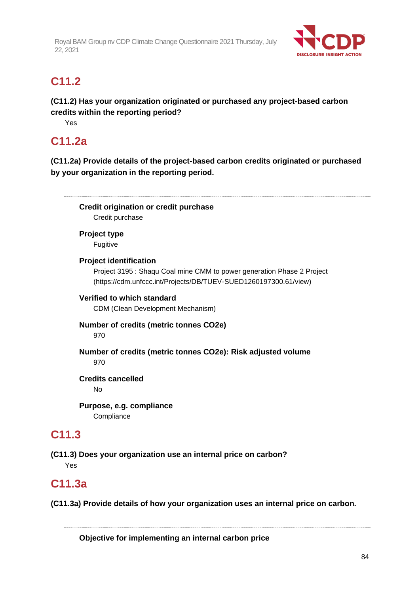

# **C11.2**

**(C11.2) Has your organization originated or purchased any project-based carbon credits within the reporting period?**

Yes

# **C11.2a**

**(C11.2a) Provide details of the project-based carbon credits originated or purchased by your organization in the reporting period.**

**Credit origination or credit purchase** Credit purchase **Project type**

Fugitive

**Project identification**

Project 3195 : Shaqu Coal mine CMM to power generation Phase 2 Project (https://cdm.unfccc.int/Projects/DB/TUEV-SUED1260197300.61/view)

# **Verified to which standard**

CDM (Clean Development Mechanism)

# **Number of credits (metric tonnes CO2e)**

970

# **Number of credits (metric tonnes CO2e): Risk adjusted volume**

970

# **Credits cancelled**

No

**Purpose, e.g. compliance Compliance** 

# **C11.3**

**(C11.3) Does your organization use an internal price on carbon?** Yes

# **C11.3a**

**(C11.3a) Provide details of how your organization uses an internal price on carbon.**

**Objective for implementing an internal carbon price**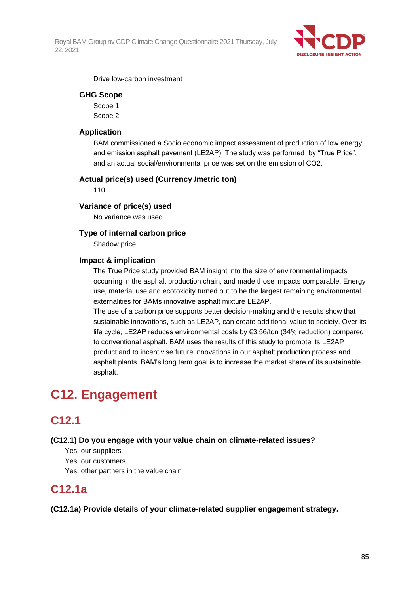

Drive low-carbon investment

### **GHG Scope**

Scope 1 Scope 2

### **Application**

BAM commissioned a Socio economic impact assessment of production of low energy and emission asphalt pavement (LE2AP). The study was performed by "True Price", and an actual social/environmental price was set on the emission of CO2.

### **Actual price(s) used (Currency /metric ton)**

110

### **Variance of price(s) used**

No variance was used.

### **Type of internal carbon price**

Shadow price

#### **Impact & implication**

The True Price study provided BAM insight into the size of environmental impacts occurring in the asphalt production chain, and made those impacts comparable. Energy use, material use and ecotoxicity turned out to be the largest remaining environmental externalities for BAMs innovative asphalt mixture LE2AP.

The use of a carbon price supports better decision-making and the results show that sustainable innovations, such as LE2AP, can create additional value to society. Over its life cycle, LE2AP reduces environmental costs by €3.56/ton (34% reduction) compared to conventional asphalt. BAM uses the results of this study to promote its LE2AP product and to incentivise future innovations in our asphalt production process and asphalt plants. BAM's long term goal is to increase the market share of its sustainable asphalt.

# **C12. Engagement**

# **C12.1**

#### **(C12.1) Do you engage with your value chain on climate-related issues?**

- Yes, our suppliers
- Yes, our customers
- Yes, other partners in the value chain

# **C12.1a**

**(C12.1a) Provide details of your climate-related supplier engagement strategy.**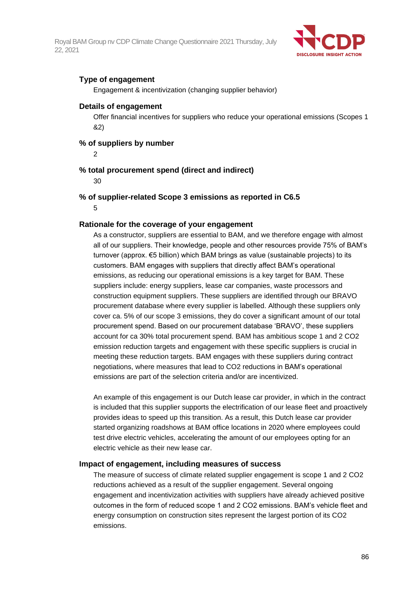

# **Type of engagement**

Engagement & incentivization (changing supplier behavior)

### **Details of engagement**

Offer financial incentives for suppliers who reduce your operational emissions (Scopes 1 &2)

### **% of suppliers by number**

2

# **% total procurement spend (direct and indirect)**

30

# **% of supplier-related Scope 3 emissions as reported in C6.5**

5

# **Rationale for the coverage of your engagement**

As a constructor, suppliers are essential to BAM, and we therefore engage with almost all of our suppliers. Their knowledge, people and other resources provide 75% of BAM's turnover (approx. €5 billion) which BAM brings as value (sustainable projects) to its customers. BAM engages with suppliers that directly affect BAM's operational emissions, as reducing our operational emissions is a key target for BAM. These suppliers include: energy suppliers, lease car companies, waste processors and construction equipment suppliers. These suppliers are identified through our BRAVO procurement database where every supplier is labelled. Although these suppliers only cover ca. 5% of our scope 3 emissions, they do cover a significant amount of our total procurement spend. Based on our procurement database 'BRAVO', these suppliers account for ca 30% total procurement spend. BAM has ambitious scope 1 and 2 CO2 emission reduction targets and engagement with these specific suppliers is crucial in meeting these reduction targets. BAM engages with these suppliers during contract negotiations, where measures that lead to CO2 reductions in BAM's operational emissions are part of the selection criteria and/or are incentivized.

An example of this engagement is our Dutch lease car provider, in which in the contract is included that this supplier supports the electrification of our lease fleet and proactively provides ideas to speed up this transition. As a result, this Dutch lease car provider started organizing roadshows at BAM office locations in 2020 where employees could test drive electric vehicles, accelerating the amount of our employees opting for an electric vehicle as their new lease car.

#### **Impact of engagement, including measures of success**

The measure of success of climate related supplier engagement is scope 1 and 2 CO2 reductions achieved as a result of the supplier engagement. Several ongoing engagement and incentivization activities with suppliers have already achieved positive outcomes in the form of reduced scope 1 and 2 CO2 emissions. BAM's vehicle fleet and energy consumption on construction sites represent the largest portion of its CO2 emissions.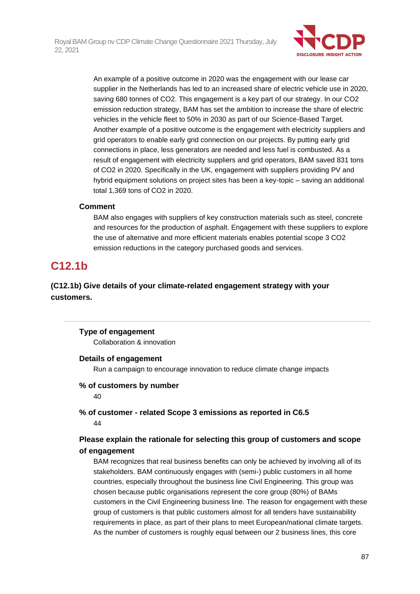

An example of a positive outcome in 2020 was the engagement with our lease car supplier in the Netherlands has led to an increased share of electric vehicle use in 2020, saving 680 tonnes of CO2. This engagement is a key part of our strategy. In our CO2 emission reduction strategy, BAM has set the ambition to increase the share of electric vehicles in the vehicle fleet to 50% in 2030 as part of our Science-Based Target. Another example of a positive outcome is the engagement with electricity suppliers and grid operators to enable early grid connection on our projects. By putting early grid connections in place, less generators are needed and less fuel is combusted. As a result of engagement with electricity suppliers and grid operators, BAM saved 831 tons of CO2 in 2020. Specifically in the UK, engagement with suppliers providing PV and hybrid equipment solutions on project sites has been a key-topic – saving an additional total 1,369 tons of CO2 in 2020.

### **Comment**

BAM also engages with suppliers of key construction materials such as steel, concrete and resources for the production of asphalt. Engagement with these suppliers to explore the use of alternative and more efficient materials enables potential scope 3 CO2 emission reductions in the category purchased goods and services.

# **C12.1b**

# **(C12.1b) Give details of your climate-related engagement strategy with your customers.**

#### **Type of engagement**

Collaboration & innovation

#### **Details of engagement**

Run a campaign to encourage innovation to reduce climate change impacts

#### **% of customers by number**

 $40$ 

### **% of customer - related Scope 3 emissions as reported in C6.5** 44

# **Please explain the rationale for selecting this group of customers and scope of engagement**

BAM recognizes that real business benefits can only be achieved by involving all of its stakeholders. BAM continuously engages with (semi-) public customers in all home countries, especially throughout the business line Civil Engineering. This group was chosen because public organisations represent the core group (80%) of BAMs customers in the Civil Engineering business line. The reason for engagement with these group of customers is that public customers almost for all tenders have sustainability requirements in place, as part of their plans to meet European/national climate targets. As the number of customers is roughly equal between our 2 business lines, this core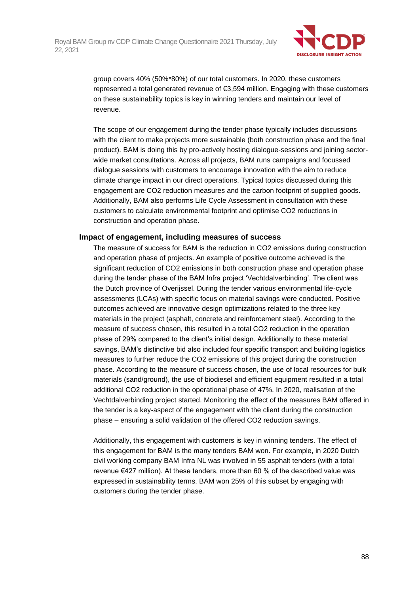

group covers 40% (50%\*80%) of our total customers. In 2020, these customers represented a total generated revenue of €3,594 million. Engaging with these customers on these sustainability topics is key in winning tenders and maintain our level of revenue.

The scope of our engagement during the tender phase typically includes discussions with the client to make projects more sustainable (both construction phase and the final product). BAM is doing this by pro-actively hosting dialogue-sessions and joining sectorwide market consultations. Across all projects, BAM runs campaigns and focussed dialogue sessions with customers to encourage innovation with the aim to reduce climate change impact in our direct operations. Typical topics discussed during this engagement are CO2 reduction measures and the carbon footprint of supplied goods. Additionally, BAM also performs Life Cycle Assessment in consultation with these customers to calculate environmental footprint and optimise CO2 reductions in construction and operation phase.

#### **Impact of engagement, including measures of success**

The measure of success for BAM is the reduction in CO2 emissions during construction and operation phase of projects. An example of positive outcome achieved is the significant reduction of CO2 emissions in both construction phase and operation phase during the tender phase of the BAM Infra project 'Vechtdalverbinding'. The client was the Dutch province of Overijssel. During the tender various environmental life-cycle assessments (LCAs) with specific focus on material savings were conducted. Positive outcomes achieved are innovative design optimizations related to the three key materials in the project (asphalt, concrete and reinforcement steel). According to the measure of success chosen, this resulted in a total CO2 reduction in the operation phase of 29% compared to the client's initial design. Additionally to these material savings, BAM's distinctive bid also included four specific transport and building logistics measures to further reduce the CO2 emissions of this project during the construction phase. According to the measure of success chosen, the use of local resources for bulk materials (sand/ground), the use of biodiesel and efficient equipment resulted in a total additional CO2 reduction in the operational phase of 47%. In 2020, realisation of the Vechtdalverbinding project started. Monitoring the effect of the measures BAM offered in the tender is a key-aspect of the engagement with the client during the construction phase – ensuring a solid validation of the offered CO2 reduction savings.

Additionally, this engagement with customers is key in winning tenders. The effect of this engagement for BAM is the many tenders BAM won. For example, in 2020 Dutch civil working company BAM Infra NL was involved in 55 asphalt tenders (with a total revenue €427 million). At these tenders, more than 60 % of the described value was expressed in sustainability terms. BAM won 25% of this subset by engaging with customers during the tender phase.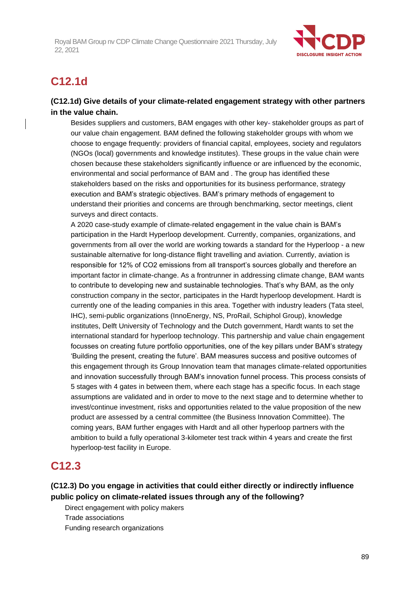

# **C12.1d**

# **(C12.1d) Give details of your climate-related engagement strategy with other partners in the value chain.**

Besides suppliers and customers, BAM engages with other key- stakeholder groups as part of our value chain engagement. BAM defined the following stakeholder groups with whom we choose to engage frequently: providers of financial capital, employees, society and regulators (NGOs (local) governments and knowledge institutes). These groups in the value chain were chosen because these stakeholders significantly influence or are influenced by the economic, environmental and social performance of BAM and . The group has identified these stakeholders based on the risks and opportunities for its business performance, strategy execution and BAM's strategic objectives. BAM's primary methods of engagement to understand their priorities and concerns are through benchmarking, sector meetings, client surveys and direct contacts.

A 2020 case-study example of climate-related engagement in the value chain is BAM's participation in the Hardt Hyperloop development. Currently, companies, organizations, and governments from all over the world are working towards a standard for the Hyperloop - a new sustainable alternative for long-distance flight travelling and aviation. Currently, aviation is responsible for 12% of CO2 emissions from all transport's sources globally and therefore an important factor in climate-change. As a frontrunner in addressing climate change, BAM wants to contribute to developing new and sustainable technologies. That's why BAM, as the only construction company in the sector, participates in the Hardt hyperloop development. Hardt is currently one of the leading companies in this area. Together with industry leaders (Tata steel, IHC), semi-public organizations (InnoEnergy, NS, ProRail, Schiphol Group), knowledge institutes, Delft University of Technology and the Dutch government, Hardt wants to set the international standard for hyperloop technology. This partnership and value chain engagement focusses on creating future portfolio opportunities, one of the key pillars under BAM's strategy 'Building the present, creating the future'. BAM measures success and positive outcomes of this engagement through its Group Innovation team that manages climate-related opportunities and innovation successfully through BAM's innovation funnel process. This process consists of 5 stages with 4 gates in between them, where each stage has a specific focus. In each stage assumptions are validated and in order to move to the next stage and to determine whether to invest/continue investment, risks and opportunities related to the value proposition of the new product are assessed by a central committee (the Business Innovation Committee). The coming years, BAM further engages with Hardt and all other hyperloop partners with the ambition to build a fully operational 3-kilometer test track within 4 years and create the first hyperloop-test facility in Europe.

# **C12.3**

**(C12.3) Do you engage in activities that could either directly or indirectly influence public policy on climate-related issues through any of the following?**

Direct engagement with policy makers Trade associations Funding research organizations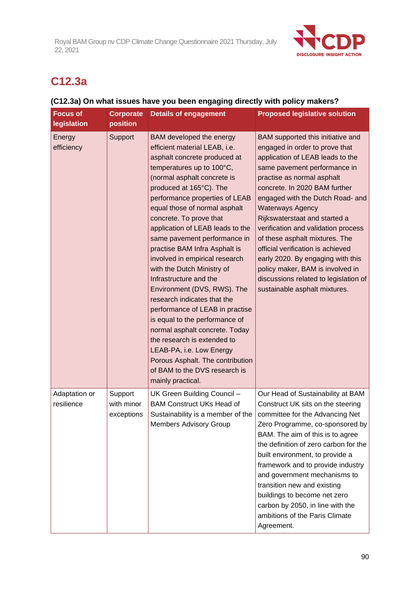

# **C12.3a**

# **(C12.3a) On what issues have you been engaging directly with policy makers?**

| <b>Focus of</b><br>legislation | <b>Corporate</b><br>position        | <b>Details of engagement</b>                                                                                                                                                                                                                                                                                                                                                                                                                                                                                                                                                                                                                                                                                                                                                                            | <b>Proposed legislative solution</b>                                                                                                                                                                                                                                                                                                                                                                                                                                                                                                                                    |
|--------------------------------|-------------------------------------|---------------------------------------------------------------------------------------------------------------------------------------------------------------------------------------------------------------------------------------------------------------------------------------------------------------------------------------------------------------------------------------------------------------------------------------------------------------------------------------------------------------------------------------------------------------------------------------------------------------------------------------------------------------------------------------------------------------------------------------------------------------------------------------------------------|-------------------------------------------------------------------------------------------------------------------------------------------------------------------------------------------------------------------------------------------------------------------------------------------------------------------------------------------------------------------------------------------------------------------------------------------------------------------------------------------------------------------------------------------------------------------------|
| Energy<br>efficiency           | Support                             | BAM developed the energy<br>efficient material LEAB, i.e.<br>asphalt concrete produced at<br>temperatures up to 100°C,<br>(normal asphalt concrete is<br>produced at 165°C). The<br>performance properties of LEAB<br>equal those of normal asphalt<br>concrete. To prove that<br>application of LEAB leads to the<br>same pavement performance in<br>practise BAM Infra Asphalt is<br>involved in empirical research<br>with the Dutch Ministry of<br>Infrastructure and the<br>Environment (DVS, RWS). The<br>research indicates that the<br>performance of LEAB in practise<br>is equal to the performance of<br>normal asphalt concrete. Today<br>the research is extended to<br>LEAB-PA, i.e. Low Energy<br>Porous Asphalt. The contribution<br>of BAM to the DVS research is<br>mainly practical. | BAM supported this initiative and<br>engaged in order to prove that<br>application of LEAB leads to the<br>same pavement performance in<br>practise as normal asphalt<br>concrete. In 2020 BAM further<br>engaged with the Dutch Road- and<br><b>Waterways Agency</b><br>Rijkswaterstaat and started a<br>verification and validation process<br>of these asphalt mixtures. The<br>official verification is achieved<br>early 2020. By engaging with this<br>policy maker, BAM is involved in<br>discussions related to legislation of<br>sustainable asphalt mixtures. |
| Adaptation or<br>resilience    | Support<br>with minor<br>exceptions | UK Green Building Council -<br><b>BAM Construct UKs Head of</b><br>Sustainability is a member of the<br><b>Members Advisory Group</b>                                                                                                                                                                                                                                                                                                                                                                                                                                                                                                                                                                                                                                                                   | Our Head of Sustainability at BAM<br>Construct UK sits on the steering<br>committee for the Advancing Net<br>Zero Programme, co-sponsored by<br>BAM. The aim of this is to agree<br>the definition of zero carbon for the<br>built environment, to provide a<br>framework and to provide industry<br>and government mechanisms to<br>transition new and existing<br>buildings to become net zero<br>carbon by 2050, in line with the<br>ambitions of the Paris Climate<br>Agreement.                                                                                    |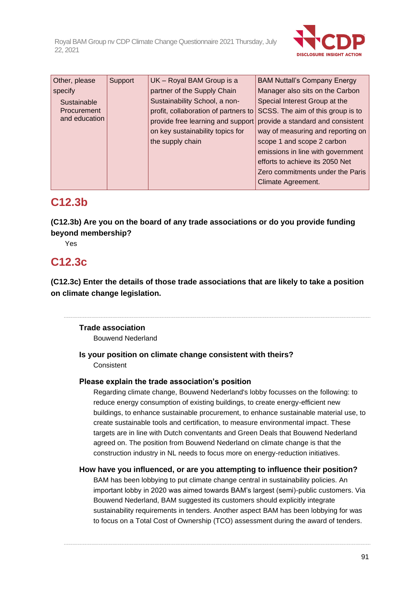

| Other, please | Support | UK - Royal BAM Group is a            | <b>BAM Nuttall's Company Energy</b> |
|---------------|---------|--------------------------------------|-------------------------------------|
| specify       |         | partner of the Supply Chain          | Manager also sits on the Carbon     |
| Sustainable   |         | Sustainability School, a non-        | Special Interest Group at the       |
| Procurement   |         | profit, collaboration of partners to | SCSS. The aim of this group is to   |
| and education |         | provide free learning and support    | provide a standard and consistent   |
|               |         | on key sustainability topics for     | way of measuring and reporting on   |
|               |         | the supply chain                     | scope 1 and scope 2 carbon          |
|               |         |                                      | emissions in line with government   |
|               |         |                                      | efforts to achieve its 2050 Net     |
|               |         |                                      | Zero commitments under the Paris    |
|               |         |                                      | Climate Agreement.                  |

# **C12.3b**

**(C12.3b) Are you on the board of any trade associations or do you provide funding beyond membership?**

Yes

# **C12.3c**

**(C12.3c) Enter the details of those trade associations that are likely to take a position on climate change legislation.**

**Trade association**

Bouwend Nederland

# **Is your position on climate change consistent with theirs?** Consistent

# **Please explain the trade association's position**

Regarding climate change, Bouwend Nederland's lobby focusses on the following: to reduce energy consumption of existing buildings, to create energy-efficient new buildings, to enhance sustainable procurement, to enhance sustainable material use, to create sustainable tools and certification, to measure environmental impact. These targets are in line with Dutch conventants and Green Deals that Bouwend Nederland agreed on. The position from Bouwend Nederland on climate change is that the construction industry in NL needs to focus more on energy-reduction initiatives.

# **How have you influenced, or are you attempting to influence their position?**

BAM has been lobbying to put climate change central in sustainability policies. An important lobby in 2020 was aimed towards BAM's largest (semi)-public customers. Via Bouwend Nederland, BAM suggested its customers should explicitly integrate sustainability requirements in tenders. Another aspect BAM has been lobbying for was to focus on a Total Cost of Ownership (TCO) assessment during the award of tenders.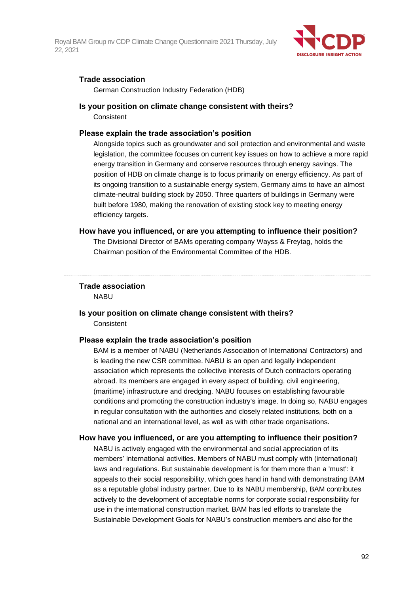

### **Trade association**

German Construction Industry Federation (HDB)

#### **Is your position on climate change consistent with theirs?**

**Consistent** 

#### **Please explain the trade association's position**

Alongside topics such as groundwater and soil protection and environmental and waste legislation, the committee focuses on current key issues on how to achieve a more rapid energy transition in Germany and conserve resources through energy savings. The position of HDB on climate change is to focus primarily on energy efficiency. As part of its ongoing transition to a sustainable energy system, Germany aims to have an almost climate-neutral building stock by 2050. Three quarters of buildings in Germany were built before 1980, making the renovation of existing stock key to meeting energy efficiency targets.

#### **How have you influenced, or are you attempting to influence their position?**

The Divisional Director of BAMs operating company Wayss & Freytag, holds the Chairman position of the Environmental Committee of the HDB.

### **Trade association**

NABU

# **Is your position on climate change consistent with theirs? Consistent**

#### **Please explain the trade association's position**

BAM is a member of NABU (Netherlands Association of International Contractors) and is leading the new CSR committee. NABU is an open and legally independent association which represents the collective interests of Dutch contractors operating abroad. Its members are engaged in every aspect of building, civil engineering, (maritime) infrastructure and dredging. NABU focuses on establishing favourable conditions and promoting the construction industry's image. In doing so, NABU engages in regular consultation with the authorities and closely related institutions, both on a national and an international level, as well as with other trade organisations.

#### **How have you influenced, or are you attempting to influence their position?**

NABU is actively engaged with the environmental and social appreciation of its members' international activities. Members of NABU must comply with (international) laws and regulations. But sustainable development is for them more than a 'must': it appeals to their social responsibility, which goes hand in hand with demonstrating BAM as a reputable global industry partner. Due to its NABU membership, BAM contributes actively to the development of acceptable norms for corporate social responsibility for use in the international construction market. BAM has led efforts to translate the Sustainable Development Goals for NABU's construction members and also for the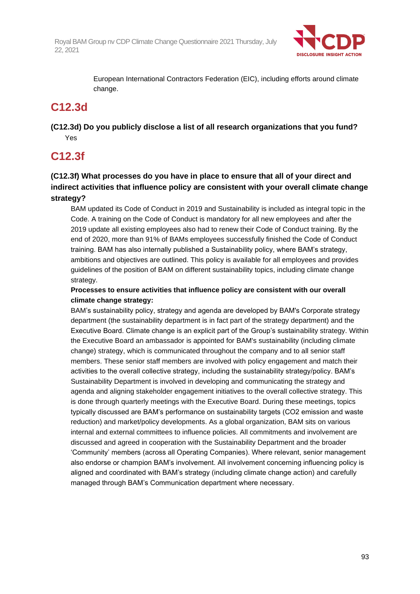

European International Contractors Federation (EIC), including efforts around climate change.

# **C12.3d**

**(C12.3d) Do you publicly disclose a list of all research organizations that you fund?** Yes

# **C12.3f**

**(C12.3f) What processes do you have in place to ensure that all of your direct and indirect activities that influence policy are consistent with your overall climate change strategy?**

BAM updated its Code of Conduct in 2019 and Sustainability is included as integral topic in the Code. A training on the Code of Conduct is mandatory for all new employees and after the 2019 update all existing employees also had to renew their Code of Conduct training. By the end of 2020, more than 91% of BAMs employees successfully finished the Code of Conduct training. BAM has also internally published a Sustainability policy, where BAM's strategy, ambitions and objectives are outlined. This policy is available for all employees and provides guidelines of the position of BAM on different sustainability topics, including climate change strategy.

# **Processes to ensure activities that influence policy are consistent with our overall climate change strategy:**

BAM's sustainability policy, strategy and agenda are developed by BAM's Corporate strategy department (the sustainability department is in fact part of the strategy department) and the Executive Board. Climate change is an explicit part of the Group's sustainability strategy. Within the Executive Board an ambassador is appointed for BAM's sustainability (including climate change) strategy, which is communicated throughout the company and to all senior staff members. These senior staff members are involved with policy engagement and match their activities to the overall collective strategy, including the sustainability strategy/policy. BAM's Sustainability Department is involved in developing and communicating the strategy and agenda and aligning stakeholder engagement initiatives to the overall collective strategy. This is done through quarterly meetings with the Executive Board. During these meetings, topics typically discussed are BAM's performance on sustainability targets (CO2 emission and waste reduction) and market/policy developments. As a global organization, BAM sits on various internal and external committees to influence policies. All commitments and involvement are discussed and agreed in cooperation with the Sustainability Department and the broader 'Community' members (across all Operating Companies). Where relevant, senior management also endorse or champion BAM's involvement. All involvement concerning influencing policy is aligned and coordinated with BAM's strategy (including climate change action) and carefully managed through BAM's Communication department where necessary.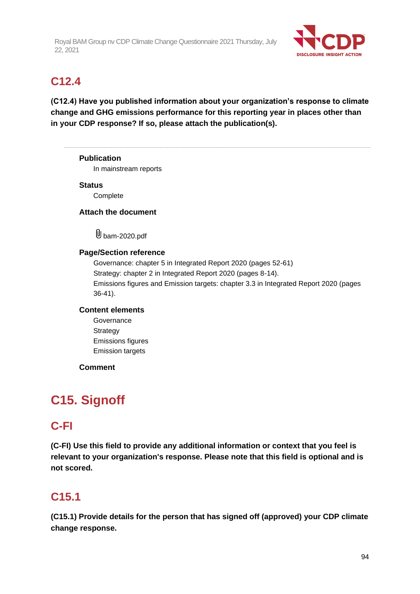

# **C12.4**

**(C12.4) Have you published information about your organization's response to climate change and GHG emissions performance for this reporting year in places other than in your CDP response? If so, please attach the publication(s).**

# **Publication** In mainstream reports **Status Complete Attach the document** U bam-2020.pdf **Page/Section reference** Governance: chapter 5 in Integrated Report 2020 (pages 52-61) Strategy: chapter 2 in Integrated Report 2020 (pages 8-14). Emissions figures and Emission targets: chapter 3.3 in Integrated Report 2020 (pages 36-41). **Content elements Governance**

**Strategy** Emissions figures Emission targets

# **Comment**

# **C15. Signoff**

# **C-FI**

**(C-FI) Use this field to provide any additional information or context that you feel is relevant to your organization's response. Please note that this field is optional and is not scored.**

# **C15.1**

**(C15.1) Provide details for the person that has signed off (approved) your CDP climate change response.**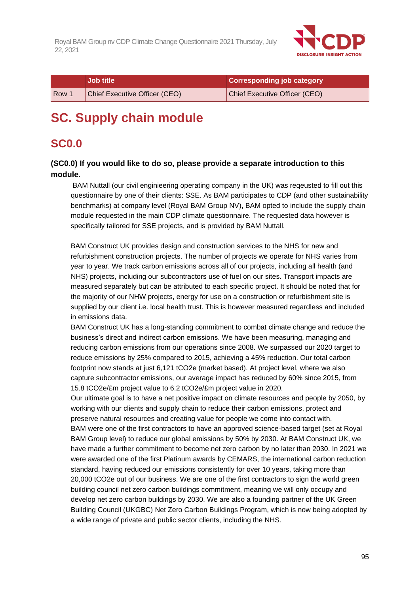

|                  | <b>Job title</b>              | <b>Corresponding job category</b> |
|------------------|-------------------------------|-----------------------------------|
| Row <sup>1</sup> | Chief Executive Officer (CEO) | Chief Executive Officer (CEO)     |

# **SC. Supply chain module**

# **SC0.0**

# **(SC0.0) If you would like to do so, please provide a separate introduction to this module.**

BAM Nuttall (our civil enginieering operating company in the UK) was reqeusted to fill out this questionnaire by one of their clients: SSE. As BAM participates to CDP (and other sustainability benchmarks) at company level (Royal BAM Group NV), BAM opted to include the supply chain module requested in the main CDP climate questionnaire. The requested data however is specifically tailored for SSE projects, and is provided by BAM Nuttall.

BAM Construct UK provides design and construction services to the NHS for new and refurbishment construction projects. The number of projects we operate for NHS varies from year to year. We track carbon emissions across all of our projects, including all health (and NHS) projects, including our subcontractors use of fuel on our sites. Transport impacts are measured separately but can be attributed to each specific project. It should be noted that for the majority of our NHW projects, energy for use on a construction or refurbishment site is supplied by our client i.e. local health trust. This is however measured regardless and included in emissions data.

BAM Construct UK has a long-standing commitment to combat climate change and reduce the business's direct and indirect carbon emissions. We have been measuring, managing and reducing carbon emissions from our operations since 2008. We surpassed our 2020 target to reduce emissions by 25% compared to 2015, achieving a 45% reduction. Our total carbon footprint now stands at just 6,121 tCO2e (market based). At project level, where we also capture subcontractor emissions, our average impact has reduced by 60% since 2015, from 15.8 tCO2e/£m project value to 6.2 tCO2e/£m project value in 2020.

Our ultimate goal is to have a net positive impact on climate resources and people by 2050, by working with our clients and supply chain to reduce their carbon emissions, protect and preserve natural resources and creating value for people we come into contact with. BAM were one of the first contractors to have an approved science-based target (set at Royal BAM Group level) to reduce our global emissions by 50% by 2030. At BAM Construct UK, we have made a further commitment to become net zero carbon by no later than 2030. In 2021 we were awarded one of the first Platinum awards by CEMARS, the international carbon reduction standard, having reduced our emissions consistently for over 10 years, taking more than 20,000 tCO2e out of our business. We are one of the first contractors to sign the world green building council net zero carbon buildings commitment, meaning we will only occupy and develop net zero carbon buildings by 2030. We are also a founding partner of the UK Green Building Council (UKGBC) Net Zero Carbon Buildings Program, which is now being adopted by a wide range of private and public sector clients, including the NHS.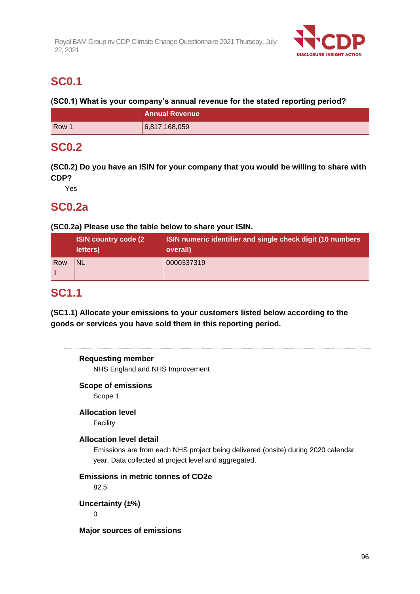

# **SC0.1**

**(SC0.1) What is your company's annual revenue for the stated reporting period?**

|       | <b>Annual Revenue</b> |  |
|-------|-----------------------|--|
| Row 1 | 6,817,168,059         |  |

# **SC0.2**

**(SC0.2) Do you have an ISIN for your company that you would be willing to share with CDP?**

Yes

# **SC0.2a**

# **(SC0.2a) Please use the table below to share your ISIN.**

|            | <b>ISIN country code (2)</b><br>letters) | ISIN numeric identifier and single check digit (10 numbers)<br>overall) |
|------------|------------------------------------------|-------------------------------------------------------------------------|
| <b>Row</b> | <b>NL</b>                                | 0000337319                                                              |

# **SC1.1**

**(SC1.1) Allocate your emissions to your customers listed below according to the goods or services you have sold them in this reporting period.**

# **Requesting member**

NHS England and NHS Improvement

# **Scope of emissions**

Scope 1

# **Allocation level**

Facility

# **Allocation level detail**

Emissions are from each NHS project being delivered (onsite) during 2020 calendar year. Data collected at project level and aggregated.

# **Emissions in metric tonnes of CO2e**

82.5

**Uncertainty (±%)**

0

**Major sources of emissions**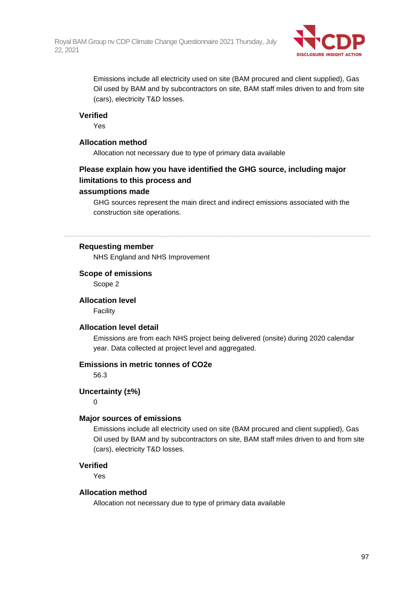

Emissions include all electricity used on site (BAM procured and client supplied), Gas Oil used by BAM and by subcontractors on site, BAM staff miles driven to and from site (cars), electricity T&D losses.

### **Verified**

Yes

### **Allocation method**

Allocation not necessary due to type of primary data available

# **Please explain how you have identified the GHG source, including major limitations to this process and**

#### **assumptions made**

GHG sources represent the main direct and indirect emissions associated with the construction site operations.

#### **Requesting member**

NHS England and NHS Improvement

#### **Scope of emissions**

Scope 2

### **Allocation level**

Facility

#### **Allocation level detail**

Emissions are from each NHS project being delivered (onsite) during 2020 calendar year. Data collected at project level and aggregated.

#### **Emissions in metric tonnes of CO2e**

56.3

### **Uncertainty (±%)**

0

#### **Major sources of emissions**

Emissions include all electricity used on site (BAM procured and client supplied), Gas Oil used by BAM and by subcontractors on site, BAM staff miles driven to and from site (cars), electricity T&D losses.

#### **Verified**

Yes

#### **Allocation method**

Allocation not necessary due to type of primary data available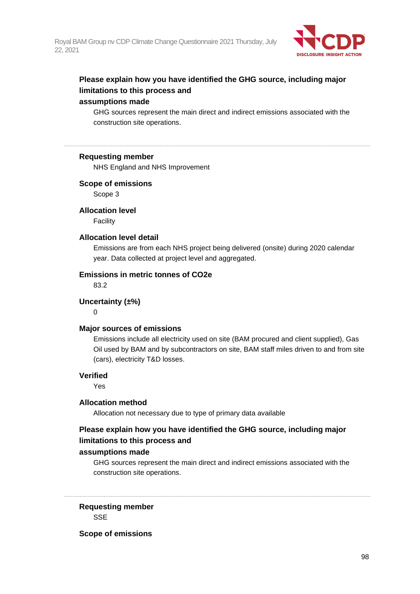

# **Please explain how you have identified the GHG source, including major limitations to this process and**

# **assumptions made**

GHG sources represent the main direct and indirect emissions associated with the construction site operations.

### **Requesting member**

NHS England and NHS Improvement

#### **Scope of emissions**

Scope 3

#### **Allocation level**

Facility

### **Allocation level detail**

Emissions are from each NHS project being delivered (onsite) during 2020 calendar year. Data collected at project level and aggregated.

### **Emissions in metric tonnes of CO2e**

83.2

### **Uncertainty (±%)**

 $\Omega$ 

#### **Major sources of emissions**

Emissions include all electricity used on site (BAM procured and client supplied), Gas Oil used by BAM and by subcontractors on site, BAM staff miles driven to and from site (cars), electricity T&D losses.

### **Verified**

Yes

#### **Allocation method**

Allocation not necessary due to type of primary data available

# **Please explain how you have identified the GHG source, including major limitations to this process and**

### **assumptions made**

GHG sources represent the main direct and indirect emissions associated with the construction site operations.

**Requesting member SSE** 

#### **Scope of emissions**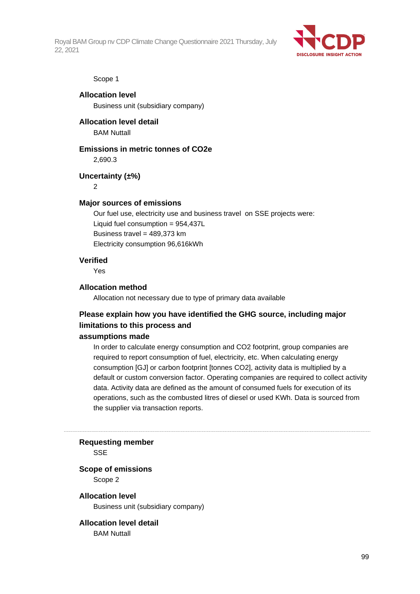

#### Scope 1

**Allocation level** Business unit (subsidiary company)

**Allocation level detail** BAM Nuttall

#### **Emissions in metric tonnes of CO2e**

2,690.3

**Uncertainty (±%)**

 $\mathfrak{p}$ 

#### **Major sources of emissions**

Our fuel use, electricity use and business travel on SSE projects were: Liquid fuel consumption = 954,437L Business travel =  $489,373$  km Electricity consumption 96,616kWh

### **Verified**

Yes

#### **Allocation method**

Allocation not necessary due to type of primary data available

# **Please explain how you have identified the GHG source, including major limitations to this process and**

#### **assumptions made**

In order to calculate energy consumption and CO2 footprint, group companies are required to report consumption of fuel, electricity, etc. When calculating energy consumption [GJ] or carbon footprint [tonnes CO2], activity data is multiplied by a default or custom conversion factor. Operating companies are required to collect activity data. Activity data are defined as the amount of consumed fuels for execution of its operations, such as the combusted litres of diesel or used KWh. Data is sourced from the supplier via transaction reports.

#### **Requesting member**

**SSE** 

#### **Scope of emissions**

Scope 2

#### **Allocation level**

Business unit (subsidiary company)

#### **Allocation level detail BAM Nuttall**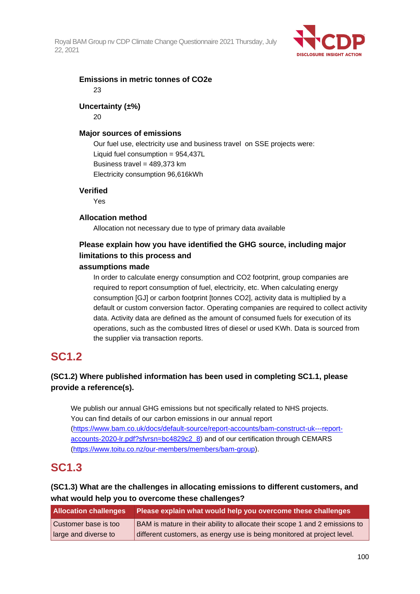

### **Emissions in metric tonnes of CO2e** 23

# **Uncertainty (±%)**

20

# **Major sources of emissions**

Our fuel use, electricity use and business travel on SSE projects were: Liquid fuel consumption = 954,437L Business travel = 489,373 km Electricity consumption 96,616kWh

# **Verified**

Yes

# **Allocation method**

Allocation not necessary due to type of primary data available

# **Please explain how you have identified the GHG source, including major limitations to this process and**

# **assumptions made**

In order to calculate energy consumption and CO2 footprint, group companies are required to report consumption of fuel, electricity, etc. When calculating energy consumption [GJ] or carbon footprint [tonnes CO2], activity data is multiplied by a default or custom conversion factor. Operating companies are required to collect activity data. Activity data are defined as the amount of consumed fuels for execution of its operations, such as the combusted litres of diesel or used KWh. Data is sourced from the supplier via transaction reports.

# **SC1.2**

# **(SC1.2) Where published information has been used in completing SC1.1, please provide a reference(s).**

We publish our annual GHG emissions but not specifically related to NHS projects. You can find details of our carbon emissions in our annual report [\(https://www.bam.co.uk/docs/default-source/report-accounts/bam-construct-uk---report](https://www.bam.co.uk/docs/default-source/report-accounts/bam-construct-uk---report-accounts-2020-lr.pdf?sfvrsn=bc4829c2_8)[accounts-2020-lr.pdf?sfvrsn=bc4829c2\\_8\)](https://www.bam.co.uk/docs/default-source/report-accounts/bam-construct-uk---report-accounts-2020-lr.pdf?sfvrsn=bc4829c2_8) and of our certification through CEMARS [\(https://www.toitu.co.nz/our-members/members/bam-group\)](https://www.toitu.co.nz/our-members/members/bam-group).

# **SC1.3**

# **(SC1.3) What are the challenges in allocating emissions to different customers, and what would help you to overcome these challenges?**

| <b>Allocation challenges</b> | Please explain what would help you overcome these challenges                |
|------------------------------|-----------------------------------------------------------------------------|
| Customer base is too         | BAM is mature in their ability to allocate their scope 1 and 2 emissions to |
| large and diverse to         | different customers, as energy use is being monitored at project level.     |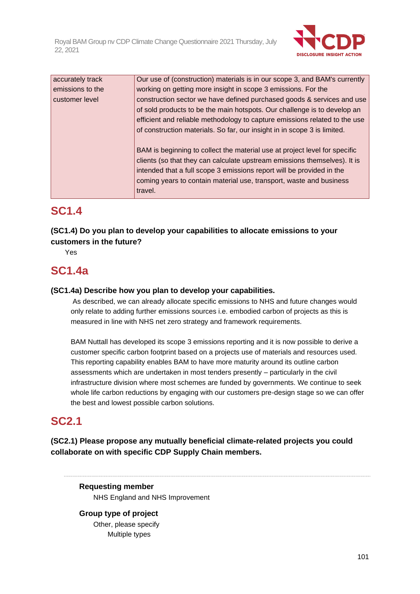

| accurately track | Our use of (construction) materials is in our scope 3, and BAM's currently |
|------------------|----------------------------------------------------------------------------|
| emissions to the | working on getting more insight in scope 3 emissions. For the              |
| customer level   | construction sector we have defined purchased goods & services and use     |
|                  | of sold products to be the main hotspots. Our challenge is to develop an   |
|                  | efficient and reliable methodology to capture emissions related to the use |
|                  | of construction materials. So far, our insight in in scope 3 is limited.   |
|                  |                                                                            |
|                  | BAM is beginning to collect the material use at project level for specific |
|                  | clients (so that they can calculate upstream emissions themselves). It is  |
|                  | intended that a full scope 3 emissions report will be provided in the      |
|                  | coming years to contain material use, transport, waste and business        |
|                  | travel.                                                                    |

# **SC1.4**

# **(SC1.4) Do you plan to develop your capabilities to allocate emissions to your customers in the future?**

Yes

# **SC1.4a**

# **(SC1.4a) Describe how you plan to develop your capabilities.**

As described, we can already allocate specific emissions to NHS and future changes would only relate to adding further emissions sources i.e. embodied carbon of projects as this is measured in line with NHS net zero strategy and framework requirements.

BAM Nuttall has developed its scope 3 emissions reporting and it is now possible to derive a customer specific carbon footprint based on a projects use of materials and resources used. This reporting capability enables BAM to have more maturity around its outline carbon assessments which are undertaken in most tenders presently – particularly in the civil infrastructure division where most schemes are funded by governments. We continue to seek whole life carbon reductions by engaging with our customers pre-design stage so we can offer the best and lowest possible carbon solutions.

# **SC2.1**

**(SC2.1) Please propose any mutually beneficial climate-related projects you could collaborate on with specific CDP Supply Chain members.**

**Requesting member** NHS England and NHS Improvement

**Group type of project** Other, please specify Multiple types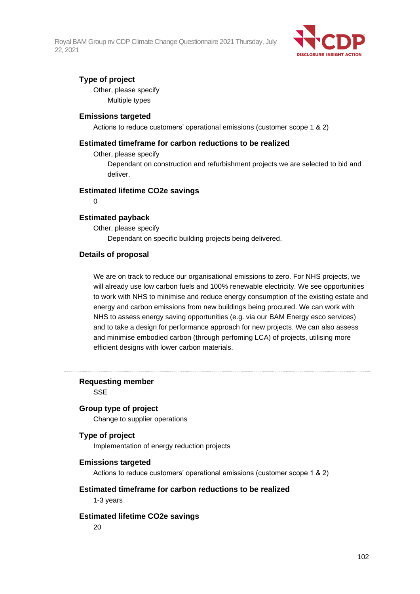

# **Type of project**

Other, please specify Multiple types

### **Emissions targeted**

Actions to reduce customers' operational emissions (customer scope 1 & 2)

### **Estimated timeframe for carbon reductions to be realized**

Other, please specify

Dependant on construction and refurbishment projects we are selected to bid and deliver.

#### **Estimated lifetime CO2e savings**

 $\Omega$ 

### **Estimated payback**

Other, please specify Dependant on specific building projects being delivered.

### **Details of proposal**

We are on track to reduce our organisational emissions to zero. For NHS projects, we will already use low carbon fuels and 100% renewable electricity. We see opportunities to work with NHS to minimise and reduce energy consumption of the existing estate and energy and carbon emissions from new buildings being procured. We can work with NHS to assess energy saving opportunities (e.g. via our BAM Energy esco services) and to take a design for performance approach for new projects. We can also assess and minimise embodied carbon (through perfoming LCA) of projects, utilising more efficient designs with lower carbon materials.

### **Requesting member**

**SSE** 

#### **Group type of project**

Change to supplier operations

# **Type of project**

Implementation of energy reduction projects

#### **Emissions targeted**

Actions to reduce customers' operational emissions (customer scope 1 & 2)

#### **Estimated timeframe for carbon reductions to be realized**

1-3 years

#### **Estimated lifetime CO2e savings**

20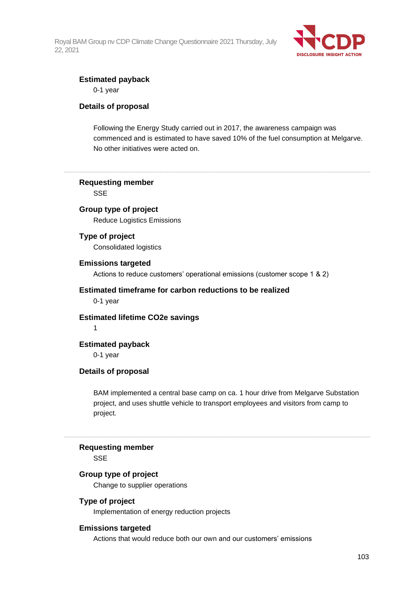

### **Estimated payback**

0-1 year

### **Details of proposal**

Following the Energy Study carried out in 2017, the awareness campaign was commenced and is estimated to have saved 10% of the fuel consumption at Melgarve. No other initiatives were acted on.

### **Requesting member**

**SSE** 

# **Group type of project**

Reduce Logistics Emissions

### **Type of project**

Consolidated logistics

#### **Emissions targeted**

Actions to reduce customers' operational emissions (customer scope 1 & 2)

### **Estimated timeframe for carbon reductions to be realized**

0-1 year

# **Estimated lifetime CO2e savings**

1

# **Estimated payback**

0-1 year

#### **Details of proposal**

BAM implemented a central base camp on ca. 1 hour drive from Melgarve Substation project, and uses shuttle vehicle to transport employees and visitors from camp to project.

#### **Requesting member**

SSE

#### **Group type of project**

Change to supplier operations

#### **Type of project**

Implementation of energy reduction projects

#### **Emissions targeted**

Actions that would reduce both our own and our customers' emissions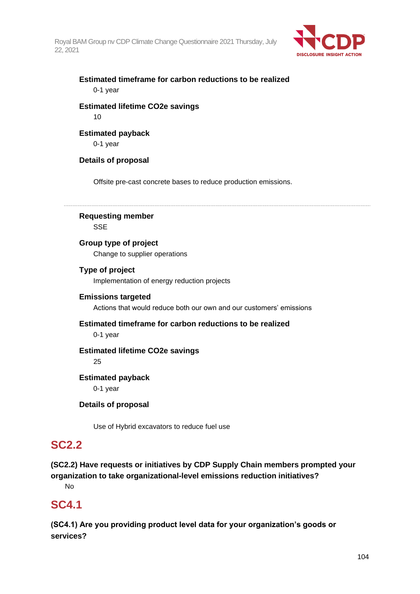

# **Estimated timeframe for carbon reductions to be realized** 0-1 year

# **Estimated lifetime CO2e savings** 10

# **Estimated payback**

0-1 year

# **Details of proposal**

Offsite pre-cast concrete bases to reduce production emissions.

# **Requesting member**

**SSE** 

# **Group type of project**

Change to supplier operations

# **Type of project**

Implementation of energy reduction projects

# **Emissions targeted**

Actions that would reduce both our own and our customers' emissions

# **Estimated timeframe for carbon reductions to be realized**

0-1 year

# **Estimated lifetime CO2e savings**

25

# **Estimated payback**

0-1 year

# **Details of proposal**

Use of Hybrid excavators to reduce fuel use

# **SC2.2**

**(SC2.2) Have requests or initiatives by CDP Supply Chain members prompted your organization to take organizational-level emissions reduction initiatives?**

No

# **SC4.1**

**(SC4.1) Are you providing product level data for your organization's goods or services?**